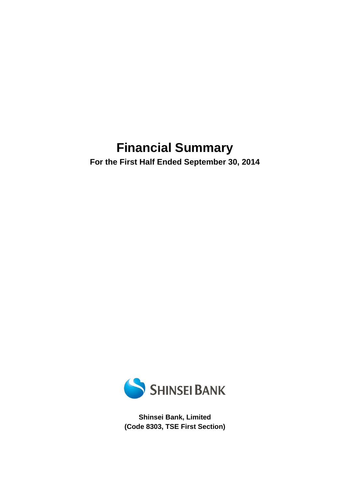# **Financial Summary**

**For the First Half Ended September 30, 2014** 



**Shinsei Bank, Limited (Code 8303, TSE First Section)**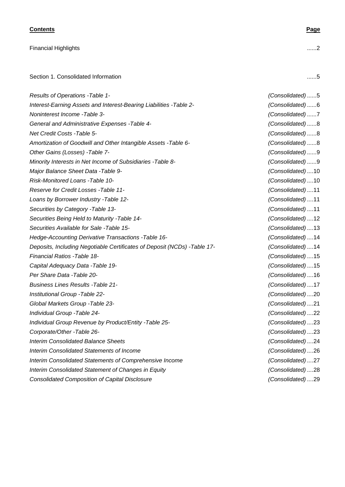## **Contents Page**

Financial Highlights ...... 2

Section 1. Consolidated Information ........ 5

| Results of Operations - Table 1-                                          | (Consolidated)5   |
|---------------------------------------------------------------------------|-------------------|
| Interest-Earning Assets and Interest-Bearing Liabilities - Table 2-       | (Consolidated)6   |
| Noninterest Income - Table 3-                                             | (Consolidated)7   |
| General and Administrative Expenses - Table 4-                            | (Consolidated)8   |
| Net Credit Costs - Table 5-                                               | (Consolidated)8   |
| Amortization of Goodwill and Other Intangible Assets - Table 6-           | (Consolidated)8   |
| Other Gains (Losses) - Table 7-                                           | (Consolidated)9   |
| Minority Interests in Net Income of Subsidiaries - Table 8-               | (Consolidated)9   |
| Major Balance Sheet Data - Table 9-                                       | (Consolidated)10  |
| Risk-Monitored Loans - Table 10-                                          | (Consolidated)10  |
| Reserve for Credit Losses - Table 11-                                     | (Consolidated)11  |
| Loans by Borrower Industry - Table 12-                                    | (Consolidated) 11 |
| Securities by Category - Table 13-                                        | (Consolidated) 11 |
| Securities Being Held to Maturity - Table 14-                             | (Consolidated)12  |
| Securities Available for Sale - Table 15-                                 | (Consolidated)13  |
| Hedge-Accounting Derivative Transactions - Table 16-                      | (Consolidated) 14 |
| Deposits, Including Negotiable Certificates of Deposit (NCDs) - Table 17- | (Consolidated)14  |
| Financial Ratios - Table 18-                                              | (Consolidated)15  |
| Capital Adequacy Data - Table 19-                                         | (Consolidated)15  |
| Per Share Data - Table 20-                                                | (Consolidated)16  |
| <b>Business Lines Results - Table 21-</b>                                 | (Consolidated)17  |
| Institutional Group - Table 22-                                           | (Consolidated)20  |
| Global Markets Group - Table 23-                                          | (Consolidated)21  |
| Individual Group - Table 24-                                              | (Consolidated)22  |
| Individual Group Revenue by Product/Entity - Table 25-                    | (Consolidated)23  |
| Corporate/Other - Table 26-                                               | (Consolidated)23  |
| <b>Interim Consolidated Balance Sheets</b>                                | (Consolidated)24  |
| Interim Consolidated Statements of Income                                 | (Consolidated)26  |
| Interim Consolidated Statements of Comprehensive Income                   | (Consolidated)27  |
| Interim Consolidated Statement of Changes in Equity                       | (Consolidated)28  |
| <b>Consolidated Composition of Capital Disclosure</b>                     | (Consolidated)29  |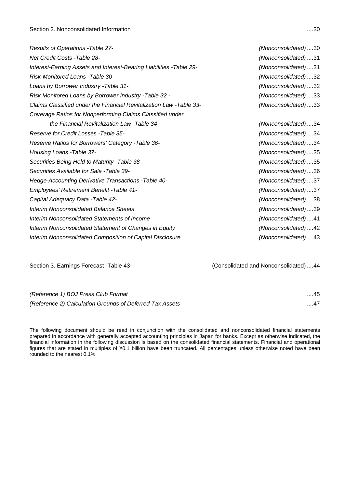| Results of Operations - Table 27-                                    | (Nonconsolidated)30 |
|----------------------------------------------------------------------|---------------------|
| <b>Net Credit Costs -Table 28-</b>                                   | (Nonconsolidated)31 |
| Interest-Earning Assets and Interest-Bearing Liabilities - Table 29- | (Nonconsolidated)31 |
| Risk-Monitored Loans - Table 30-                                     | (Nonconsolidated)32 |
| Loans by Borrower Industry - Table 31-                               | (Nonconsolidated)32 |
| Risk Monitored Loans by Borrower Industry - Table 32 -               | (Nonconsolidated)33 |
| Claims Classified under the Financial Revitalization Law - Table 33- | (Nonconsolidated)33 |
| Coverage Ratios for Nonperforming Claims Classified under            |                     |
| the Financial Revitalization Law - Table 34-                         | (Nonconsolidated)34 |
| Reserve for Credit Losses - Table 35-                                | (Nonconsolidated)34 |
| Reserve Ratios for Borrowers' Category - Table 36-                   | (Nonconsolidated)34 |
| Housing Loans - Table 37-                                            | (Nonconsolidated)35 |
| Securities Being Held to Maturity - Table 38-                        | (Nonconsolidated)35 |
| Securities Available for Sale -Table 39-                             | (Nonconsolidated)36 |
| Hedge-Accounting Derivative Transactions - Table 40-                 | (Nonconsolidated)37 |
| Employees' Retirement Benefit - Table 41-                            | (Nonconsolidated)37 |
| Capital Adequacy Data - Table 42-                                    | (Nonconsolidated)38 |
| Interim Nonconsolidated Balance Sheets                               | (Nonconsolidated)39 |
| Interim Nonconsolidated Statements of Income                         | (Nonconsolidated)41 |
| Interim Nonconsolidated Statement of Changes in Equity               | (Nonconsolidated)42 |
| Interim Nonconsolidated Composition of Capital Disclosure            | (Nonconsolidated)43 |
|                                                                      |                     |

Section 3. Earnings Forecast -Table 43- (Consolidated and Nonconsolidated) .... 44

| (Reference 1) BOJ Press Club Format                      | $\dots$ 45 |
|----------------------------------------------------------|------------|
| (Reference 2) Calculation Grounds of Deferred Tax Assets | $\dots$ 47 |

The following document should be read in conjunction with the consolidated and nonconsolidated financial statements prepared in accordance with generally accepted accounting principles in Japan for banks. Except as otherwise indicated, the financial information in the following discussion is based on the consolidated financial statements. Financial and operational figures that are stated in multiples of ¥0.1 billion have been truncated. All percentages unless otherwise noted have been rounded to the nearest 0.1%.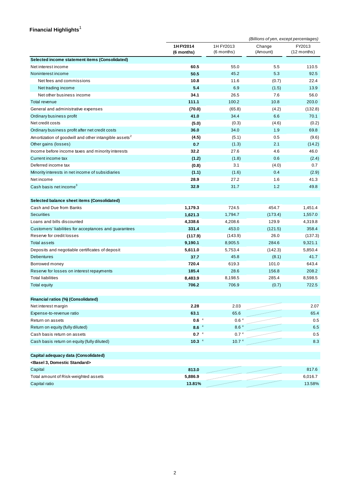## **Financial Highlights**  1

|                                                                   |                         | (Billions of yen, except percentages) |                    |                         |
|-------------------------------------------------------------------|-------------------------|---------------------------------------|--------------------|-------------------------|
|                                                                   | 1H FY2014<br>(6 months) | 1H FY2013<br>(6 months)               | Change<br>(Amount) | FY2013<br>$(12$ months) |
| Selected income statement items (Consolidated)                    |                         |                                       |                    |                         |
| Net interest income                                               | 60.5                    | 55.0                                  | 5.5                | 110.5                   |
| Noninterest income                                                | 50.5                    | 45.2                                  | 5.3                | 92.5                    |
| Net fees and commissions                                          | 10.8                    | 11.6                                  | (0.7)              | 22.4                    |
| Net trading income                                                | 5.4                     | 6.9                                   | (1.5)              | 13.9                    |
| Net other business income                                         | 34.1                    | 26.5                                  | 7.6                | 56.0                    |
| Total revenue                                                     | 111.1                   | 100.2                                 | 10.8               | 203.0                   |
| General and administrative expenses                               | (70.0)                  | (65.8)                                | (4.2)              | (132.8)                 |
| Ordinary business profit                                          | 41.0                    | 34.4                                  | 6.6                | 70.1                    |
| Net credit costs                                                  | (5.0)                   | (0.3)                                 | (4.6)              | (0.2)                   |
| Ordinary business profit after net credit costs                   | 36.0                    | 34.0                                  | 1.9                | 69.8                    |
| Amortization of goodwill and other intangible assets <sup>2</sup> | (4.5)                   | (5.1)                                 | 0.5                | (9.6)                   |
| Other gains (losses)                                              | 0.7                     | (1.3)                                 | 2.1                | (14.2)                  |
| Income before income taxes and minority interests                 | 32.2                    | 27.6                                  | 4.6                | 46.0                    |
| Current income tax                                                | (1.2)                   | (1.8)                                 | 0.6                | (2.4)                   |
| Deferred income tax                                               | (0.8)                   | 3.1                                   | (4.0)              | 0.7                     |
| Minority interests in net income of subsidiaries                  | (1.1)                   | (1.6)                                 | 0.4                | (2.9)                   |
| Net income                                                        | 28.9                    | 27.2                                  | 1.6                | 41.3                    |
| Cash basis net income <sup>3</sup>                                | 32.9                    | 31.7                                  | 1.2                | 49.8                    |
| Selected balance sheet items (Consolidated)                       |                         |                                       |                    |                         |
| Cash and Due from Banks                                           | 1,179.3                 | 724.5                                 | 454.7              | 1,451.4                 |
| <b>Securities</b>                                                 | 1,621.3                 | 1,794.7                               | (173.4)            | 1,557.0                 |
| Loans and bills discounted                                        | 4,338.6                 | 4,208.6                               | 129.9              | 4,319.8                 |
| Customers' liabilities for acceptances and guarantees             | 331.4                   | 453.0                                 | (121.5)            | 358.4                   |
| Reserve for credit losses                                         | (117.9)                 | (143.9)                               | 26.0               | (137.3)                 |
| <b>Total assets</b>                                               | 9,190.1                 | 8,905.5                               | 284.6              | 9,321.1                 |
| Deposits and negotiable certificates of deposit                   | 5,611.0                 | 5,753.4                               | (142.3)            | 5,850.4                 |
| <b>Debentures</b>                                                 | 37.7                    | 45.8                                  | (8.1)              | 41.7                    |
| Borrowed money                                                    | 720.4                   | 619.3                                 | 101.0              | 643.4                   |
| Reserve for losses on interest repayments                         | 185.4                   | 28.6                                  | 156.8              | 208.2                   |
| <b>Total liabilities</b>                                          | 8,483.9                 | 8,198.5                               | 285.4              | 8,598.5                 |
| <b>Total equity</b>                                               | 706.2                   | 706.9                                 | (0.7)              | 722.5                   |
| Financial ratios (%) (Consolidated)                               |                         |                                       |                    |                         |
| Net interest margin                                               | 2.28                    | 2.03                                  |                    | 2.07                    |
| Expense-to-revenue ratio                                          | 63.1                    | 65.6                                  |                    | 65.4                    |
| Return on assets                                                  | 0.6 <sup>4</sup>        | 0.6 <sup>4</sup>                      |                    | 0.5                     |
| Return on equity (fully diluted)                                  | 8.6 <sup>4</sup>        | 8.6 4                                 |                    | 6.5                     |
| Cash basis return on assets                                       | $0.7-4$                 | 0.7 <sup>4</sup>                      |                    | 0.5                     |
| Cash basis return on equity (fully diluted)                       | $10.3-4$                | 10.7 $4$                              |                    | 8.3                     |
| Capital adequacy data (Consolidated)                              |                         |                                       |                    |                         |
| <basel 3,="" domestic="" standard=""></basel>                     |                         |                                       |                    |                         |
| Capital                                                           | 813.0                   |                                       |                    | 817.6                   |
| Total amount of Risk-weighted assets                              | 5,886.9                 |                                       |                    | 6,016.7                 |

Capital ratio **13.81%** 13.58%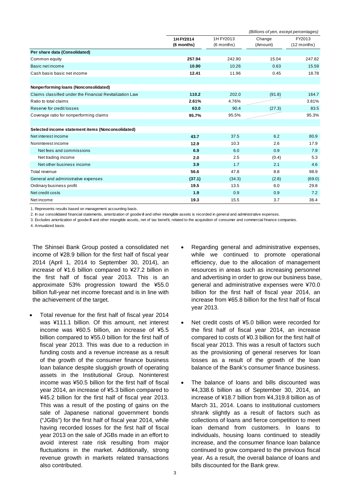|                                                          |            | (Billions of yen, except percentages) |          |               |  |
|----------------------------------------------------------|------------|---------------------------------------|----------|---------------|--|
|                                                          | 1H FY2014  | 1H FY2013                             | Change   | FY2013        |  |
|                                                          | (6 months) | $(6$ months)                          | (Amount) | $(12$ months) |  |
| Per share data (Consolidated)                            |            |                                       |          |               |  |
| Common equity                                            | 257.94     | 242.90                                | 15.04    | 247.82        |  |
| Basic net income                                         | 10.90      | 10.26                                 | 0.63     | 15.59         |  |
| Cash basis basic net income                              | 12.41      | 11.96                                 | 0.45     | 18.78         |  |
| Nonperforming loans (Nonconsolidated)                    |            |                                       |          |               |  |
| Claims classified under the Financial Revitalization Law | 110.2      | 202.0                                 | (91.8)   | 164.7         |  |
| Ratio to total claims                                    | 2.61%      | 4.76%                                 |          | 3.81%         |  |
| Reserve for credit losses                                | 63.0       | 90.4                                  | (27.3)   | 83.5          |  |
| Coverage ratio for nonperforming claims                  | 95.7%      | 95.5%                                 |          | 95.3%         |  |
|                                                          |            |                                       |          |               |  |
| Selected income statement items (Nonconsolidated)        |            |                                       |          |               |  |
| Net interest income                                      | 43.7       | 37.5                                  | 6.2      | 80.9          |  |
| Noninterest income                                       | 12.9       | 10.3                                  | 2.6      | 17.9          |  |
| Net fees and commissions                                 | 6.9        | 6.0                                   | 0.9      | 7.9           |  |
| Net trading income                                       | 2.0        | 2.5                                   | (0.4)    | 5.3           |  |
| Net other business income                                | 3.9        | 1.7                                   | 2.1      | 4.6           |  |
| Total revenue                                            | 56.6       | 47.8                                  | 8.8      | 98.9          |  |
| General and administrative expenses                      | (37.1)     | (34.3)                                | (2.8)    | (69.0)        |  |
| Ordinary business profit                                 | 19.5       | 13.5                                  | 6.0      | 29.8          |  |
| Net credit costs                                         | 1.9        | 0.9                                   | 0.9      | 7.2           |  |
| Net income                                               | 19.3       | 15.5                                  | 3.7      | 36.4          |  |

1. Represents results based on management accounting basis.

2. In our consolidated financial statements, amortization of goodw ill and other intangible assets is recorded in general and administrative expenses.

3. Excludes amortization of goodw ill and other intangible assets, net of tax benefit, related to the acquisition of consumer and commercial finance companies.

4. Annualized basis.

The Shinsei Bank Group posted a consolidated net income of ¥28.9 billion for the first half of fiscal year 2014 (April 1, 2014 to September 30, 2014), an increase of ¥1.6 billion compared to ¥27.2 billion in the first half of fiscal year 2013. This is an approximate 53% progression toward the ¥55.0 billion full-year net income forecast and is in line with the achievement of the target.

- Total revenue for the first half of fiscal year 2014 was ¥111.1 billion. Of this amount, net interest income was ¥60.5 billion, an increase of ¥5.5 billion compared to ¥55.0 billion for the first half of fiscal year 2013. This was due to a reduction in funding costs and a revenue increase as a result of the growth of the consumer finance business loan balance despite sluggish growth of operating assets in the Institutional Group. Noninterest income was ¥50.5 billion for the first half of fiscal year 2014, an increase of ¥5.3 billion compared to ¥45.2 billion for the first half of fiscal year 2013. This was a result of the posting of gains on the sale of Japanese national government bonds ("JGBs") for the first half of fiscal year 2014, while having recorded losses for the first half of fiscal year 2013 on the sale of JGBs made in an effort to avoid interest rate risk resulting from major fluctuations in the market. Additionally, strong revenue growth in markets related transactions also contributed.
- Regarding general and administrative expenses, while we continued to promote operational efficiency, due to the allocation of management resources in areas such as increasing personnel and advertising in order to grow our business base, general and administrative expenses were ¥70.0 billion for the first half of fiscal year 2014, an increase from ¥65.8 billion for the first half of fiscal year 2013.
- Net credit costs of ¥5.0 billion were recorded for the first half of fiscal year 2014, an increase compared to costs of ¥0.3 billion for the first half of fiscal year 2013. This was a result of factors such as the provisioning of general reserves for loan losses as a result of the growth of the loan balance of the Bank's consumer finance business.
- The balance of loans and bills discounted was ¥4,338.6 billion as of September 30, 2014, an increase of ¥18.7 billion from ¥4,319.8 billion as of March 31, 2014. Loans to institutional customers shrank slightly as a result of factors such as collections of loans and fierce competition to meet loan demand from customers. In loans to individuals, housing loans continued to steadily increase, and the consumer finance loan balance continued to grow compared to the previous fiscal year. As a result, the overall balance of loans and bills discounted for the Bank grew.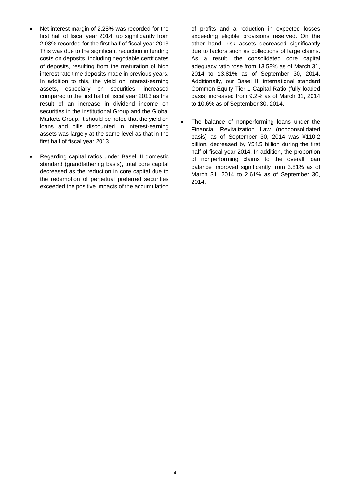- Net interest margin of 2.28% was recorded for the first half of fiscal year 2014, up significantly from 2.03% recorded for the first half of fiscal year 2013. This was due to the significant reduction in funding costs on deposits, including negotiable certificates of deposits, resulting from the maturation of high interest rate time deposits made in previous years. In addition to this, the yield on interest-earning assets, especially on securities, increased compared to the first half of fiscal year 2013 as the result of an increase in dividend income on securities in the institutional Group and the Global Markets Group. It should be noted that the yield on loans and bills discounted in interest-earning assets was largely at the same level as that in the first half of fiscal year 2013.
- Regarding capital ratios under Basel III domestic standard (grandfathering basis), total core capital decreased as the reduction in core capital due to the redemption of perpetual preferred securities exceeded the positive impacts of the accumulation

of profits and a reduction in expected losses exceeding eligible provisions reserved. On the other hand, risk assets decreased significantly due to factors such as collections of large claims. As a result, the consolidated core capital adequacy ratio rose from 13.58% as of March 31, 2014 to 13.81% as of September 30, 2014. Additionally, our Basel III international standard Common Equity Tier 1 Capital Ratio (fully loaded basis) increased from 9.2% as of March 31, 2014 to 10.6% as of September 30, 2014.

 The balance of nonperforming loans under the Financial Revitalization Law (nonconsolidated basis) as of September 30, 2014 was ¥110.2 billion, decreased by ¥54.5 billion during the first half of fiscal year 2014. In addition, the proportion of nonperforming claims to the overall loan balance improved significantly from 3.81% as of March 31, 2014 to 2.61% as of September 30, 2014.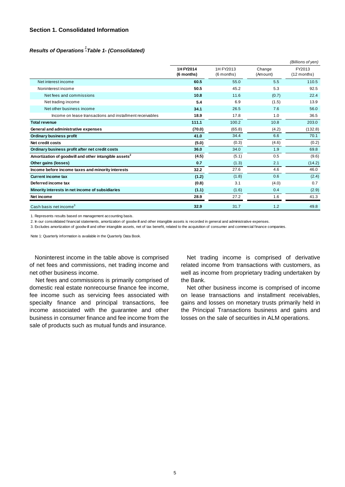#### **Section 1. Consolidated Information**

# *Results of Operations -Table 1- (Consolidated) 1*

|                                                                   |                         |                           |                    | (Billions of yen)       |
|-------------------------------------------------------------------|-------------------------|---------------------------|--------------------|-------------------------|
|                                                                   | 1H FY2014<br>(6 months) | 1H FY2013<br>$(6$ months) | Change<br>(Amount) | FY2013<br>$(12$ months) |
| Net interest income                                               | 60.5                    | 55.0                      | 5.5                | 110.5                   |
| Noninterest income                                                | 50.5                    | 45.2                      | 5.3                | 92.5                    |
| Net fees and commissions                                          | 10.8                    | 11.6                      | (0.7)              | 22.4                    |
| Net trading income                                                | 5.4                     | 6.9                       | (1.5)              | 13.9                    |
| Net other business income                                         | 34.1                    | 26.5                      | 7.6                | 56.0                    |
| Income on lease transactions and installment receivables          | 18.9                    | 17.8                      | 1.0                | 36.5                    |
| <b>Total revenue</b>                                              | 111.1                   | 100.2                     | 10.8               | 203.0                   |
| General and administrative expenses                               | (70.0)                  | (65.8)                    | (4.2)              | (132.8)                 |
| <b>Ordinary business profit</b>                                   | 41.0                    | 34.4                      | 6.6                | 70.1                    |
| Net credit costs                                                  | (5.0)                   | (0.3)                     | (4.6)              | (0.2)                   |
| Ordinary business profit after net credit costs                   | 36.0                    | 34.0                      | 1.9                | 69.8                    |
| Amortization of goodwill and other intangible assets <sup>2</sup> | (4.5)                   | (5.1)                     | 0.5                | (9.6)                   |
| Other gains (losses)                                              | 0.7                     | (1.3)                     | 2.1                | (14.2)                  |
| Income before income taxes and minority interests                 | 32.2                    | 27.6                      | 4.6                | 46.0                    |
| <b>Current income tax</b>                                         | (1.2)                   | (1.8)                     | 0.6                | (2.4)                   |
| Deferred income tax                                               | (0.8)                   | 3.1                       | (4.0)              | 0.7                     |
| Minority interests in net income of subsidiaries                  | (1.1)                   | (1.6)                     | 0.4                | (2.9)                   |
| Net income                                                        | 28.9                    | 27.2                      | 1.6                | 41.3                    |
| Cash basis net income <sup>3</sup>                                | 32.9                    | 31.7                      | 1.2                | 49.8                    |

1. Represents results based on management accounting basis.

2. In our consolidated financial statements, amortization of goodw ill and other intangible assets is recorded in general and administrative expenses.

3. Excludes amortization of goodw ill and other intangible assets, net of tax benefit, related to the acquisition of consumer and commercial finance companies.

Note 1: Quarterly information is available in the Quarterly Data Book.

Noninterest income in the table above is comprised of net fees and commissions, net trading income and net other business income.

Net fees and commissions is primarily comprised of domestic real estate nonrecourse finance fee income, fee income such as servicing fees associated with specialty finance and principal transactions, fee income associated with the guarantee and other business in consumer finance and fee income from the sale of products such as mutual funds and insurance.

Net trading income is comprised of derivative related income from transactions with customers, as well as income from proprietary trading undertaken by the Bank.

Net other business income is comprised of income on lease transactions and installment receivables, gains and losses on monetary trusts primarily held in the Principal Transactions business and gains and losses on the sale of securities in ALM operations.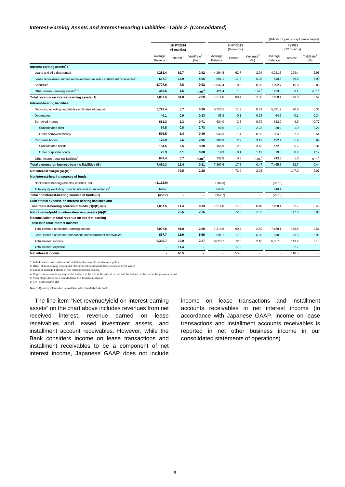#### *Interest-Earning Assets and Interest-Bearing Liabilities -Table 2- (Consolidated)*

|                                                                                         |                    |                          |                                |                         |              |                                    |                    |               | (Billions of yen, except percentages) |
|-----------------------------------------------------------------------------------------|--------------------|--------------------------|--------------------------------|-------------------------|--------------|------------------------------------|--------------------|---------------|---------------------------------------|
|                                                                                         |                    | 1H FY2014<br>(6 months)  |                                | 1H FY2013<br>(6 months) |              | FY2013<br>(12 months)              |                    |               |                                       |
|                                                                                         | Average<br>Balance | Interest                 | Yield/rate <sup>5</sup><br>(%) | Average<br>Balance      | Interest     | Yield/rate <sup>5</sup><br>$(\% )$ | Average<br>Balance | Interest      | Yield/rate <sup>5</sup><br>$(\% )$    |
| Interest-earning assets <sup>1</sup> :                                                  |                    |                          |                                |                         |              |                                    |                    |               |                                       |
| Loans and bills discounted                                                              | 4,281.4            | 62.7                     | 2.92                           | 4,264.8                 | 62.7         | 2.94                               | 4,241.5            | 124.4         | 2.93                                  |
| Lease receivables and leased investment assets / installment receivables <sup>1</sup>   | 667.7              | 18.9                     | 5.66                           | 591.1                   | 17.8         | 6.03                               | 610.3              | 36.5          | 5.99                                  |
| Securities                                                                              | 1,707.6            | 7.8                      | 0.92                           | 1,937.4                 | 8.2          | 0.85                               | 1,892.7            | 15.6          | 0.83                                  |
| Other interest-earning assets <sup>2, 3</sup>                                           | 350.6              | 1.5                      | n.m. <sup>6</sup>              | 421.4                   | 1.5          | n.m. <sup>6</sup>                  | 423.5              | 3.1           | n.m. <sup>6</sup>                     |
| Total revenue on interest-earning assets (A) <sup>1</sup>                               | 7,007.5            | 91.0                     | 2.59                           | 7,214.8                 | 90.4         | 2.50                               | 7,168.1            | 179.8         | 2.51                                  |
| Interest-bearing liabilities:                                                           |                    |                          |                                |                         |              |                                    |                    |               |                                       |
| Deposits, including negotiable certificates of deposit                                  | 5,729.4            | 5.7                      | 0.20                           | 5,725.5                 | 11.3         | 0.39                               | 5,821.9            | 20.6          | 0.35                                  |
| <b>Debentures</b>                                                                       | 40.1               | 0.0                      | 0.13                           | 85.2                    | 0.1          | 0.28                               | 64.6               | 0.1           | 0.24                                  |
| Borrowed money                                                                          | 661.3              | 2.3                      | 0.71                           | 634.0                   | 2.5          | 0.79                               | 642.9              | 4.9           | 0.77                                  |
| Subordinated debt                                                                       | 64.8               | 0.8                      | 2.73                           | 90.6                    | 1.0          | 2.23                               | 88.2               | 1.9           | 2.26                                  |
| Other borrowed money                                                                    | 596.5              | 1.4                      | 0.49                           | 543.3                   | 1.4          | 0.55                               | 554.6              | 2.9           | 0.54                                  |
| Corporate bonds                                                                         | 179.9              | 2.6                      | 2.96                           | 186.9                   | 2.9          | 3.19                               | 192.4              | 5.9           | 3.09                                  |
| Subordinated bonds                                                                      | 154.5              | 2.5                      | 3.30                           | 166.9                   | 2.8          | 3.43                               | 172.5              | 5.7           | 3.31                                  |
| Other corporate bonds                                                                   | 25.3               | 0.1                      | 0.88                           | 19.9                    | 0.1          | 1.19                               | 19.8               | 0.2           | 1.12                                  |
| Other interest-bearing liabilities <sup>2</sup>                                         | 849.4              | 0.7                      | n.m. <sup>6</sup>              | 735.8                   | 0.5          | n.m. <sup>6</sup>                  | 743.5              | 1.0           | n.m. <sup>6</sup>                     |
| Total expense on interest-bearing liabilities (B)                                       | 7,460.3            | 11.4                     | 0.31                           | 7,367.6                 | 17.5         | 0.47                               | 7,465.5            | 32.7          | 0.44                                  |
| Net interest margin (A)-(B) <sup>1</sup>                                                | ä,                 | 79.5                     | 2.28                           | ٠                       | 72.9         | 2.03                               | ÷.                 | 147.0         | 2.07                                  |
| Noninterest-bearing sources of funds:                                                   |                    |                          |                                |                         |              |                                    |                    |               |                                       |
| Noninterest-bearing (assets) liabilities, net                                           | (1, 118.9)         |                          | $\blacksquare$                 | (786.3)                 | ä,           | ٠                                  | (937.5)            |               |                                       |
| Total equity excluding minority interests in subsidiaries <sup>4</sup>                  | 666.1              | $\overline{\phantom{a}}$ | $\overline{\phantom{a}}$       | 633.6                   | ×,           | ×                                  | 640.1              | ÷             | ٠                                     |
| Total noninterest-bearing sources of funds (C)                                          | (452.7)            | $\blacksquare$           | $\blacksquare$                 | (152.7)                 | ٠            | ٠                                  | (297.3)            | ٠             | ٠                                     |
| Sum of total expense on interest-bearing liabilities and                                |                    |                          |                                |                         |              |                                    |                    |               |                                       |
| noninterest-bearing sources of funds (D)=(B)+(C)                                        | 7,007.5            | 11.4                     | 0.33                           | 7,214.8                 | 17.5         | 0.48                               | 7,168.1            | 32.7          | 0.46                                  |
| Net revenue/yield on interest-earning assets (A)-(D) <sup>1</sup>                       | ä,                 | 79.5                     | 2.26                           |                         | 72.9         | 2.02                               |                    | 147.0         | 2.05                                  |
| Reconciliation of total revenue on interest-earning                                     |                    |                          |                                |                         |              |                                    |                    |               |                                       |
| assets to total interest income:                                                        | 7,007.5            | 91.0                     | 2.59                           | 7,214.8                 | 90.4         |                                    | 7,168.1            | 179.8         | 2.51                                  |
| Total revenue on interest-earning assets                                                | 667.7              | 18.9                     | 5.66                           |                         |              | 2.50                               |                    |               |                                       |
| Less: Income on lease transactions and installment receivables<br>Total interest income | 6,339.7            | 72.0                     | 2.27                           | 591.1<br>6,623.7        | 17.8<br>72.5 | 6.03<br>2.18                       | 610.3<br>6,557.8   | 36.5<br>143.2 | 5.99<br>2.18                          |
| Total interest expense                                                                  | $\sim$             | 11.4                     | $\sim$                         | ×                       | 17.5         | $\overline{\phantom{a}}$           | ٠                  | 32.7          | ×.                                    |
| Net interest income                                                                     | ä,                 | 60.5                     | $\blacksquare$                 | ٠                       | 55.0         | ٠                                  | ٠                  | 110.5         | ٠                                     |
|                                                                                         |                    |                          |                                |                         |              |                                    |                    |               |                                       |

1. Includes lease transactions and installment receivables and related yields.

2. Other interest-earning assets and other interest-bearing liabilities include interest swaps. 3. Excludes average balance of non interest-earning assets.

4. Represents a simple average of the balance at the end of the current period and the balance at the end of the previous period.

5. Percentages have been rounded from the thrid decimal place.

6. n.m. is not meaningful.

Note 1: Quarterly information is available in the Quarterly Data Book.

The line item "Net revenue/yield on interest-earning assets" on the chart above includes revenues from net received interest, revenue earned on lease receivables and leased investment assets, and installment account receivables. However, while the Bank considers income on lease transactions and installment receivables to be a component of net interest income, Japanese GAAP does not include

income on lease transactions and installment accounts receivables in net interest income (in accordance with Japanese GAAP, income on lease transactions and installment accounts receivables is reported in net other business income in our consolidated statements of operations).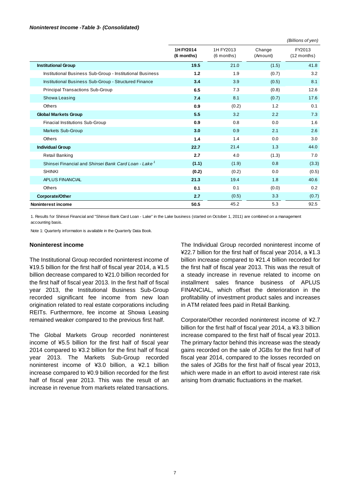#### *Noninterest Income -Table 3- (Consolidated)*

|                                                                  |                         |                         |                    | (Billions of yen)       |
|------------------------------------------------------------------|-------------------------|-------------------------|--------------------|-------------------------|
|                                                                  | 1H FY2014<br>(6 months) | 1H FY2013<br>(6 months) | Change<br>(Amount) | FY2013<br>$(12$ months) |
| <b>Institutional Group</b>                                       | 19.5                    | 21.0                    | (1.5)              | 41.8                    |
| Institutional Business Sub-Group - Institutional Business        | 1.2                     | 1.9                     | (0.7)              | 3.2                     |
| Institutional Business Sub-Group - Structured Finance            | 3.4                     | 3.9                     | (0.5)              | 8.1                     |
| <b>Principal Transactions Sub-Group</b>                          | 6.5                     | 7.3                     | (0.8)              | 12.6                    |
| Showa Leasing                                                    | 7.4                     | 8.1                     | (0.7)              | 17.6                    |
| Others                                                           | 0.9                     | (0.2)                   | 1.2                | 0.1                     |
| <b>Global Markets Group</b>                                      | 5.5                     | 3.2                     | 2.2                | 7.3                     |
| Finacial Institutions Sub-Group                                  | 0.9                     | 0.8                     | 0.0                | 1.6                     |
| Markets Sub-Group                                                | 3.0                     | 0.9                     | 2.1                | 2.6                     |
| Others                                                           | 1.4                     | 1.4                     | 0.0                | 3.0                     |
| <b>Individual Group</b>                                          | 22.7                    | 21.4                    | 1.3                | 44.0                    |
| <b>Retail Banking</b>                                            | 2.7                     | 4.0                     | (1.3)              | 7.0                     |
| Shinsei Financial and Shinsei Bank Card Loan - Lake <sup>1</sup> | (1.1)                   | (1.9)                   | 0.8                | (3.3)                   |
| <b>SHINKI</b>                                                    | (0.2)                   | (0.2)                   | 0.0                | (0.5)                   |
| <b>APLUS FINANCIAL</b>                                           | 21.3                    | 19.4                    | 1.8                | 40.6                    |
| Others                                                           | 0.1                     | 0.1                     | (0.0)              | 0.2                     |
| Corporate/Other                                                  | 2.7                     | (0.5)                   | 3.3                | (0.7)                   |
| Noninterest income                                               | 50.5                    | 45.2                    | 5.3                | 92.5                    |

1. Results for Shinsei Financial and "Shinsei Bank Card Loan - Lake" in the Lake business (started on October 1, 2011) are combined on a management accounting basis.

Note 1: Quarterly information is available in the Quarterly Data Book.

#### **Noninterest income**

The Institutional Group recorded noninterest income of ¥19.5 billion for the first half of fiscal year 2014, a ¥1.5 billion decrease compared to ¥21.0 billion recorded for the first half of fiscal year 2013. In the first half of fiscal year 2013, the Institutional Business Sub-Group recorded significant fee income from new loan origination related to real estate corporations including REITs. Furthermore, fee income at Showa Leasing remained weaker compared to the previous first half.

The Global Markets Group recorded noninterest income of ¥5.5 billion for the first half of fiscal year 2014 compared to ¥3.2 billion for the first half of fiscal year 2013. The Markets Sub-Group recorded noninterest income of ¥3.0 billion, a ¥2.1 billion increase compared to ¥0.9 billion recorded for the first half of fiscal year 2013. This was the result of an increase in revenue from markets related transactions.

The Individual Group recorded noninterest income of ¥22.7 billion for the first half of fiscal year 2014, a ¥1.3 billion increase compared to ¥21.4 billion recorded for the first half of fiscal year 2013. This was the result of a steady increase in revenue related to income on installment sales finance business of APLUS FINANCIAL, which offset the deterioration in the profitability of investment product sales and increases in ATM related fees paid in Retail Banking.

Corporate/Other recorded noninterest income of ¥2.7 billion for the first half of fiscal year 2014, a ¥3.3 billion increase compared to the first half of fiscal year 2013. The primary factor behind this increase was the steady gains recorded on the sale of JGBs for the first half of fiscal year 2014, compared to the losses recorded on the sales of JGBs for the first half of fiscal year 2013, which were made in an effort to avoid interest rate risk arising from dramatic fluctuations in the market.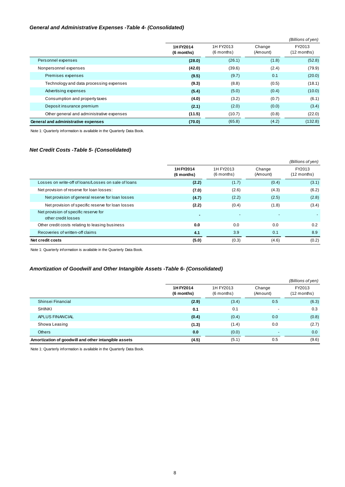#### *General and Administrative Expenses -Table 4- (Consolidated)*

|                                           |                         |                           |                    | (Billions of yen)       |
|-------------------------------------------|-------------------------|---------------------------|--------------------|-------------------------|
|                                           | 1H FY2014<br>(6 months) | 1H FY2013<br>$(6$ months) | Change<br>(Amount) | FY2013<br>$(12$ months) |
| Personnel expenses                        | (28.0)                  | (26.1)                    | (1.8)              | (52.8)                  |
| Nonpersonnel expenses                     | (42.0)                  | (39.6)                    | (2.4)              | (79.9)                  |
| Premises expenses                         | (9.5)                   | (9.7)                     | 0.1                | (20.0)                  |
| Technology and data processing expenses   | (9.3)                   | (8.8)                     | (0.5)              | (18.1)                  |
| Advertising expenses                      | (5.4)                   | (5.0)                     | (0.4)              | (10.0)                  |
| Consumption and property taxes            | (4.0)                   | (3.2)                     | (0.7)              | (6.1)                   |
| Deposit insurance premium                 | (2.1)                   | (2.0)                     | (0.0)              | (3.4)                   |
| Other general and administrative expenses | (11.5)                  | (10.7)                    | (0.8)              | (22.0)                  |
| General and administrative expenses       | (70.0)                  | (65.8)                    | (4.2)              | (132.8)                 |

Note 1: Quarterly information is available in the Quarterly Data Book.

#### *Net Credit Costs -Table 5- (Consolidated)*

|                                                              |                         |                         |                    | (Billions of yen)     |
|--------------------------------------------------------------|-------------------------|-------------------------|--------------------|-----------------------|
|                                                              | 1H FY2014<br>(6 months) | 1H FY2013<br>(6 months) | Change<br>(Amount) | FY2013<br>(12 months) |
| Losses on write-off of loans/Losses on sale of loans         | (2.2)                   | (1.7)                   | (0.4)              | (3.1)                 |
| Net provision of reserve for loan losses:                    | (7.0)                   | (2.6)                   | (4.3)              | (6.2)                 |
| Net provision of general reserve for loan losses             | (4.7)                   | (2.2)                   | (2.5)              | (2.8)                 |
| Net provision of specific reserve for loan losses            | (2.2)                   | (0.4)                   | (1.8)              | (3.4)                 |
| Net provision of specific reserve for<br>other credit losses |                         |                         |                    |                       |
| Other credit costs relating to leasing business              | 0.0                     | 0.0                     | 0.0                | 0.2                   |
| Recoveries of written-off claims                             | 4.1                     | 3.9                     | 0.1                | 8.9                   |
| Net credit costs                                             | (5.0)                   | (0.3)                   | (4.6)              | (0.2)                 |

Note 1: Quarterly information is available in the Quarterly Data Book.

#### *Amortization of Goodwill and Other Intangible Assets -Table 6- (Consolidated)*

|                                                      |                         |                           |                    | (Billions of yen)       |
|------------------------------------------------------|-------------------------|---------------------------|--------------------|-------------------------|
|                                                      | 1H FY2014<br>(6 months) | 1H FY2013<br>$(6$ months) | Change<br>(Amount) | FY2013<br>$(12$ months) |
| Shinsei Financial                                    | (2.9)                   | (3.4)                     | 0.5                | (6.3)                   |
| <b>SHINKI</b>                                        | 0.1                     | 0.1                       |                    | 0.3                     |
| APLUS FINANCIAL                                      | (0.4)                   | (0.4)                     | 0.0                | (0.8)                   |
| Showa Leasing                                        | (1.3)                   | (1.4)                     | 0.0                | (2.7)                   |
| <b>Others</b>                                        | 0.0                     | (0.0)                     |                    | 0.0                     |
| Amortization of goodwill and other intangible assets | (4.5)                   | (5.1)                     | 0.5                | (9.6)                   |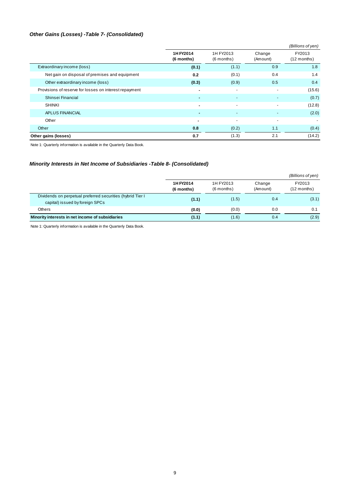# *Other Gains (Losses) -Table 7- (Consolidated)*

|                                                        |                          |                           |                          | (Billions of yen)       |
|--------------------------------------------------------|--------------------------|---------------------------|--------------------------|-------------------------|
|                                                        | 1H FY2014<br>(6 months)  | 1H FY2013<br>$(6$ months) | Change<br>(Amount)       | FY2013<br>$(12$ months) |
| Extraordinary income (loss)                            | (0.1)                    | (1.1)                     | 0.9                      | 1.8                     |
| Net gain on disposal of premises and equipment         | 0.2                      | (0.1)                     | 0.4                      | 1.4                     |
| Other extraordinary income (loss)                      | (0.3)                    | (0.9)                     | 0.5                      | 0.4                     |
| Provisions of reserve for losses on interest repayment | ٠                        | $\overline{\phantom{a}}$  | $\overline{\phantom{a}}$ | (15.6)                  |
| Shinsei Financial                                      |                          | $\overline{a}$            |                          | (0.7)                   |
| <b>SHINKI</b>                                          | $\overline{\phantom{a}}$ | $\sim$                    |                          | (12.8)                  |
| APLUS FINANCIAL                                        |                          | $\overline{a}$            |                          | (2.0)                   |
| Other                                                  | ٠                        | $\overline{\phantom{a}}$  |                          |                         |
| Other                                                  | 0.8                      | (0.2)                     | 1.1                      | (0.4)                   |
| Other gains (losses)                                   | 0.7                      | (1.3)                     | 2.1                      | (14.2)                  |

Note 1: Quarterly information is available in the Quarterly Data Book.

# *Minority Interests in Net Income of Subsidiaries -Table 8- (Consolidated)*

|                                                                                                |                         |                           |                    | (Billions of yen)     |
|------------------------------------------------------------------------------------------------|-------------------------|---------------------------|--------------------|-----------------------|
|                                                                                                | 1H FY2014<br>(6 months) | 1H FY2013<br>$(6$ months) | Change<br>(Amount) | FY2013<br>(12 months) |
| Dividends on perpetual preferred securities (hybrid Tier I)<br>capital) issued by foreign SPCs | (1.1)                   | (1.5)                     | 0.4                | (3.1)                 |
| Others                                                                                         | (0.0)                   | (0.0)                     | 0.0                | 0.1                   |
| Minority interests in net income of subsidiaries                                               | (1.1)                   | (1.6)                     | 0.4                | (2.9)                 |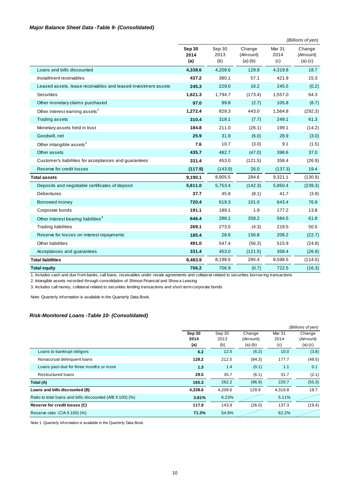#### *Major Balance Sheet Data -Table 9- (Consolidated)*

|                                                               |                       |                       |                                 |                       | (Billions of yen)               |
|---------------------------------------------------------------|-----------------------|-----------------------|---------------------------------|-----------------------|---------------------------------|
|                                                               | Sep 30<br>2014<br>(a) | Sep 30<br>2013<br>(b) | Change<br>(Amount)<br>$(a)-(b)$ | Mar 31<br>2014<br>(c) | Change<br>(Amount)<br>$(a)-(c)$ |
| Loans and bills discounted                                    | 4,338.6               | 4,208.6               | 129.9                           | 4,319.8               | 18.7                            |
| Installment receivables                                       | 437.2                 | 380.1                 | 57.1                            | 421.9                 | 15.3                            |
| Leased assets, lease receivables and leased investment assets | 245.3                 | 229.0                 | 16.2                            | 245.5                 | (0.2)                           |
| Securities                                                    | 1,621.3               | 1,794.7               | (173.4)                         | 1,557.0               | 64.3                            |
| Other monetary claims purchased                               | 97.0                  | 99.8                  | (2.7)                           | 105.8                 | (8.7)                           |
| Other interest earning assets <sup>1</sup>                    | 1,272.4               | 829.3                 | 443.0                           | 1,564.8               | (292.3)                         |
| <b>Trading assets</b>                                         | 310.4                 | 318.1                 | (7.7)                           | 249.1                 | 61.3                            |
| Monetary assets held in trust                                 | 184.8                 | 211.0                 | (26.1)                          | 199.1                 | (14.2)                          |
| Goodwill, net                                                 | 25.9                  | 31.9                  | (6.0)                           | 28.9                  | (3.0)                           |
| Other intangible assets <sup>2</sup>                          | 7.6                   | 10.7                  | (3.0)                           | 9.1                   | (1.5)                           |
| Other assets                                                  | 435.7                 | 482.7                 | (47.0)                          | 398.6                 | 37.0                            |
| Customer's liabilities for acceptances and guarantees         | 331.4                 | 453.0                 | (121.5)                         | 358.4                 | (26.9)                          |
| Reserve for credit losses                                     | (117.9)               | (143.9)               | 26.0                            | (137.3)               | 19.4                            |
| <b>Total assets</b>                                           | 9,190.1               | 8,905.5               | 284.6                           | 9,321.1               | (130.9)                         |
| Deposits and negotiable certificates of deposit               | 5,611.0               | 5,753.4               | (142.3)                         | 5,850.4               | (239.3)                         |
| Debentures                                                    | 37.7                  | 45.8                  | (8.1)                           | 41.7                  | (3.9)                           |
| Borrowed money                                                | 720.4                 | 619.3                 | 101.0                           | 643.4                 | 76.9                            |
| Corporate bonds                                               | 191.1                 | 189.1                 | 1.9                             | 177.2                 | 13.8                            |
| Other interest bearing liabilities <sup>3</sup>               | 646.4                 | 288.1                 | 358.2                           | 584.5                 | 61.8                            |
| <b>Trading liabilities</b>                                    | 269.1                 | 273.5                 | (4.3)                           | 218.5                 | 50.5                            |
| Reserve for losses on interest repayments                     | 185.4                 | 28.6                  | 156.8                           | 208.2                 | (22.7)                          |
| Other liabilities                                             | 491.0                 | 547.4                 | (56.3)                          | 515.9                 | (24.8)                          |
| Acceptances and guarantees                                    | 331.4                 | 453.0                 | (121.5)                         | 358.4                 | (26.9)                          |
| <b>Total liabilities</b>                                      | 8,483.9               | 8,198.5               | 285.4                           | 8,598.5               | (114.5)                         |
| <b>Total equity</b>                                           | 706.2                 | 706.9                 | (0.7)                           | 722.5                 | (16.3)                          |

1. Includes cash and due from banks, call loans, receivables under resale agreements and collateral related to securities borrow ing transactions

2. Intangible assets recorded through consolidation of Shinsei Financial and Show a Leasing

3. Includes call money, collateral related to securities lending transactions and short-term corporate bonds

Note: Quarterly information is available in the Quarterly Data Book.

## *Risk-Monitored Loans -Table 10- (Consolidated)*

|                                                           |         |         |           |                   | (Billions of yen) |
|-----------------------------------------------------------|---------|---------|-----------|-------------------|-------------------|
|                                                           | Sep 30  | Sep 30  | Change    | Mar <sub>31</sub> | Change            |
|                                                           | 2014    | 2013    | (Amount)  | 2014              | (Amount)          |
|                                                           | (a)     | (b)     | $(a)-(b)$ | (c)               | $(a)-(c)$         |
| Loans to bankrupt obligors                                | 6.2     | 12.5    | (6.2)     | 10.0              | (3.8)             |
| Nonaccrual delinguent loans                               | 128.2   | 212.5   | (84.3)    | 177.7             | (49.5)            |
| Loans past due for three months or more                   | 1.3     | 1.4     | (0.1)     | 1.1               | 0.1               |
| Restructured loans                                        | 29.5    | 35.7    | (6.1)     | 31.7              | (2.1)             |
| Total (A)                                                 | 165.3   | 262.2   | (96.9)    | 220.7             | (55.3)            |
| Loans and bills discounted (B)                            | 4,338.6 | 4,208.6 | 129.9     | 4,319.8           | 18.7              |
| Ratio to total loans and bills discounted (A/B X 100) (%) | 3.81%   | 6.23%   |           | 5.11%             |                   |
| Reserve for credit losses (C)                             | 117.9   | 143.9   | (26.0)    | 137.3             | (19.4)            |
| Reserve ratio $(C/A X 100)$ (%)                           | 71.3%   | 54.9%   |           | 62.2%             |                   |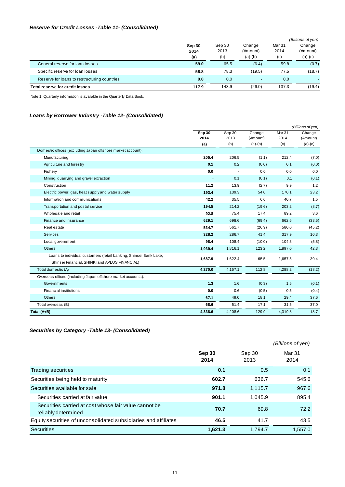# *Reserve for Credit Losses -Table 11- (Consolidated)*

|                                              |        |        |                          |        | (Billions of yen)        |
|----------------------------------------------|--------|--------|--------------------------|--------|--------------------------|
|                                              | Sep 30 | Sep 30 | Change                   | Mar 31 | Change                   |
|                                              | 2014   | 2013   | (Amount)                 | 2014   | (Amount)                 |
|                                              | (a)    | (b)    | $(a)-(b)$                | (c)    | $(a)-(c)$                |
| General reserve for loan losses              | 59.0   | 65.5   | (6.4)                    | 59.8   | (0.7)                    |
| Specific reserve for loan losses             | 58.8   | 78.3   | (19.5)                   | 77.5   | (18.7)                   |
| Reserve for loans to restructuring countries | 0.0    | 0.0    | $\overline{\phantom{0}}$ | 0.0    | $\overline{\phantom{a}}$ |
| Total reserve for credit losses              | 117.9  | 143.9  | (26.0)                   | 137.3  | (19.4)                   |

Note 1: Quarterly information is available in the Quarterly Data Book.

# *Loans by Borrower Industry -Table 12- (Consolidated)*

|                                                                                                                     |                |                | (Billions of yen)  |                           |                    |
|---------------------------------------------------------------------------------------------------------------------|----------------|----------------|--------------------|---------------------------|--------------------|
|                                                                                                                     | Sep 30<br>2014 | Sep 30<br>2013 | Change<br>(Amount) | Mar <sub>31</sub><br>2014 | Change<br>(Amount) |
|                                                                                                                     | (a)            | (b)            | $(a)-(b)$          | (c)                       | $(a)-(c)$          |
| Domestic offices (excluding Japan offshore market account):                                                         |                |                |                    |                           |                    |
| Manufacturing                                                                                                       | 205.4          | 206.5          | (1.1)              | 212.4                     | (7.0)              |
| Agriculture and forestry                                                                                            | 0.1            | 0.2            | (0.0)              | 0.1                       | (0.0)              |
| Fishery                                                                                                             | 0.0            |                | 0.0                | 0.0                       | 0.0                |
| Mining, quarrying and gravel extraction                                                                             |                | 0.1            | (0.1)              | 0.1                       | (0.1)              |
| Construction                                                                                                        | 11.2           | 13.9           | (2.7)              | 9.9                       | 1.2                |
| Electric power, gas, heat supply and water supply                                                                   | 193.4          | 139.3          | 54.0               | 170.1                     | 23.2               |
| Information and communications                                                                                      | 42.2           | 35.5           | 6.6                | 40.7                      | 1.5                |
| Transportation and postal service                                                                                   | 194.5          | 214.2          | (19.6)             | 203.2                     | (8.7)              |
| Wholesale and retail                                                                                                | 92.8           | 75.4           | 17.4               | 89.2                      | 3.6                |
| Finance and insurance                                                                                               | 629.1          | 698.6          | (69.4)             | 662.6                     | (33.5)             |
| Real estate                                                                                                         | 534.7          | 561.7          | (26.9)             | 580.0                     | (45.2)             |
| Services                                                                                                            | 328.2          | 286.7          | 41.4               | 317.9                     | 10.3               |
| Local government                                                                                                    | 98.4           | 108.4          | (10.0)             | 104.3                     | (5.8)              |
| <b>Others</b>                                                                                                       | 1,939.4        | 1,816.1        | 123.2              | 1,897.0                   | 42.3               |
| Loans to individual customers (retail banking, Shinsei Bank Lake,<br>Shinsei Financial, SHINKI and APLUS FINANCIAL) | 1,687.9        | 1,622.4        | 65.5               | 1,657.5                   | 30.4               |
| Total domestic (A)                                                                                                  | 4,270.0        | 4,157.1        | 112.8              | 4,288.2                   | (18.2)             |
| Overseas offices (including Japan offshore market accounts):                                                        |                |                |                    |                           |                    |
| Governments                                                                                                         | 1.3            | 1.6            | (0.3)              | 1.5                       | (0.1)              |
| <b>Financial institutions</b>                                                                                       | 0.0            | 0.6            | (0.5)              | 0.5                       | (0.4)              |
| <b>Others</b>                                                                                                       | 67.1           | 49.0           | 18.1               | 29.4                      | 37.6               |
| Total overseas (B)                                                                                                  | 68.6           | 51.4           | 17.1               | 31.5                      | 37.0               |
| Total (A+B)                                                                                                         | 4,338.6        | 4,208.6        | 129.9              | 4,319.8                   | 18.7               |

#### *Securities by Category -Table 13- (Consolidated)*

|                                                                              |                |                | (Billions of yen) |
|------------------------------------------------------------------------------|----------------|----------------|-------------------|
|                                                                              | Sep 30<br>2014 | Sep 30<br>2013 | Mar 31<br>2014    |
| Trading securities                                                           | 0.1            | 0.5            | 0.1               |
| Securities being held to maturity                                            | 602.7          | 636.7          | 545.6             |
| Securities available for sale                                                | 971.8          | 1,115.7        | 967.6             |
| Securities carried at fair value                                             | 901.1          | 1,045.9        | 895.4             |
| Securities carried at cost whose fair value cannot be<br>reliably determined | 70.7           | 69.8           | 72.2              |
| Equity securities of unconsolidated subsidiaries and affiliates              | 46.5           | 41.7           | 43.5              |
| <b>Securities</b>                                                            | 1,621.3        | 1,794.7        | 1,557.0           |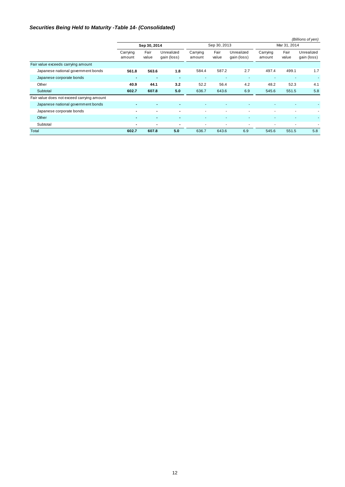#### *Securities Being Held to Maturity -Table 14- (Consolidated)*

|                                            |                    |                |                           |                    |                |                           |                    |               | (Billions of yen)         |  |
|--------------------------------------------|--------------------|----------------|---------------------------|--------------------|----------------|---------------------------|--------------------|---------------|---------------------------|--|
|                                            |                    | Sep 30, 2014   |                           |                    | Sep 30, 2013   |                           |                    | Mar 31, 2014  |                           |  |
|                                            | Carrying<br>amount | Fair<br>value  | Unrealized<br>gain (loss) | Carrying<br>amount | Fair<br>value  | Unrealized<br>gain (loss) | Carrying<br>amount | Fair<br>value | Unrealized<br>gain (loss) |  |
| Fair value exceeds carrying amount         |                    |                |                           |                    |                |                           |                    |               |                           |  |
| Japanese national government bonds         | 561.8              | 563.6          | 1.8                       | 584.4              | 587.2          | 2.7                       | 497.4              | 499.1         | 1.7                       |  |
| Japanese corporate bonds                   | $\blacksquare$     | $\sim$         | $\blacksquare$            |                    |                | $\overline{\phantom{a}}$  |                    |               |                           |  |
| Other                                      | 40.9               | 44.1           | 3.2                       | 52.2               | 56.4           | 4.2                       | 48.2               | 52.3          | 4.1                       |  |
| Subtotal                                   | 602.7              | 607.8          | 5.0                       | 636.7              | 643.6          | 6.9                       | 545.6              | 551.5         | 5.8                       |  |
| Fair value does not exceed carrying amount |                    |                |                           |                    |                |                           |                    |               |                           |  |
| Japanese national government bonds         | $\blacksquare$     | $\blacksquare$ | $\blacksquare$            | ٠                  |                |                           | ۰                  | ٠             |                           |  |
| Japanese corporate bonds                   | $\blacksquare$     | $\blacksquare$ | $\blacksquare$            | ٠                  | ٠              | $\blacksquare$            | ٠                  | ٠             |                           |  |
| Other                                      |                    | $\blacksquare$ |                           |                    |                |                           |                    | ٠             | $\sim$                    |  |
| Subtotal                                   | $\blacksquare$     | $\blacksquare$ | $\blacksquare$            | ٠                  | $\blacksquare$ | $\blacksquare$            | $\blacksquare$     | ٠             |                           |  |
| Total                                      | 602.7              | 607.8          | 5.0                       | 636.7              | 643.6          | 6.9                       | 545.6              | 551.5         | 5.8                       |  |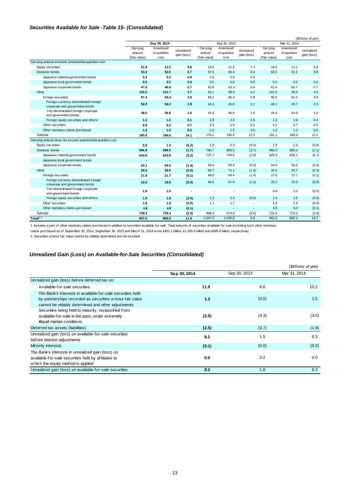#### *Securities Available for Sale -Table 15- (Consolidated)*

|                                                                        |                                    |                                   |                           |                                    |                                   |                           |                                    |                                   | (Billions of yen)         |
|------------------------------------------------------------------------|------------------------------------|-----------------------------------|---------------------------|------------------------------------|-----------------------------------|---------------------------|------------------------------------|-----------------------------------|---------------------------|
|                                                                        |                                    | Sep 30, 2014                      |                           |                                    | Sep 30, 2013                      |                           |                                    | Mar 31, 2014                      |                           |
|                                                                        | Carrying<br>amount<br>(Fair value) | Amortized/<br>Acquisition<br>cost | Unrealized<br>gain (loss) | Carrying<br>amount<br>(Fair value) | Amortized/<br>Acquisition<br>cost | Unrealized<br>gain (loss) | Carrying<br>amount<br>(Fair value) | Amortized/<br>Acquisition<br>cost | Unrealized<br>gain (loss) |
| Carrying amount exceeds amortized/acquisition cost                     |                                    |                                   |                           |                                    |                                   |                           |                                    |                                   |                           |
| Equity securities                                                      | 21.9                               | 12.2                              | 9.6                       | 18.9                               | 11.5                              | 7.4                       | 18.0                               | 11.1                              | 6.8                       |
| Domestic bonds                                                         | 53.3                               | 52.6                              | 0.7                       | 67.0                               | 66.4                              | 0.6                       | 62.0                               | 61.2                              | 0.8                       |
| Japanese national government bonds                                     | 5.2                                | 5.2                               | 0.0                       | 2.5                                | 2.5                               | 0.0                       |                                    |                                   |                           |
| Japanese local government bonds                                        | 0.5                                | 0.5                               | 0.0                       | 0.5                                | 0.5                               | 0.0                       | 0.5                                | 0.5                               | 0.0                       |
| Japanese corporate bonds                                               | 47.5                               | 46.8                              | 0.7                       | 63.9                               | 63.3                              | 0.6                       | 61.4                               | 60.7                              | 0.7                       |
| Other                                                                  | 105.5                              | 101.7                             | 3.7                       | 93.1                               | 88.9                              | 4.2                       | 101.0                              | 96.5                              | 4.5                       |
| Foreign securities                                                     | 97.4                               | 94.4                              | 3.0                       | 89.2                               | 85.3                              | 3.8                       | 95.5                               | 91.5                              | 3.9                       |
| Foreign currency denominated foreign<br>corporate and government bonds | 58.0                               | 56.2                              | 1.8                       | 44.3                               | 42.0                              | 2.2                       | 48.1                               | 45.7                              | 2.3                       |
| Yen-denominated foreign corporate<br>and government bonds              | 38.0                               | 36.9                              | $1.0$                     | 42.0                               | 40.9                              | 1.0                       | 45.0                               | 43.9                              | 1.0                       |
| Foreign equity securities and others                                   | $1.3$                              | 1.2                               | 0.1                       | 2.8                                | 2.3                               | 0.5                       | 2.3                                | 1.8                               | 0.4                       |
| Other securities                                                       | 6.9                                | 6.2                               | 0.7                       | 2.2                                | 1.9                               | 0.2                       | 4.2                                | 3.7                               | 0.5                       |
| Other monetary claims purchased                                        | 1.0                                | 1.0                               | 0.0                       | 1.6                                | 1.5                               | 0.0                       | 1.3                                | 1.2                               | 0.0                       |
| Subtotal                                                               | 180.8                              | 166.6                             | 14.1                      | 179.1                              | 166.8                             | 12.3                      | 181.1                              | 168.9                             | 12.1                      |
| Carrying amount does not exceed amortized/acquisition cost             |                                    |                                   |                           |                                    |                                   |                           |                                    |                                   |                           |
| Equity securities                                                      | 0.9                                | 1.2                               | (0.2)                     | 1.8                                | 2.3                               | (0.4)                     | 1.9                                | 2.3                               | (0.4)                     |
| Domestic bonds                                                         | 696.8                              | 698.5                             | (1.7)                     | 796.7                              | 800.5                             | (3.7)                     | 684.0                              | 685.2                             | (1.1)                     |
| Japanese national government bonds                                     | 643.6                              | 643.9                             | (0.2)                     | 737.7                              | 740.6                             | (2.9)                     | 629.3                              | 630.1                             | (0.7)                     |
| Japanese local government bonds                                        |                                    |                                   |                           | ×                                  | $\overline{\phantom{a}}$          |                           |                                    | ×                                 |                           |
| Japanese corporate bonds                                               | 53.1                               | 54.6                              | (1.4)                     | 59.0                               | 59.9                              | (0.8)                     | 54.6                               | 55.0                              | (0.4)                     |
| Other                                                                  | 28.4                               | 28.6                              | (0.2)                     | 69.7                               | 71.1                              | (1.4)                     | 35.4                               | 35.7                              | (0.3)                     |
| Foreign securities                                                     | 21.6                               | 21.7                              | (0.1)                     | 68.0                               | 69.4                              | (1.4)                     | 27.6                               | 27.7                              | (0.1)                     |
| Foreign currency denominated foreign<br>corporate and government bonds | 19.5                               | 19.6                              | (0.0)                     | 66.6                               | 67.9                              | (1.3)                     | 25.2                               | 25.2                              | (0.0)                     |
| Yen-denominated foreign corporate<br>and government bonds              | $1.0$                              | 1.0                               |                           |                                    |                                   |                           | 0.9                                | 1.0                               | (0.0)                     |
| Foreign equity securities and others                                   | $1.0$                              | 1.0                               | (0.0)                     | 1.3                                | 1.4                               | (0.0)                     | 1.4                                | 1.5                               | (0.0)                     |
| Other securities                                                       | 1.9                                | 1.9                               | (0.0)                     | 1.7                                | 1.7                               |                           | 1.9                                | 1.9                               | (0.0)                     |
| Other monetary claims purchased                                        | 4.8                                | 4.9                               | (0.1)                     | ×                                  | $\overline{\phantom{a}}$          | ٠                         | 5.8                                | 6.0                               | (0.1)                     |
| Subtotal                                                               | 726.2                              | 728.4                             | (2.2)                     | 868.3                              | 874.0                             | (5.6)                     | 721.4                              | 723.3                             | (1.9)                     |
| Total <sup>1, 2</sup>                                                  | 907.0                              | 895.0                             | 11.9                      | 1.047.5                            | 1.040.8                           | 6.6                       | 902.5                              | 892.2                             | 10.2                      |

1. Includes a part of other monetary claims purchased in addition to securities available for sale. Total amounts of securities available for sale excluding such other monetary

claims purchased as of September 30, 2014, September 30, 2013 and March 31, 2014 w ere ¥901.1 billion, ¥1,045.9 billion and ¥895.4 billion, respectively.

2. Securities w hose fair value cannot be reliably determined are not included.

#### *Unrealized Gain (Loss) on Available-for-Sale Securities (Consolidated)*

|                                                                                                                                                                               |              |              | (Billions of yen) |
|-------------------------------------------------------------------------------------------------------------------------------------------------------------------------------|--------------|--------------|-------------------|
|                                                                                                                                                                               | Sep 30, 2014 | Sep 30, 2013 | Mar 31, 2014      |
| Unrealized gain (loss) before deferred tax on:                                                                                                                                |              |              |                   |
| Available-for-sale securities                                                                                                                                                 | 11.9         | 6.6          | 10.2              |
| The Bank's interests in available-for-sale securities held<br>by partnerships recorded as securities w hose fair value<br>cannot be reliably determined and other adjustments | 1.3          | (0.0)        | 1.5               |
| Securities being held to maturity, reclassified from<br>available-for-sale in the past, under extremely<br>illiquid market conditions                                         | (2.5)        | (4.3)        | (3.5)             |
| Deferred tax assets (liabilities)                                                                                                                                             | (2.5)        | (0.7)        | (1.9)             |
| Unrealized gain (loss) on available-for-sale securities<br>before interest adjustments                                                                                        | 8.2          | 1.5          | 6.3               |
| Minority interests                                                                                                                                                            | (0.1)        | (0.0)        | (0.0)             |
| The Bank's interests in unrealized gain (loss) on<br>available-for-sale securities held by affiliates to<br>w hich the equity method is applied                               | 0.0          | 0.2          | 0.0               |
| Unrealized gain (loss) on available-for-sale securities                                                                                                                       | 8.2          | 1.8          | 6.2               |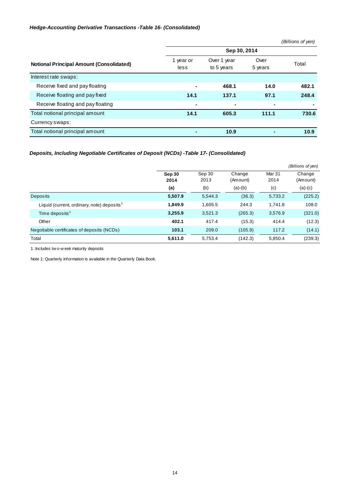## *Hedge-Accounting Derivative Transactions -Table 16- (Consolidated)*

|                                                 |                   |                           |                 | (Billions of yen) |
|-------------------------------------------------|-------------------|---------------------------|-----------------|-------------------|
|                                                 |                   | Sep 30, 2014              |                 |                   |
| <b>Notional Principal Amount (Consolidated)</b> | 1 year or<br>less | Over 1 year<br>to 5 years | Over<br>5 years | Total             |
| Interest rate swaps:                            |                   |                           |                 |                   |
| Receive fixed and pay floating                  | $\blacksquare$    | 468.1                     | 14.0            | 482.1             |
| Receive floating and pay fixed                  | 14.1              | 137.1                     | 97.1            | 248.4             |
| Receive floating and pay floating               | $\blacksquare$    | $\blacksquare$            | $\blacksquare$  | $\blacksquare$    |
| Total notional principal amount                 | 14.1              | 605.3                     | 111.1           | 730.6             |
| Currency swaps:                                 |                   |                           |                 |                   |
| Total notional principal amount                 |                   | 10.9                      |                 | 10.9              |

# *Deposits, Including Negotiable Certificates of Deposit (NCDs) -Table 17- (Consolidated)*

|                                                        |                |                |                    |                | (Billions of yen)  |
|--------------------------------------------------------|----------------|----------------|--------------------|----------------|--------------------|
|                                                        | Sep 30<br>2014 | Sep 30<br>2013 | Change<br>(Amount) | Mar 31<br>2014 | Change<br>(Amount) |
|                                                        | (a)            | (b)            | $(a)-(b)$          | (c)            | $(a)-(c)$          |
| Deposits                                               | 5,507.9        | 5,544.3        | (36.3)             | 5,733.2        | (225.2)            |
| Liquid (current, ordinary, note) deposits <sup>1</sup> | 1.849.9        | 1,605.5        | 244.3              | 1.741.8        | 108.0              |
| Time deposits <sup>1</sup>                             | 3,255.9        | 3,521.3        | (265.3)            | 3,576.9        | (321.0)            |
| Other                                                  | 402.1          | 417.4          | (15.3)             | 414.4          | (12.3)             |
| Negotiable certificates of deposits (NCDs)             | 103.1          | 209.0          | (105.9)            | 117.2          | (14.1)             |
| Total                                                  | 5,611.0        | 5,753.4        | (142.3)            | 5,850.4        | (239.3)            |

1. Includes tw o-w eek maturity deposits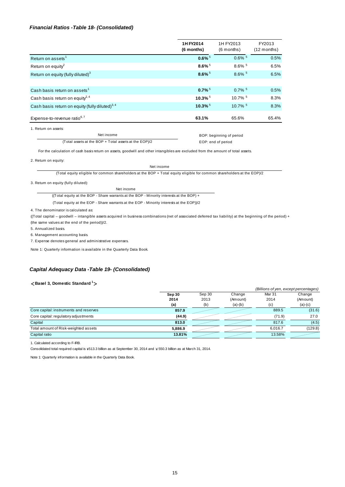#### *Financial Ratios -Table 18- (Consolidated)*

|                                                            | 1H FY2014<br>(6 months) | 1H FY2013<br>$(6$ months) | FY2013<br>$(12$ months) |
|------------------------------------------------------------|-------------------------|---------------------------|-------------------------|
| Return on assets <sup>1</sup>                              | $0.6\%$ <sup>5</sup>    | $0.6\%$ <sup>5</sup>      | 0.5%                    |
| Return on equity <sup>2</sup>                              | $8.6\%$ <sup>5</sup>    | $8.6\%$ <sup>5</sup>      | 6.5%                    |
| Return on equity (fully diluted) <sup>3</sup>              | $8.6\%$ <sup>5</sup>    | $8.6\%$ <sup>5</sup>      | 6.5%                    |
|                                                            |                         |                           |                         |
| Cash basis return on assets <sup>1</sup>                   | $0.7\%$ <sup>5</sup>    | $0.7\%$ <sup>5</sup>      | 0.5%                    |
| Cash basis return on equity <sup>2,4</sup>                 | $10.3\%$ <sup>5</sup>   | 10.7% 5                   | 8.3%                    |
| Cash basis return on equity (fully diluted) <sup>3,4</sup> | $10.3\%$ <sup>5</sup>   | $10.7\%$ <sup>5</sup>     | 8.3%                    |
| Expense-to-revenue ratio <sup>6,7</sup>                    | 63.1%                   | 65.6%                     | 65.4%                   |

1. Return on assets:

Net income (Total assets at the BOP + Total assets at the EOP)/2

 BOP: beginning of period EOP: end of period

For the calculation of cash basis return on assets, goodwill and other intangibles are excluded from the amount of total assets.

2. Return on equity:

Net income

(Total equity eligible for common shareholders at the BOP + Total equity eligible for common shareholders at the EOP)/2

3. Return on equity (fully diluted):

Net income ((Total equity at the BOP - Share warrants at the BOP - Minority interests at the BOP) +

(Total equity at the EOP - Share warrants at the EOP - Minority interests at the EOP))/2

4. The denominator is calculated as:

((Total capital – goodwill – intangible assets acquired in business combinations (net of associated deferred tax liability) at the beginning of the period) + (the same values at the end of the period))/2.

5. Annualized basis.

6. Management accounting basis.

7. Expense denotes general and administrative expenses.

Note 1: Quarterly information is available in the Quarterly Data Book.

#### *Capital Adequacy Data -Table 19- (Consolidated)*

#### <**Basel 3, Domestic Standard 1**>

|                                        |         |        |           | (Billions of yen, except percentages) |           |
|----------------------------------------|---------|--------|-----------|---------------------------------------|-----------|
|                                        | Sep 30  | Sep 30 | Change    | Mar 31                                | Change    |
|                                        | 2014    | 2013   | (Amount)  | 2014                                  | (Amount)  |
|                                        | (a)     | (b)    | $(a)-(b)$ | (c)                                   | $(a)-(c)$ |
| Core capital: instruments and reserves | 857.9   |        |           | 889.5                                 | (31.6)    |
| Core capital: regulatory adjustments   | (44.9)  |        |           | (71.9)                                | 27.0      |
| Capital                                | 813.0   |        |           | 817.6                                 | (4.5)     |
| Total amount of Risk-weighted assets   | 5,886.9 |        |           | 6.016.7                               | (129.8)   |
| Capital ratio                          | 13.81%  |        |           | 13.58%                                |           |

1. Calculated according to F-IRB.

Consolidated total required capital is  $*513.3$  billion as at September 30, 2014 and  $*550.3$  billion as at March 31, 2014.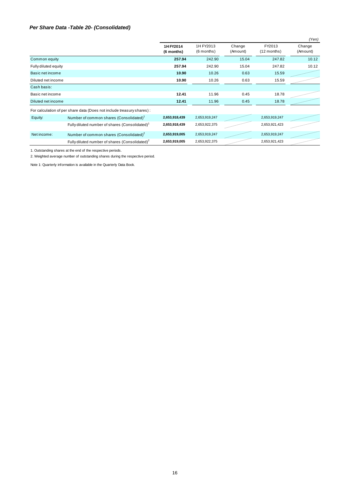#### *Per Share Data -Table 20- (Consolidated)*

|                      |                                                                        |                         |                           |                    |                         | (Yen)              |
|----------------------|------------------------------------------------------------------------|-------------------------|---------------------------|--------------------|-------------------------|--------------------|
|                      |                                                                        | 1H FY2014<br>(6 months) | 1H FY2013<br>$(6$ months) | Change<br>(Amount) | FY2013<br>$(12$ months) | Change<br>(Amount) |
| Common equity        |                                                                        | 257.94                  | 242.90                    | 15.04              | 247.82                  | 10.12              |
| Fully diluted equity |                                                                        | 257.94                  | 242.90                    | 15.04              | 247.82                  | 10.12              |
| Basic net income     |                                                                        | 10.90                   | 10.26                     | 0.63               | 15.59                   |                    |
| Diluted net income   |                                                                        | 10.90                   | 10.26                     | 0.63               | 15.59                   |                    |
| Cash basis:          |                                                                        |                         |                           |                    |                         |                    |
| Basic net income     |                                                                        | 12.41                   | 11.96                     | 0.45               | 18.78                   |                    |
| Diluted net income   |                                                                        | 12.41                   | 11.96                     | 0.45               | 18.78                   |                    |
|                      | For calculation of per share data (Does not include treasury shares) : |                         |                           |                    |                         |                    |
| Equity:              | Number of common shares (Consolidated) <sup>1</sup>                    | 2,653,918,439           | 2,653,919,247             |                    | 2,653,919,247           |                    |
|                      | Fully diluted number of shares (Consolidated) <sup>1</sup>             | 2,653,918,439           | 2,653,922,375             |                    | 2,653,921,423           |                    |
| Net income:          | Number of common shares (Consolidated) <sup>2</sup>                    | 2,653,919,005           | 2,653,919,247             |                    | 2,653,919,247           |                    |
|                      | Fully diluted number of shares (Consolidated) <sup>2</sup>             | 2,653,919,005           | 2,653,922,375             |                    | 2,653,921,423           |                    |

1. Outstanding shares at the end of the respective periods.

2. Weighted average number of outstanding shares during the respective period.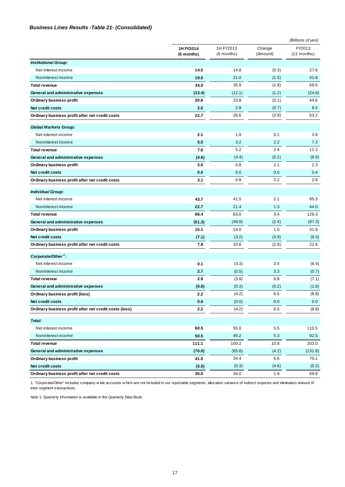#### *Business Lines Results -Table 21- (Consolidated)*

|                                                        |                         |                           |                    | (Billions of yen)       |
|--------------------------------------------------------|-------------------------|---------------------------|--------------------|-------------------------|
|                                                        | 1H FY2014<br>(6 months) | 1H FY2013<br>$(6$ months) | Change<br>(Amount) | FY2013<br>$(12$ months) |
| <b>Institutional Group:</b>                            |                         |                           |                    |                         |
| Net interest income                                    | 14.5                    | 14.8                      | (0.3)              | 27.6                    |
| Noninterest income                                     | 19.5                    | 21.0                      | (1.5)              | 41.8                    |
| <b>Total revenue</b>                                   | 34.0                    | 35.9                      | (1.8)              | 69.5                    |
| General and administrative expenses                    | (13.4)                  | (12.1)                    | (1.2)              | (24.8)                  |
| Ordinary business profit                               | 20.6                    | 23.8                      | (3.1)              | 44.6                    |
| Net credit costs                                       | 2.0                     | 2.8                       | (0.7)              | 8.5                     |
| Ordinary business profit after net credit costs        | 22.7                    | 26.6                      | (3.9)              | 53.2                    |
| <b>Global Markets Group:</b>                           |                         |                           |                    |                         |
| Net interest income                                    | 2.1                     | 1.9                       | 0.1                | 3.9                     |
| Noninterest income                                     | 5.5                     | 3.2                       | 2.2                | 7.3                     |
| <b>Total revenue</b>                                   | 7.6                     | 5.2                       | 2.4                | 11.2                    |
| General and administrative expenses                    | (4.6)                   | (4.4)                     | (0.2)              | (8.9)                   |
| Ordinary business profit                               | 3.0                     | 0.8                       | 2.1                | 2.3                     |
| Net credit costs                                       | 0.0                     | 0.0                       | 0.0                | 0.4                     |
| Ordinary business profit after net credit costs        | 3.1                     | 0.8                       | 2.2                | 2.8                     |
| <b>Individual Group:</b>                               |                         |                           |                    |                         |
| Net interest income                                    | 43.7                    | 41.5                      | 2.1                | 85.3                    |
| Noninterest income                                     | 22.7                    | 21.4                      | 1.3                | 44.0                    |
| <b>Total revenue</b>                                   | 66.4                    | 63.0                      | 3.4                | 129.3                   |
| General and administrative expenses                    | (51.3)                  | (48.9)                    | (2.4)              | (97.3)                  |
| Ordinary business profit                               | 15.1                    | 14.0                      | 1.0                | 31.9                    |
| Net credit costs                                       | (7.1)                   | (3.2)                     | (3.9)              | (9.3)                   |
| Ordinary business profit after net credit costs        | 7.9                     | 10.8                      | (2.9)              | 22.6                    |
| Corporate/Other <sup>1</sup> :                         |                         |                           |                    |                         |
| Net interest income                                    | 0.1                     | (3.3)                     | 3.5                | (6.4)                   |
| Noninterest income                                     | 2.7                     | (0.5)                     | 3.3                | (0.7)                   |
| <b>Total revenue</b>                                   | 2.9                     | (3.9)                     | 6.8                | (7.1)                   |
| General and administrative expenses                    | (0.6)                   | (0.3)                     | (0.2)              | (1.6)                   |
| Ordinary business profit (loss)                        | 2.2                     | (4.2)                     | 6.5                | (8.8)                   |
| Net credit costs                                       | 0.0                     | (0.0)                     | 0.0                | 0.0                     |
| Ordinary business profit after net credit costs (loss) | $2.2\,$                 | (4.2)                     | 6.5                | (8.8)                   |
| Total:                                                 |                         |                           |                    |                         |
| Net interest income                                    | 60.5                    | 55.0                      | 5.5                | 110.5                   |
| Noninterest income                                     | 50.5                    | 45.2                      | 5.3                | 92.5                    |
| <b>Total revenue</b>                                   | 111.1                   | 100.2                     | 10.8               | 203.0                   |
| General and administrative expenses                    | (70.0)                  | (65.8)                    | (4.2)              | (132.8)                 |
| Ordinary business profit                               | 41.0                    | 34.4                      | 6.6                | 70.1                    |
| Net credit costs                                       | (5.0)                   | (0.3)                     | (4.6)              | (0.2)                   |
| Ordinary business profit after net credit costs        | 36.0                    | 34.0                      | 1.9                | 69.8                    |

1. "Corporate/Other" includes company-w ide accounts w hich are not included in our reportable segments, allocation variance of indirect expense and elimination amount of inter-segment transactions.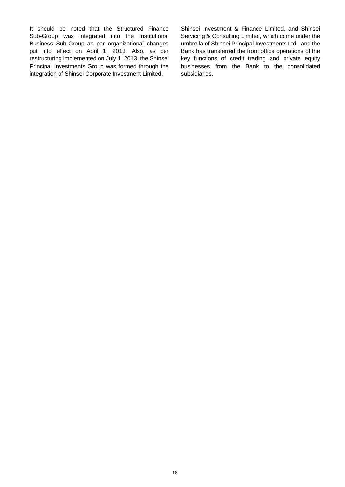It should be noted that the Structured Finance Sub-Group was integrated into the Institutional Business Sub-Group as per organizational changes put into effect on April 1, 2013. Also, as per restructuring implemented on July 1, 2013, the Shinsei Principal Investments Group was formed through the integration of Shinsei Corporate Investment Limited,

Shinsei Investment & Finance Limited, and Shinsei Servicing & Consulting Limited, which come under the umbrella of Shinsei Principal Investments Ltd., and the Bank has transferred the front office operations of the key functions of credit trading and private equity businesses from the Bank to the consolidated subsidiaries.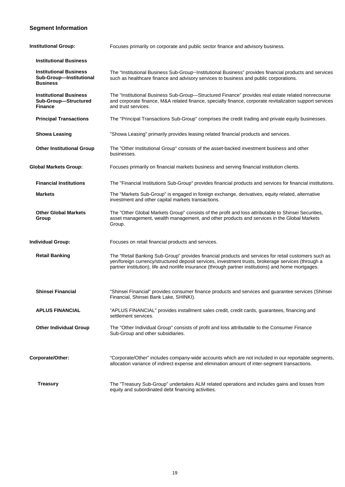## **Segment Information**

| <b>Institutional Group:</b>                                                 | Focuses primarily on corporate and public sector finance and advisory business.                                                                                                                                                                                                                                   |
|-----------------------------------------------------------------------------|-------------------------------------------------------------------------------------------------------------------------------------------------------------------------------------------------------------------------------------------------------------------------------------------------------------------|
| <b>Institutional Business</b>                                               |                                                                                                                                                                                                                                                                                                                   |
| <b>Institutional Business</b><br>Sub-Group-Institutional<br><b>Business</b> | The "Institutional Business Sub-Group-Institutional Business" provides financial products and services<br>such as healthcare finance and advisory services to business and public corporations.                                                                                                                   |
| <b>Institutional Business</b><br>Sub-Group-Structured<br><b>Finance</b>     | The "Institutional Business Sub-Group-Structured Finance" provides real estate related nonrecourse<br>and corporate finance, M&A related finance, specialty finance, corporate revitalization support services<br>and trust services.                                                                             |
| <b>Principal Transactions</b>                                               | The "Principal Transactions Sub-Group" comprises the credit trading and private equity businesses.                                                                                                                                                                                                                |
| <b>Showa Leasing</b>                                                        | "Showa Leasing" primarily provides leasing related financial products and services.                                                                                                                                                                                                                               |
| <b>Other Institutional Group</b>                                            | The "Other Institutional Group" consists of the asset-backed investment business and other<br>businesses.                                                                                                                                                                                                         |
| <b>Global Markets Group:</b>                                                | Focuses primarily on financial markets business and serving financial institution clients.                                                                                                                                                                                                                        |
| <b>Financial Institutions</b>                                               | The "Financial Institutions Sub-Group" provides financial products and services for financial institutions.                                                                                                                                                                                                       |
| <b>Markets</b>                                                              | The "Markets Sub-Group" is engaged in foreign exchange, derivatives, equity related, alternative<br>investment and other capital markets transactions.                                                                                                                                                            |
| <b>Other Global Markets</b><br>Group                                        | The "Other Global Markets Group" consists of the profit and loss attributable to Shinsei Securities,<br>asset management, wealth management, and other products and services in the Global Markets<br>Group.                                                                                                      |
| <b>Individual Group:</b>                                                    | Focuses on retail financial products and services.                                                                                                                                                                                                                                                                |
| <b>Retail Banking</b>                                                       | The "Retail Banking Sub-Group" provides financial products and services for retail customers such as<br>yen/foreign currency/structured deposit services, investment trusts, brokerage services (through a<br>partner institution), life and nonlife insurance (through partner institutions) and home mortgages. |
| <b>Shinsei Financial</b>                                                    | "Shinsei Financial" provides consumer finance products and services and guarantee services (Shinsei<br>Financial, Shinsei Bank Lake, SHINKI).                                                                                                                                                                     |
| <b>APLUS FINANCIAL</b>                                                      | "APLUS FINANCIAL" provides installment sales credit, credit cards, guarantees, financing and<br>settlement services.                                                                                                                                                                                              |
| <b>Other Individual Group</b>                                               | The "Other Individual Group" consists of profit and loss attributable to the Consumer Finance<br>Sub-Group and other subsidiaries.                                                                                                                                                                                |
| Corporate/Other:                                                            | "Corporate/Other" includes company-wide accounts which are not included in our reportable segments,<br>allocation variance of indirect expense and elimination amount of inter-segment transactions.                                                                                                              |
| <b>Treasury</b>                                                             | The "Treasury Sub-Group" undertakes ALM related operations and includes gains and losses from<br>equity and subordinated debt financing activities.                                                                                                                                                               |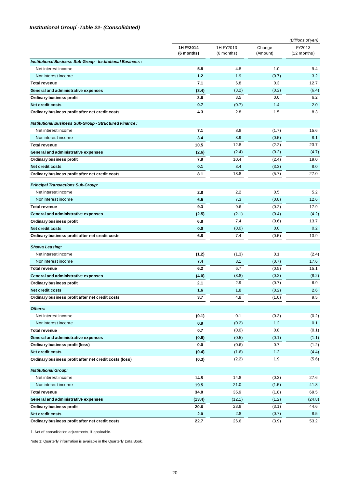# Institutional Group<sup>1</sup>-Table 22- (Consolidated)

|                                                                     |                         |                           | (Billions of yen)  |                         |
|---------------------------------------------------------------------|-------------------------|---------------------------|--------------------|-------------------------|
|                                                                     | 1H FY2014<br>(6 months) | 1H FY2013<br>$(6$ months) | Change<br>(Amount) | FY2013<br>$(12$ months) |
| Institutional Business Sub-Group - Institutional Business:          |                         |                           |                    |                         |
| Net interest income                                                 | 5.8                     | 4.8                       | 1.0                | 9.4                     |
| Noninterest income                                                  | $1.2$                   | 1.9                       | (0.7)              | 3.2                     |
| <b>Total revenue</b>                                                | 7.1                     | 6.8                       | 0.3                | 12.7                    |
| General and administrative expenses                                 | (3.4)                   | (3.2)                     | (0.2)              | (6.4)                   |
| <b>Ordinary business profit</b>                                     | 3.6                     | 3.5                       | 0.0                | 6.2                     |
| Net credit costs                                                    | 0.7                     | (0.7)                     | 1.4                | 2.0                     |
| Ordinary business profit after net credit costs                     | 4.3                     | 2.8                       | 1.5                | 8.3                     |
| Institutional Business Sub-Group - Structured Finance:              |                         |                           |                    |                         |
| Net interest income                                                 | 7.1                     | 8.8                       | (1.7)              | 15.6                    |
| Noninterest income                                                  | 3.4                     | 3.9                       | (0.5)              | 8.1                     |
| <b>Total revenue</b>                                                | 10.5                    | 12.8                      | (2.2)              | 23.7                    |
| General and administrative expenses                                 | (2.6)                   | (2.4)                     | (0.2)              | (4.7)                   |
| <b>Ordinary business profit</b>                                     | 7.9                     | 10.4                      | (2.4)              | 19.0                    |
| Net credit costs                                                    | 0.1                     | 3.4                       | (3.3)              | 8.0                     |
| Ordinary business profit after net credit costs                     | 8.1                     | 13.8                      | (5.7)              | 27.0                    |
| <b>Principal Transactions Sub-Group:</b>                            |                         |                           |                    |                         |
| Net interest income                                                 | 2.8                     | 2.2                       | 0.5                | 5.2                     |
| Noninterest income                                                  | 6.5                     | 7.3                       | (0.8)              | 12.6                    |
| <b>Total revenue</b>                                                | 9.3                     | 9.6                       | (0.2)              | 17.9                    |
| General and administrative expenses                                 | (2.5)                   | (2.1)                     | (0.4)              | (4.2)                   |
| <b>Ordinary business profit</b>                                     | $6.8\,$                 | 7.4                       | (0.6)              | 13.7                    |
| Net credit costs                                                    | 0.0                     | (0.0)                     | 0.0                | 0.2                     |
| Ordinary business profit after net credit costs                     | 6.8                     | 7.4                       | (0.5)              | 13.9                    |
|                                                                     |                         |                           |                    |                         |
| <b>Showa Leasing:</b><br>Net interest income                        |                         |                           | 0.1                |                         |
|                                                                     | (1.2)                   | (1.3)                     |                    | (2.4)                   |
| Noninterest income                                                  | 7.4                     | 8.1                       | (0.7)              | 17.6<br>15.1            |
| <b>Total revenue</b>                                                | 6.2                     | 6.7                       | (0.5)              |                         |
| General and administrative expenses                                 | (4.0)                   | (3.8)                     | (0.2)              | (8.2)                   |
| <b>Ordinary business profit</b>                                     | 2.1                     | 2.9                       | (0.7)              | 6.9                     |
| Net credit costs<br>Ordinary business profit after net credit costs | 1.6<br>3.7              | 1.8<br>4.8                | (0.2)<br>(1.0)     | 2.6<br>9.5              |
|                                                                     |                         |                           |                    |                         |
| Others:                                                             |                         |                           |                    |                         |
| Net interest income                                                 | (0.1)                   | 0.1                       | (0.3)              | (0.2)                   |
| Noninterest income                                                  | 0.9                     | (0.2)                     | $1.2$              | 0.1                     |
| <b>Total revenue</b>                                                | 0.7                     | (0.0)                     | 0.8                | (0.1)                   |
| General and administrative expenses                                 | (0.6)                   | (0.5)                     | (0.1)              | (1.1)                   |
| Ordinary business profit (loss)                                     | $0.0\,$                 | (0.6)                     | 0.7                | (1.2)                   |
| Net credit costs                                                    | (0.4)                   | (1.6)                     | $1.2$<br>1.9       | (4.4)                   |
| Ordinary business profit after net credit costs (loss)              | (0.3)                   | (2.2)                     |                    | (5.6)                   |
| <b>Institutional Group:</b>                                         |                         |                           |                    |                         |
| Net interest income                                                 | 14.5                    | 14.8                      | (0.3)              | 27.6                    |
| Noninterest income                                                  | 19.5                    | 21.0                      | (1.5)              | 41.8                    |
| <b>Total revenue</b>                                                | 34.0                    | 35.9                      | (1.8)              | 69.5                    |
| General and administrative expenses                                 | (13.4)                  | (12.1)                    | (1.2)              | (24.8)                  |
| Ordinary business profit                                            | 20.6                    | 23.8                      | (3.1)              | 44.6                    |
| Net credit costs                                                    | 2.0                     | 2.8                       | (0.7)              | 8.5                     |
| Ordinary business profit after net credit costs                     | 22.7                    | 26.6                      | (3.9)              | 53.2                    |

1. Net of consolidation adjustments, if applicable.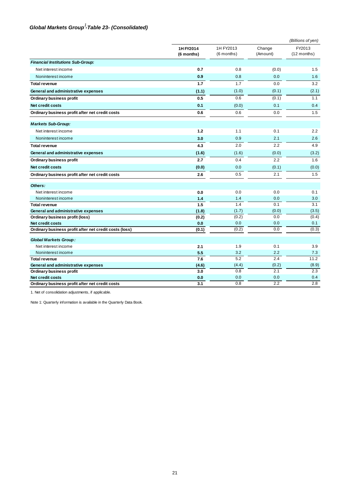# Global Markets Group<sup>1</sup>-Table 23- (Consolidated)

|                                                                            |                         |                           |                    | (Billions of yen)     |
|----------------------------------------------------------------------------|-------------------------|---------------------------|--------------------|-----------------------|
|                                                                            | 1H FY2014<br>(6 months) | 1H FY2013<br>$(6$ months) | Change<br>(Amount) | FY2013<br>(12 months) |
| <b>Financial Institutions Sub-Group:</b>                                   |                         |                           |                    |                       |
| Net interest income                                                        | 0.7                     | 0.8                       | (0.0)              | 1.5                   |
| Noninterest income                                                         | 0.9                     | 0.8                       | 0.0                | 1.6                   |
| <b>Total revenue</b>                                                       | 1.7                     | 1.7                       | 0.0                | 3.2                   |
| General and administrative expenses                                        | (1.1)                   | (1.0)                     | (0.1)              | (2.1)                 |
| Ordinary business profit                                                   | 0.5                     | 0.6                       | (0.1)              | 1.1                   |
| Net credit costs                                                           | 0.1                     | (0.0)                     | 0.1                | 0.4                   |
| Ordinary business profit after net credit costs                            | 0.6                     | 0.6                       | 0.0                | 1.5                   |
| <b>Markets Sub-Group:</b>                                                  |                         |                           |                    |                       |
| Net interest income                                                        | 1.2                     | 1.1                       | 0.1                | 2.2                   |
| Noninterest income                                                         | 3.0                     | 0.9                       | 2.1                | 2.6                   |
| <b>Total revenue</b>                                                       | 4.3                     | 2.0                       | 2.2                | 4.9                   |
| General and administrative expenses                                        | (1.6)                   | (1.6)                     | (0.0)              | (3.2)                 |
| Ordinary business profit                                                   | 2.7                     | 0.4                       | 2.2                | 1.6                   |
| <b>Net credit costs</b>                                                    | (0.0)                   | 0.0                       | (0.1)              | (0.0)                 |
| Ordinary business profit after net credit costs                            | 2.6                     | 0.5                       | 2.1                | 1.5                   |
| Others:                                                                    |                         |                           |                    |                       |
| Net interest income                                                        | 0.0                     | 0.0                       | 0.0                | 0.1                   |
| Noninterest income                                                         | 1.4                     | 1.4                       | 0.0                | 3.0                   |
| <b>Total revenue</b>                                                       | 1.5                     | 1.4                       | 0.1                | 3.1                   |
| General and administrative expenses                                        | (1.8)                   | (1.7)                     | (0.0)              | (3.5)                 |
| Ordinary business profit (loss)                                            | (0.2)                   | (0.2)                     | 0.0                | (0.4)                 |
| Net credit costs<br>Ordinary business profit after net credit costs (loss) | 0.0<br>(0.1)            | 0.0<br>(0.2)              | 0.0<br>0.0         | 0.1<br>(0.3)          |
|                                                                            |                         |                           |                    |                       |
| <b>Global Markets Group:</b>                                               |                         |                           |                    |                       |
| Net interest income                                                        | 2.1                     | 1.9                       | 0.1                | 3.9                   |
| Noninterest income                                                         | 5.5                     | 3.2                       | 2.2                | 7.3                   |
| <b>Total revenue</b>                                                       | 7.6                     | 5.2                       | 2.4                | 11.2                  |
| General and administrative expenses                                        | (4.6)                   | (4.4)                     | (0.2)              | (8.9)                 |
| Ordinary business profit                                                   | 3.0                     | 0.8                       | 2.1                | 2.3                   |
| Net credit costs                                                           | 0.0                     | 0.0                       | 0.0                | 0.4                   |
| Ordinary business profit after net credit costs                            | 3.1                     | 0.8                       | 2.2                | 2.8                   |

1. Net of consolidation adjustments, if applicable.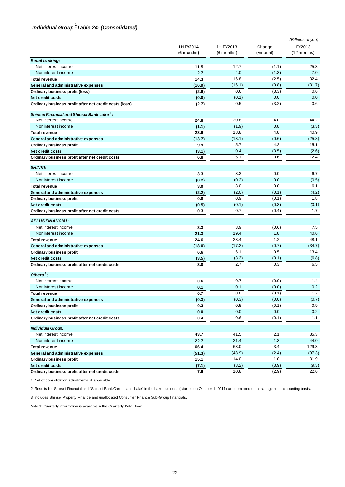# *Individual Group -Table 24- (Consolidated) 1*

|                                                        | (Billions of yen)       |                           |                    |                         |  |
|--------------------------------------------------------|-------------------------|---------------------------|--------------------|-------------------------|--|
|                                                        | 1H FY2014<br>(6 months) | 1H FY2013<br>$(6$ months) | Change<br>(Amount) | FY2013<br>$(12$ months) |  |
| <b>Retail banking:</b>                                 |                         |                           |                    |                         |  |
| Net interest income                                    | 11.5                    | 12.7                      | (1.1)              | 25.3                    |  |
| Noninterest income                                     | 2.7                     | 4.0                       | (1.3)              | 7.0                     |  |
| <b>Total revenue</b>                                   | 14.3                    | 16.8                      | (2.5)              | 32.4                    |  |
| General and administrative expenses                    | (16.9)                  | (16.1)                    | (0.8)              | (31.7)                  |  |
| Ordinary business profit (loss)                        | (2.6)                   | 0.6                       | (3.3)              | 0.6                     |  |
| <b>Net credit costs</b>                                | (0.0)                   | (0.1)                     | 0.0                | 0.0                     |  |
| Ordinary business profit after net credit costs (loss) | (2.7)                   | 0.5                       | (3.2)              | 0.6                     |  |
| Shinsei Financial and Shinsei Bank Lake <sup>2</sup> : |                         |                           |                    |                         |  |
| Net interest income                                    | 24.8                    | 20.8                      | 4.0                | 44.2                    |  |
| Noninterest income                                     | (1.1)                   | (1.9)                     | 0.8                | (3.3)                   |  |
| <b>Total revenue</b>                                   | 23.6                    | 18.8                      | 4.8                | 40.9                    |  |
| General and administrative expenses                    | (13.7)                  | (13.1)                    | (0.6)              | (25.8)                  |  |
| Ordinary business profit                               | 9.9                     | 5.7                       | 4.2                | 15.1                    |  |
| Net credit costs                                       | (3.1)                   | 0.4                       | (3.5)              | (2.6)                   |  |
| Ordinary business profit after net credit costs        | 6.8                     | 6.1                       | 0.6                | 12.4                    |  |
| <b>SHINKI:</b>                                         |                         |                           |                    |                         |  |
| Net interest income                                    | 3.3                     | 3.3                       | 0.0                | 6.7                     |  |
| Noninterest income                                     | (0.2)                   | (0.2)                     | 0.0                | (0.5)                   |  |
| <b>Total revenue</b>                                   | 3.0                     | 3.0                       | 0.0                | 6.1                     |  |
| General and administrative expenses                    | (2.2)                   | (2.0)                     | (0.1)              | (4.2)                   |  |
| Ordinary business profit                               | 0.8                     | 0.9                       | (0.1)              | 1.8                     |  |
| Net credit costs                                       | (0.5)                   | (0.1)                     | (0.3)              | (0.1)                   |  |
| Ordinary business profit after net credit costs        | 0.3                     | 0.7                       | (0.4)              | 1.7                     |  |
| <b>APLUS FINANCIAL:</b>                                |                         |                           |                    |                         |  |
| Net interest income                                    | 3.3                     | 3.9                       | (0.6)              | 7.5                     |  |
| Noninterest income                                     | 21.3                    | 19.4                      | 1.8                | 40.6                    |  |
| <b>Total revenue</b>                                   | 24.6                    | 23.4                      | 1.2                | 48.1                    |  |
| General and administrative expenses                    | (18.0)                  | (17.2)                    | (0.7)              | (34.7)                  |  |
| Ordinary business profit                               | 6.6                     | 6.1                       | 0.5                | 13.4                    |  |
| Net credit costs                                       | (3.5)                   | (3.3)                     | (0.1)              | (6.8)                   |  |
| Ordinary business profit after net credit costs        | 3.0                     | 2.7                       | 0.3                | 6.5                     |  |
| Others $3$ :                                           |                         |                           |                    |                         |  |
| Net interest income                                    | 0.6                     | 0.7                       | (0.0)              | 1.4                     |  |
| Noninterest income                                     | 0.1                     | 0.1                       | (0.0)              | 0.2                     |  |
| <b>Total revenue</b>                                   | 0.7                     | 0.8                       | (0.1)              | 1.7                     |  |
| General and administrative expenses                    | (0.3)                   | (0.3)                     | (0.0)              | (0.7)                   |  |
| Ordinary business profit                               | 0.3                     | 0.5                       | (0.1)              | 0.9                     |  |
| Net credit costs                                       | 0.0                     | $0.0\,$                   | 0.0                | 0.2                     |  |
| Ordinary business profit after net credit costs        | 0.4                     | 0.6                       | (0.1)              | 1.1                     |  |
| <b>Individual Group:</b>                               |                         |                           |                    |                         |  |
| Net interest income                                    | 43.7                    | 41.5                      | 2.1                | 85.3                    |  |
| Noninterest income                                     | 22.7                    | 21.4                      | 1.3                | 44.0                    |  |
| <b>Total revenue</b>                                   | 66.4                    | 63.0                      | 3.4                | 129.3                   |  |
| General and administrative expenses                    | (51.3)                  | (48.9)                    | (2.4)              | (97.3)                  |  |
| Ordinary business profit                               | 15.1                    | 14.0                      | 1.0                | 31.9                    |  |
| Net credit costs                                       | (7.1)                   | (3.2)                     | (3.9)              | (9.3)                   |  |
| Ordinary business profit after net credit costs        | 7.9                     | 10.8                      | (2.9)              | 22.6                    |  |

1. Net of consolidation adjustments, if applicable.

2. Results for Shinsei Financial and "Shinsei Bank Card Loan - Lake" in the Lake business (started on October 1, 2011) are combined on a management accounting basis.

3. Includes Shinsei Property Finance and unallocated Consumer Finance Sub-Group financials.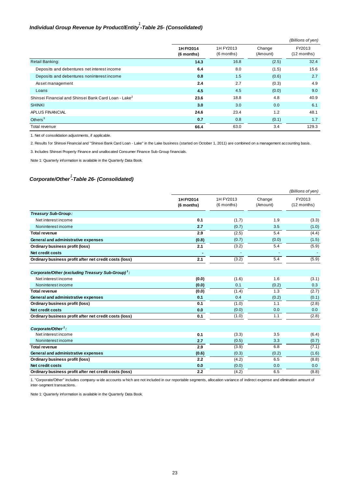# *Individual Group Revenue by Product/Entity -Table 25- (Consolidated) 1*

|                                                                  |                         |                           |                    | (Billions of yen)       |
|------------------------------------------------------------------|-------------------------|---------------------------|--------------------|-------------------------|
|                                                                  | 1H FY2014<br>(6 months) | 1H FY2013<br>$(6$ months) | Change<br>(Amount) | FY2013<br>$(12$ months) |
| Retail Banking:                                                  | 14.3                    | 16.8                      | (2.5)              | 32.4                    |
| Deposits and debentures net interest income                      | 6.4                     | 8.0                       | (1.5)              | 15.6                    |
| Deposits and debentures noninterest income                       | 0.8                     | 1.5                       | (0.6)              | 2.7                     |
| Asset management                                                 | 2.4                     | 2.7                       | (0.3)              | 4.9                     |
| Loans                                                            | 4.5                     | 4.5                       | (0.0)              | 9.0                     |
| Shinsei Financial and Shinsei Bank Card Loan - Lake <sup>2</sup> | 23.6                    | 18.8                      | 4.8                | 40.9                    |
| <b>SHINKI</b>                                                    | 3.0                     | 3.0                       | 0.0                | 6.1                     |
| APLUS FINANCIAL                                                  | 24.6                    | 23.4                      | 1.2                | 48.1                    |
| Others $3$                                                       | 0.7                     | 0.8                       | (0.1)              | 1.7                     |
| Total revenue                                                    | 66.4                    | 63.0                      | 3.4                | 129.3                   |

1. Net of consolidation adjustments, if applicable.

2. Results for Shinsei Financial and "Shinsei Bank Card Loan - Lake" in the Lake business (started on October 1, 2011) are combined on a management accounting basis.

3. Includes Shinsei Property Finance and unallocated Consumer Finance Sub-Group financials.

Note 1: Quarterly information is available in the Quarterly Data Book.

# *Corporate/Other -Table 26- (Consolidated) 1*

|                                                               |                         |                           |                    | (Billions of yen)       |
|---------------------------------------------------------------|-------------------------|---------------------------|--------------------|-------------------------|
|                                                               | 1H FY2014<br>(6 months) | 1H FY2013<br>$(6$ months) | Change<br>(Amount) | FY2013<br>$(12$ months) |
| Treasury Sub-Group:                                           |                         |                           |                    |                         |
| Net interest income                                           | 0.1                     | (1.7)                     | 1.9                | (3.3)                   |
| Noninterest income                                            | 2.7                     | (0.7)                     | 3.5                | (1.0)                   |
| <b>Total revenue</b>                                          | 2.9                     | (2.5)                     | 5.4                | (4.4)                   |
| General and administrative expenses                           | (0.8)                   | (0.7)                     | (0.0)              | (1.5)                   |
| Ordinary business profit (loss)                               | 2.1                     | (3.2)                     | 5.4                | (5.9)                   |
| <b>Net credit costs</b>                                       | ٠                       |                           |                    |                         |
| Ordinary business profit after net credit costs (loss)        | 2.1                     | (3.2)                     | 5.4                | (5.9)                   |
| Corporate/Other (excluding Treasury Sub-Group) <sup>1</sup> : |                         |                           |                    |                         |
| Net interest income                                           | (0.0)                   | (1.6)                     | 1.6                | (3.1)                   |
| Noninterest income                                            | (0.0)                   | 0.1                       | (0.2)              | 0.3                     |
| <b>Total revenue</b>                                          | (0.0)                   | (1.4)                     | 1.3                | (2.7)                   |
| General and administrative expenses                           | 0.1                     | 0.4                       | (0.2)              | (0.1)                   |
| Ordinary business profit (loss)                               | 0.1                     | (1.0)                     | 1.1                | (2.8)                   |
| Net credit costs                                              | 0.0                     | (0.0)                     | 0.0                | 0.0                     |
| Ordinary business profit after net credit costs (loss)        | 0.1                     | (1.0)                     | 1.1                | (2.8)                   |
| Corporate/Other <sup>1</sup> :                                |                         |                           |                    |                         |
| Net interest income                                           | 0.1                     | (3.3)                     | 3.5                | (6.4)                   |
| Noninterest income                                            | 2.7                     | (0.5)                     | 3.3                | (0.7)                   |
| <b>Total revenue</b>                                          | 2.9                     | (3.9)                     | 6.8                | (7.1)                   |
| General and administrative expenses                           | (0.6)                   | (0.3)                     | (0.2)              | (1.6)                   |
| Ordinary business profit (loss)                               | 2.2                     | (4.2)                     | 6.5                | (8.8)                   |
| <b>Net credit costs</b>                                       | 0.0                     | (0.0)                     | 0.0                | 0.0                     |
| Ordinary business profit after net credit costs (loss)        | 2.2                     | (4.2)                     | 6.5                | (8.8)                   |

1. "Corporate/Other" includes company-w ide accounts w hich are not included in our reportable segments, allocation variance of indirect expense and elimination amount of inter-segment transactions.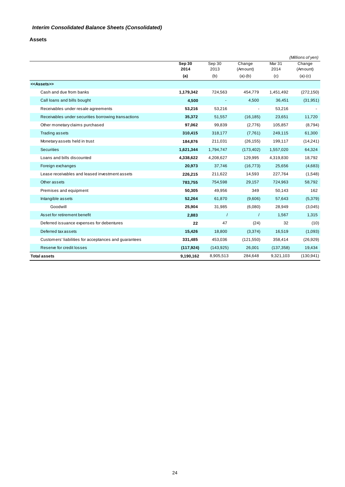**Assets** 

|                                                       |                |                |                    |                | (Millions of yen)  |
|-------------------------------------------------------|----------------|----------------|--------------------|----------------|--------------------|
|                                                       | Sep 30<br>2014 | Sep 30<br>2013 | Change<br>(Amount) | Mar 31<br>2014 | Change<br>(Amount) |
|                                                       | (a)            | (b)            | $(a)-(b)$          | (c)            | $(a)-(c)$          |
| < <assets>&gt;</assets>                               |                |                |                    |                |                    |
| Cash and due from banks                               | 1,179,342      | 724,563        | 454,779            | 1,451,492      | (272, 150)         |
| Call loans and bills bought                           | 4,500          |                | 4,500              | 36,451         | (31, 951)          |
| Receivables under resale agreements                   | 53,216         | 53,216         |                    | 53,216         |                    |
| Receivables under securities borrowing transactions   | 35,372         | 51,557         | (16, 185)          | 23,651         | 11,720             |
| Other monetary claims purchased                       | 97,062         | 99,839         | (2,776)            | 105,857        | (8,794)            |
| <b>Trading assets</b>                                 | 310,415        | 318,177        | (7, 761)           | 249,115        | 61,300             |
| Monetary assets held in trust                         | 184,876        | 211,031        | (26, 155)          | 199,117        | (14, 241)          |
| <b>Securities</b>                                     | 1,621,344      | 1,794,747      | (173, 402)         | 1,557,020      | 64,324             |
| Loans and bills discounted                            | 4,338,622      | 4,208,627      | 129,995            | 4,319,830      | 18,792             |
| Foreign exchanges                                     | 20,973         | 37,746         | (16, 773)          | 25,656         | (4,683)            |
| Lease receivables and leased investment assets        | 226,215        | 211,622        | 14,593             | 227,764        | (1,548)            |
| Other assets                                          | 783,755        | 754,598        | 29,157             | 724,963        | 58,792             |
| Premises and equipment                                | 50,305         | 49,956         | 349                | 50,143         | 162                |
| Intangible assets                                     | 52,264         | 61,870         | (9,606)            | 57,643         | (5,379)            |
| Goodwill                                              | 25,904         | 31,985         | (6,080)            | 28,949         | (3,045)            |
| Asset for retirement benefit                          | 2,883          | $\prime$       | $\prime$           | 1,567          | 1,315              |
| Deferred issuance expenses for debentures             | 22             | 47             | (24)               | 32             | (10)               |
| Deferred tax assets                                   | 15,426         | 18,800         | (3,374)            | 16,519         | (1,093)            |
| Customers' liabilities for acceptances and guarantees | 331,485        | 453,036        | (121, 550)         | 358,414        | (26, 929)          |
| Reserve for credit losses                             | (117, 924)     | (143, 925)     | 26,001             | (137, 358)     | 19,434             |
| <b>Total assets</b>                                   | 9,190,162      | 8,905,513      | 284,648            | 9,321,103      | (130, 941)         |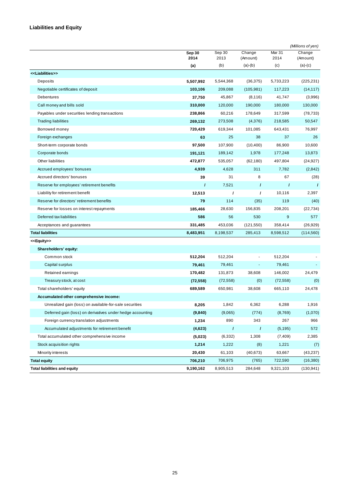# **Liabilities and Equity**

|                                                            |                |                |                      |                | (Millions of yen)  |
|------------------------------------------------------------|----------------|----------------|----------------------|----------------|--------------------|
|                                                            | Sep 30<br>2014 | Sep 30<br>2013 | Change<br>(Amount)   | Mar 31<br>2014 | Change<br>(Amount) |
|                                                            | (a)            | (b)            | $(a)-(b)$            | (c)            | $(a)-(c)$          |
| < <liabilities>&gt;</liabilities>                          |                |                |                      |                |                    |
| Deposits                                                   | 5,507,992      | 5,544,368      | (36, 375)            | 5,733,223      | (225, 231)         |
| Negotiable certificates of deposit                         | 103,106        | 209,088        | (105, 981)           | 117,223        | (14, 117)          |
| <b>Debentures</b>                                          | 37,750         | 45,867         | (8, 116)             | 41,747         | (3,996)            |
| Call money and bills sold                                  | 310,000        | 120,000        | 190,000              | 180,000        | 130,000            |
| Payables under securities lending transactions             | 238,866        | 60,216         | 178,649              | 317,599        | (78, 733)          |
| <b>Trading liabilities</b>                                 | 269,132        | 273,508        | (4,376)              | 218,585        | 50,547             |
| Borrowed money                                             | 720,429        | 619,344        | 101,085              | 643,431        | 76,997             |
| Foreign exchanges                                          | 63             | 25             | 38                   | 37             | 26                 |
| Short-term corporate bonds                                 | 97,500         | 107,900        | (10, 400)            | 86,900         | 10,600             |
| Corporate bonds                                            | 191,121        | 189,142        | 1,978                | 177,248        | 13,873             |
| Other liabilities                                          | 472,877        | 535,057        | (62, 180)            | 497,804        | (24, 927)          |
| Accrued employees' bonuses                                 | 4,939          | 4,628          | 311                  | 7,782          | (2,842)            |
| Accrued directors' bonuses                                 | 39             | 31             | 8                    | 67             | (28)               |
| Reserve for employees' retirement benefits                 | $\prime$       | 7,521          | $\prime$             | $\prime$       | $\prime$           |
| Liability for retirement benefit                           | 12,513         | $\prime$       | $\prime$             | 10,116         | 2,397              |
| Reserve for directors' retirement benefits                 | 79             | 114            | (35)                 | 119            | (40)               |
| Reserve for losses on interest repayments                  | 185,466        | 28,630         | 156,835              | 208,201        | (22, 734)          |
| Deferred tax liabilities                                   | 586            | 56             | 530                  | 9              | 577                |
| Acceptances and guarantees                                 | 331,485        | 453,036        | (121, 550)           | 358,414        | (26, 929)          |
| <b>Total liabilities</b>                                   | 8,483,951      | 8,198,537      | 285,413              | 8,598,512      | (114, 560)         |
| < <equity>&gt;</equity>                                    |                |                |                      |                |                    |
| Shareholders' equity:                                      |                |                |                      |                |                    |
| Common stock                                               | 512,204        | 512,204        | $\ddot{\phantom{1}}$ | 512,204        |                    |
| Capital surplus                                            | 79,461         | 79,461         | $\blacksquare$       | 79,461         |                    |
| Retained earnings                                          | 170,482        | 131,873        | 38,608               | 146,002        | 24,479             |
| Treasury stock, at cost                                    | (72, 558)      | (72, 558)      | (0)                  | (72, 558)      | (0)                |
| Total shareholders' equity                                 | 689,589        | 650,981        | 38,608               | 665,110        | 24,478             |
| Accumulated other comprehensive income:                    |                |                |                      |                |                    |
| Unrealized gain (loss) on available-for-sale securities    | 8,205          | 1,842          | 6,362                | 6,288          | 1,916              |
| Deferred gain (loss) on derivatives under hedge accounting | (9,840)        | (9,065)        | (774)                | (8,769)        | (1,070)            |
| Foreign currency translation adjustments                   | 1,234          | 890            | 343                  | 267            | 966                |
| Accumulated adjustments for retirement benefit             | (4,623)        | $\prime$       | T                    | (5, 195)       | 572                |
| Total accumulated other comprehensive income               | (5,023)        | (6, 332)       | 1,308                | (7, 409)       | 2,385              |
| Stock acquisition rights                                   | 1,214          | 1,222          | (8)                  | 1,221          | (7)                |
| Minority interests                                         | 20,430         | 61,103         | (40, 673)            | 63,667         | (43, 237)          |
| <b>Total equity</b>                                        | 706,210        | 706,975        | (765)                | 722,590        | (16, 380)          |
| <b>Total liabilities and equity</b>                        | 9,190,162      | 8,905,513      | 284,648              | 9,321,103      | (130, 941)         |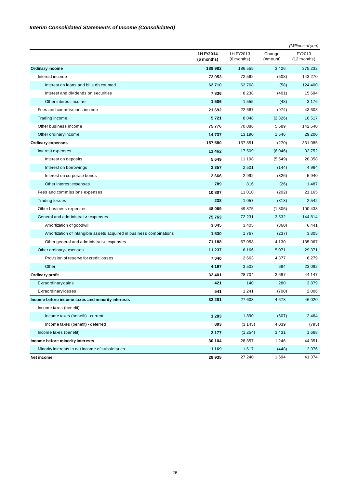|                                                                     |                         |                           |                    | (Millions of yen)       |
|---------------------------------------------------------------------|-------------------------|---------------------------|--------------------|-------------------------|
|                                                                     | 1H FY2014<br>(6 months) | 1H FY2013<br>$(6$ months) | Change<br>(Amount) | FY2013<br>$(12$ months) |
| <b>Ordinary income</b>                                              | 189,982                 | 186,555                   | 3,426              | 375,232                 |
| Interest income                                                     | 72,053                  | 72,562                    | (508)              | 143,270                 |
| Interest on loans and bills discounted                              | 62,710                  | 62,768                    | (58)               | 124,400                 |
| Interest and dividends on securities                                | 7,836                   | 8,238                     | (401)              | 15,694                  |
| Other interest income                                               | 1,506                   | 1,555                     | (48)               | 3,176                   |
| Fees and commissions income                                         | 21,692                  | 22,667                    | (974)              | 43,603                  |
| Trading income                                                      | 5,721                   | 8,048                     | (2,326)            | 16,517                  |
| Other business income                                               | 75,776                  | 70,086                    | 5,689              | 142,640                 |
| Other ordinary income                                               | 14,737                  | 13,190                    | 1,546              | 29,200                  |
| <b>Ordinary expenses</b>                                            | 157,580                 | 157,851                   | (270)              | 331,085                 |
| Interest expenses                                                   | 11,462                  | 17,509                    | (6,046)            | 32,752                  |
| Interest on deposits                                                | 5.649                   | 11,198                    | (5,549)            | 20,358                  |
| Interest on borrowings                                              | 2,357                   | 2,501                     | (144)              | 4,964                   |
| Interest on corporate bonds                                         | 2,666                   | 2,992                     | (326)              | 5,940                   |
| Other interest expenses                                             | 789                     | 816                       | (26)               | 1,487                   |
| Fees and commissions expenses                                       | 10,807                  | 11,010                    | (202)              | 21,165                  |
| <b>Trading losses</b>                                               | 238                     | 1,057                     | (818)              | 2,542                   |
| Other business expenses                                             | 48,069                  | 49,875                    | (1,806)            | 100,438                 |
| General and administrative expenses                                 | 75,763                  | 72,231                    | 3,532              | 144,814                 |
| Amortization of goodwill                                            | 3,045                   | 3,405                     | (360)              | 6,441                   |
| Amortization of intangible assets acquired in business combinations | 1,530                   | 1,767                     | (237)              | 3,305                   |
| Other general and administrative expenses                           | 71,188                  | 67,058                    | 4,130              | 135,067                 |
| Other ordinary expenses                                             | 11,237                  | 6,166                     | 5,071              | 29,371                  |
| Provision of reserve for credit losses                              | 7,040                   | 2,663                     | 4,377              | 6,279                   |
| Other                                                               | 4,197                   | 3,503                     | 694                | 23,092                  |
| Ordinary profit                                                     | 32,401                  | 28,704                    | 3,697              | 44,147                  |
| <b>Extraordinary gains</b>                                          | 421                     | 140                       | 280                | 3,879                   |
| <b>Extraordinary losses</b>                                         | 541                     | 1,241                     | (700)              | 2,006                   |
| Income before income taxes and minority interests                   | 32,281                  | 27,603                    | 4,678              | 46,020                  |
| Income taxes (benefit):                                             |                         |                           |                    |                         |
| Income taxes (benefit) - current                                    | 1,283                   | 1,890                     | (607)              | 2,464                   |
| Income taxes (benefit) - deferred                                   | 893                     | (3, 145)                  | 4,039              | (795)                   |
| Income taxes (benefit)                                              | 2,177                   | (1,254)                   | 3,431              | 1,668                   |
| Income before minority interests                                    | 30,104                  | 28,857                    | 1,246              | 44,351                  |
| Minority interests in net income of subsidiaries                    | 1,169                   | 1,617                     | (448)              | 2,976                   |
| Net income                                                          | 28,935                  | 27,240                    | 1,694              | 41,374                  |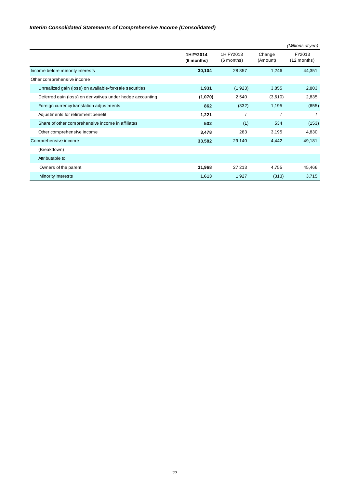# *Interim Consolidated Statements of Comprehensive Income (Consolidated)*

|                                                            |                         |                           |                    | (Millions of yen)       |
|------------------------------------------------------------|-------------------------|---------------------------|--------------------|-------------------------|
|                                                            | 1H FY2014<br>(6 months) | 1H FY2013<br>$(6$ months) | Change<br>(Amount) | FY2013<br>$(12$ months) |
| Income before minority interests                           | 30,104                  | 28,857                    | 1,246              | 44,351                  |
| Other comprehensive income                                 |                         |                           |                    |                         |
| Unrealized gain (loss) on available-for-sale securities    | 1,931                   | (1,923)                   | 3,855              | 2,803                   |
| Deferred gain (loss) on derivatives under hedge accounting | (1,070)                 | 2,540                     | (3,610)            | 2,835                   |
| Foreign currency translation adjustments                   | 862                     | (332)                     | 1,195              | (655)                   |
| Adjustments for retirement benefit                         | 1,221                   |                           |                    |                         |
| Share of other comprehensive income in affiliates          | 532                     | (1)                       | 534                | (153)                   |
| Other comprehensive income                                 | 3,478                   | 283                       | 3,195              | 4,830                   |
| Comprehensive income                                       | 33,582                  | 29,140                    | 4,442              | 49,181                  |
| (Breakdown)                                                |                         |                           |                    |                         |
| Attributable to:                                           |                         |                           |                    |                         |
| Owners of the parent                                       | 31,968                  | 27,213                    | 4,755              | 45,466                  |
| Minority interests                                         | 1,613                   | 1,927                     | (313)              | 3,715                   |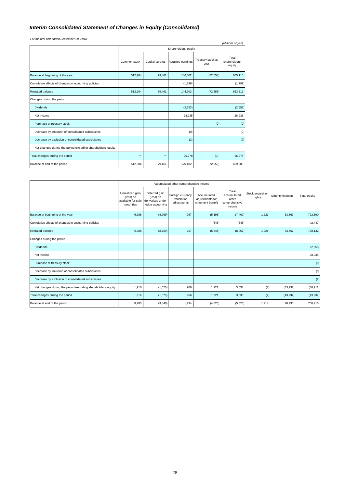# *Interim Consolidated Statement of Changes in Equity (Consolidated)*

*For the first half ended September 30, 2014*

| (Millions of yen)                                            |                      |                 |                   |                           |                                  |  |  |  |
|--------------------------------------------------------------|----------------------|-----------------|-------------------|---------------------------|----------------------------------|--|--|--|
|                                                              | Shareholders' equity |                 |                   |                           |                                  |  |  |  |
|                                                              | Common stock         | Capital surplus | Retained earnings | Treasury stock at<br>cost | Total<br>shareholders'<br>equity |  |  |  |
| Balance at beginning of the year                             | 512,204              | 79,461          | 146,002           | (72, 558)                 | 665,110                          |  |  |  |
| Cumulative effects of changes in accounting policies         |                      |                 | (1,799)           |                           | (1,799)                          |  |  |  |
| <b>Restated balance</b>                                      | 512,204              | 79,461          | 144,203           | (72, 558)                 | 663,311                          |  |  |  |
| Changes during the period                                    |                      |                 |                   |                           |                                  |  |  |  |
| <b>Dividends</b>                                             |                      |                 | (2,653)           |                           | (2,653)                          |  |  |  |
| Net income                                                   |                      |                 | 28,935            |                           | 28,935                           |  |  |  |
| Purchase of treasury stock                                   |                      |                 |                   | (0)                       | (0)                              |  |  |  |
| Decrease by inclusion of consolidated subsidiaries           |                      |                 | (0)               |                           | (0)                              |  |  |  |
| Decrease by exclusion of consolidated subsidiaries           |                      |                 | (2)               |                           | (2)                              |  |  |  |
| Net changes during the period excluding shareholders' equity |                      |                 |                   |                           |                                  |  |  |  |
| Total changes during the period                              | -                    |                 | 26,278            | (0)                       | 26,278                           |  |  |  |
| Balance at end of the period                                 | 512,204              | 79,461          | 170,482           | (72, 558)                 | 689,589                          |  |  |  |

|                                                              |                                                                  |                                                                     | Accumulated other comprehensive income         |                                                      |                                                          |                             |                    |              |
|--------------------------------------------------------------|------------------------------------------------------------------|---------------------------------------------------------------------|------------------------------------------------|------------------------------------------------------|----------------------------------------------------------|-----------------------------|--------------------|--------------|
|                                                              | Unrealized gain<br>(loss) on<br>available-for-sale<br>securities | Deferred gain<br>(loss) on<br>derivatives under<br>hedge accounting | Foreign currency<br>translation<br>adjustments | Accumulated<br>adjustments for<br>retirement benefit | Total<br>accumulated<br>other<br>comprehensive<br>income | Stock acquisition<br>rights | Minority interests | Total equity |
| Balance at beginning of the year                             | 6,288                                                            | (8,769)                                                             | 267                                            | (5, 195)                                             | (7, 409)                                                 | 1,221                       | 63,667             | 722,590      |
| Cumulative effects of changes in accounting policies         |                                                                  |                                                                     |                                                | (648)                                                | (648)                                                    |                             |                    | (2, 447)     |
| <b>Restated balance</b>                                      | 6,288                                                            | (8,769)                                                             | 267                                            | (5,844)                                              | (8,057)                                                  | 1,221                       | 63,667             | 720,142      |
| Changes during the period                                    |                                                                  |                                                                     |                                                |                                                      |                                                          |                             |                    |              |
| <b>Dividends</b>                                             |                                                                  |                                                                     |                                                |                                                      |                                                          |                             |                    | (2,653)      |
| Net income                                                   |                                                                  |                                                                     |                                                |                                                      |                                                          |                             |                    | 28,935       |
| Purchase of treasury stock                                   |                                                                  |                                                                     |                                                |                                                      |                                                          |                             |                    | (0)          |
| Decrease by inclusion of consolidated subsidiaries           |                                                                  |                                                                     |                                                |                                                      |                                                          |                             |                    | (0)          |
| Decrease by exclusion of consolidated subsidiaries           |                                                                  |                                                                     |                                                |                                                      |                                                          |                             |                    | (2)          |
| Net changes during the period excluding shareholders' equity | 1,916                                                            | (1,070)                                                             | 966                                            | 1,221                                                | 3,033                                                    | (7)                         | (43, 237)          | (40, 211)    |
| Total changes during the period                              | 1,916                                                            | (1,070)                                                             | 966                                            | 1,221                                                | 3,033                                                    | (7)                         | (43, 237)          | (13,932)     |
| Balance at end of the period                                 | 8,205                                                            | (9, 840)                                                            | 1,234                                          | (4,623)                                              | (5,023)                                                  | 1,214                       | 20,430             | 706,210      |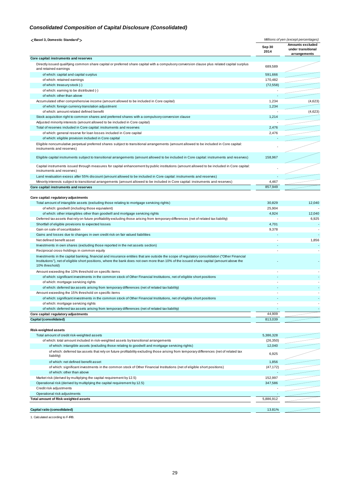#### *Consolidated Composition of Capital Disclosure (Consolidated)*

| <basel 3,="" domestic="" standard<sup="">1</basel>                                                                                                                                                                                                                                                          |                | Millions of yen (except percentages)                          |
|-------------------------------------------------------------------------------------------------------------------------------------------------------------------------------------------------------------------------------------------------------------------------------------------------------------|----------------|---------------------------------------------------------------|
|                                                                                                                                                                                                                                                                                                             | Sep 30<br>2014 | <b>Amounts excluded</b><br>under transitional<br>arrangements |
| Core capital: instruments and reserves                                                                                                                                                                                                                                                                      |                |                                                               |
| Directly issued qualifying common share capital or preferred share capital with a compulsory conversion clause plus related capital surplus<br>and retained earnings                                                                                                                                        | 689.589        |                                                               |
| of which: capital and capital surplus                                                                                                                                                                                                                                                                       | 591,666        |                                                               |
| of which: retained earnings                                                                                                                                                                                                                                                                                 | 170,482        |                                                               |
| of which: treasury stock (-)                                                                                                                                                                                                                                                                                | (72, 558)      |                                                               |
| of which: earning to be distributed (-)                                                                                                                                                                                                                                                                     |                |                                                               |
| of which: other than above                                                                                                                                                                                                                                                                                  |                |                                                               |
| Accumulated other comprehensive income (amount allowed to be included in Core capital)                                                                                                                                                                                                                      | 1,234          | (4,623)                                                       |
| of which: foreign currency translation adjustment                                                                                                                                                                                                                                                           | 1,234          |                                                               |
| of which: amount related defined benefit                                                                                                                                                                                                                                                                    |                | (4,623)                                                       |
| Stock acquisition right to common shares and preferred shares with a compulsory conversion clause                                                                                                                                                                                                           | 1,214          |                                                               |
| Adjusted minority interests (amount allowed to be included in Core capital)                                                                                                                                                                                                                                 |                |                                                               |
| Total of reserves included in Core capital: instruments and reserves                                                                                                                                                                                                                                        | 2,476          |                                                               |
| of which: general reserve for loan losses included in Core capital                                                                                                                                                                                                                                          | 2,476          |                                                               |
| of which: eligible provision included in Core capital                                                                                                                                                                                                                                                       |                |                                                               |
| Eligible noncumulative perpetual preferred shares subject to transitional arrangements (amount allowed to be included in Core capital:                                                                                                                                                                      |                |                                                               |
| instruments and reserves)                                                                                                                                                                                                                                                                                   |                |                                                               |
| Eligible capital instruments subject to transitional arrangements (amount allowed to be included in Core capital: instruments and reserves)                                                                                                                                                                 | 158,967        |                                                               |
| Capital instruments issued through measures for capital enhancement by public institutions (amount allowed to be included in Core capital:<br>instruments and reserves)                                                                                                                                     |                |                                                               |
| Land revaluation excess after 55% discount (amount allowed to be included in Core capital: instruments and reserves)                                                                                                                                                                                        |                |                                                               |
|                                                                                                                                                                                                                                                                                                             | 4,467          |                                                               |
| Minority interests subject to transitional arrangements (amount allowed to be included in Core capital: instruments and reserves)<br>Core capital: instruments and reserves                                                                                                                                 | 857,949        |                                                               |
|                                                                                                                                                                                                                                                                                                             |                |                                                               |
| Core capital: regulatory adjustments                                                                                                                                                                                                                                                                        |                |                                                               |
| Total amount of intangible assets (excluding those relating to mortgage servicing rights)                                                                                                                                                                                                                   | 30,829         | 12,040                                                        |
| of which: goodwill (including those equivalent)                                                                                                                                                                                                                                                             | 25,904         |                                                               |
| of which: other intangibles other than goodwill and mortgage servicing rights                                                                                                                                                                                                                               | 4,924          | 12,040                                                        |
| Deferred tax assets that rely on future profitability excluding those arising from temporary differences (net of related tax liability)                                                                                                                                                                     |                | 6,925                                                         |
| Shortfall of eligible provisions to expected losses                                                                                                                                                                                                                                                         | 4,701          |                                                               |
| Gain on sale of securitization                                                                                                                                                                                                                                                                              | 9,378          |                                                               |
| Gains and losses due to changes in own credit risk on fair valued liabilities                                                                                                                                                                                                                               |                |                                                               |
| Net defined benefit asset                                                                                                                                                                                                                                                                                   |                | 1,856                                                         |
| Investments in own shares (excluding those reported in the net assets section)                                                                                                                                                                                                                              |                |                                                               |
| Reciprocal cross-holdings in common equity                                                                                                                                                                                                                                                                  |                |                                                               |
| Investments in the capital banking, financial and insurance entities that are outside the scope of regulatory consolidation ("Other Financial<br>Institutions"), net of eligible short positions, where the bank does not own more than 10% of the issued share capital (amount above the<br>10% threshold) |                |                                                               |
| Amount exceeding the 10% threshold on specific items                                                                                                                                                                                                                                                        |                |                                                               |
| of which: significant investments in the common stock of Other Financial Institutions, net of eligible short positions                                                                                                                                                                                      |                |                                                               |
| of which: mortgage servicing rights                                                                                                                                                                                                                                                                         |                |                                                               |
| of which: deferred tax assets arising from temporary differences (net of related tax liability)                                                                                                                                                                                                             |                |                                                               |
| Amount exceeding the 15% threshold on specific items                                                                                                                                                                                                                                                        |                |                                                               |
| of which: significant investments in the common stock of Other Financial Institutions, net of eligible short positions                                                                                                                                                                                      |                |                                                               |
| of which: mortgage servicing rights                                                                                                                                                                                                                                                                         |                |                                                               |
| of which: deferred tax assets arising from temporary differences (net of related tax liability)                                                                                                                                                                                                             |                |                                                               |
| Core capital: regulatory adjustments                                                                                                                                                                                                                                                                        | 44,909         |                                                               |
| Capital (consolidated)                                                                                                                                                                                                                                                                                      | 813,039        |                                                               |
|                                                                                                                                                                                                                                                                                                             |                |                                                               |
| Risk-weighted assets                                                                                                                                                                                                                                                                                        |                |                                                               |
| Total amount of credit risk-weighted assets                                                                                                                                                                                                                                                                 | 5,386,328      |                                                               |
| of which: total amount included in risk-weighted assets by transitional arrangements                                                                                                                                                                                                                        | (26, 350)      |                                                               |
| of which: intangible assets (excluding those relating to goodwill and mortgage servicing rights)                                                                                                                                                                                                            |                |                                                               |
|                                                                                                                                                                                                                                                                                                             | 12,040         |                                                               |
| of which: deferred tax assets that rely on future profitability excluding those arising from temporary differences (net of related tax<br>liability)                                                                                                                                                        | 6,925          |                                                               |
| of which: net defined benefit asset                                                                                                                                                                                                                                                                         | 1,856          |                                                               |

| Market risk (derived by multiplying the capital requirement by 12.5)      | 152.997 |
|---------------------------------------------------------------------------|---------|
| Operational risk (derived by multiplying the capital requirement by 12.5) | 347.586 |
| Credit risk adjustments                                                   |         |

of which: other than above

Operational risk adjustments -

**Total amount of Risk-weighted assets** 5,886,912

#### **Capital ratio (consolidated)** 13.81%

1. Calculated according to F-IRB.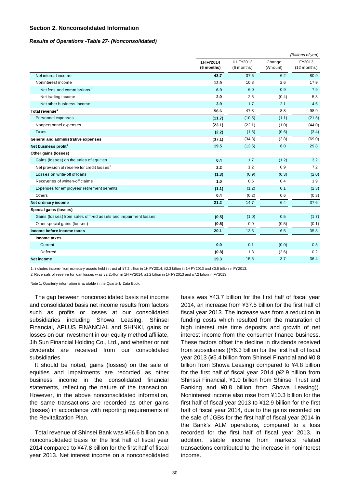#### **Section 2. Nonconsolidated Information**

#### *Results of Operations -Table 27- (Nonconsolidated)*

|                                                                 |                         |                         |                    | (Billions of yen)       |
|-----------------------------------------------------------------|-------------------------|-------------------------|--------------------|-------------------------|
|                                                                 | 1H FY2014<br>(6 months) | 1H FY2013<br>(6 months) | Change<br>(Amount) | FY2013<br>$(12$ months) |
| Net interest income                                             | 43.7                    | 37.5                    | 6.2                | 80.9                    |
| Noninterest income                                              | 12.9                    | 10.3                    | 2.6                | 17.9                    |
| Net fees and commissions <sup>1</sup>                           | 6.9                     | 6.0                     | 0.9                | 7.9                     |
| Net trading income                                              | 2.0                     | 2.5                     | (0.4)              | 5.3                     |
| Net other business income                                       | 3.9                     | 1.7                     | 2.1                | 4.6                     |
| Total revenue <sup>1</sup>                                      | 56.6                    | 47.8                    | 8.8                | 98.9                    |
| Personnel expenses                                              | (11.7)                  | (10.5)                  | (1.1)              | (21.5)                  |
| Nonpersonnel expenses                                           | (23.1)                  | (22.1)                  | (1.0)              | (44.0)                  |
| <b>Taxes</b>                                                    | (2.2)                   | (1.6)                   | (0.6)              | (3.4)                   |
| General and administrative expenses                             | (37.1)                  | (34.3)                  | (2.8)              | (69.0)                  |
| Net business profit <sup>1</sup>                                | 19.5                    | (13.5)                  | 6.0                | 29.8                    |
| Other gains (losses)                                            |                         |                         |                    |                         |
| Gains (losses) on the sales of equities                         | 0.4                     | 1.7                     | (1.2)              | 3.2                     |
| Net provision of reserve for credit losses <sup>2</sup>         | 2.2                     | 1.2                     | 0.9                | 7.2                     |
| Losses on write-off of loans                                    | (1.3)                   | (0.9)                   | (0.3)              | (2.0)                   |
| Recoveries of written-off claims                                | 1.0                     | 0.6                     | 0.4                | 1.9                     |
| Expenses for employees' retirement benefits                     | (1.1)                   | (1.2)                   | 0.1                | (2.3)                   |
| Others                                                          | 0.4                     | (0.2)                   | 0.6                | (0.3)                   |
| Net ordinary income                                             | 21.2                    | 14.7                    | 6.4                | 37.6                    |
| Special gains (losses)                                          |                         |                         |                    |                         |
| Gains (losses) from sales of fixed assets and impairment losses | (0.5)                   | (1.0)                   | 0.5                | (1.7)                   |
| Other special gains (losses)                                    | (0.5)                   | 0.0                     | (0.5)              | (0.1)                   |
| Income before income taxes                                      | 20.1                    | 13.6                    | 6.5                | 35.8                    |
| Income taxes                                                    |                         |                         |                    |                         |
| Current                                                         | 0.0                     | 0.1                     | (0.0)              | 0.3                     |
| Deferred                                                        | (0.8)                   | 1.8                     | (2.6)              | 0.2                     |
| <b>Net income</b>                                               | 19.3                    | 15.5                    | 3.7                | 36.4                    |

1. Includes income from monetary assets held in trust of \7.2 billion in 1H FY2014, \2.3 billion in 1H FY2013 and \3.8 billion in FY2013.

2. Reversals of reserve for loan losses w as  $\frac{1}{2}$ .2billion in 1H FY2014,  $\frac{1}{2}$  billion in 1H FY2013 and  $\frac{1}{2}$ 7.2 billion in FY2013.

Note 1: Quarterly information is available in the Quarterly Data Book.

The gap between nonconsolidated basis net income and consolidated basis net income results from factors such as profits or losses at our consolidated subsidiaries including Showa Leasing, Shinsei Financial, APLUS FINANCIAL and SHINKI, gains or losses on our investment in our equity method affiliate, Jih Sun Financial Holding Co., Ltd., and whether or not dividends are received from our consolidated subsidiaries.

It should be noted, gains (losses) on the sale of equities and impairments are recorded as other business income in the consolidated financial statements, reflecting the nature of the transaction. However, in the above nonconsolidated information, the same transactions are recorded as other gains (losses) in accordance with reporting requirements of the Revitalization Plan.

Total revenue of Shinsei Bank was ¥56.6 billion on a nonconsolidated basis for the first half of fiscal year 2014 compared to ¥47.8 billion for the first half of fiscal year 2013. Net interest income on a nonconsolidated basis was ¥43.7 billion for the first half of fiscal year 2014, an increase from ¥37.5 billion for the first half of fiscal year 2013. The increase was from a reduction in funding costs which resulted from the maturation of high interest rate time deposits and growth of net interest income from the consumer finance business. These factors offset the decline in dividends received from subsidiaries ((¥6.3 billion for the first half of fiscal year 2013 (¥5.4 billion from Shinsei Financial and ¥0.8 billion from Showa Leasing) compared to ¥4.8 billion for the first half of fiscal year 2014 (¥2.9 billion from Shinsei Financial, ¥1.0 billion from Shinsei Trust and Banking and ¥0.8 billion from Showa Leasing)). Noninterest income also rose from ¥10.3 billion for the first half of fiscal year 2013 to ¥12.9 billion for the first half of fiscal year 2014, due to the gains recorded on the sale of JGBs for the first half of fiscal year 2014 in the Bank's ALM operations, compared to a loss recorded for the first half of fiscal year 2013. In addition, stable income from markets related transactions contributed to the increase in noninterest income.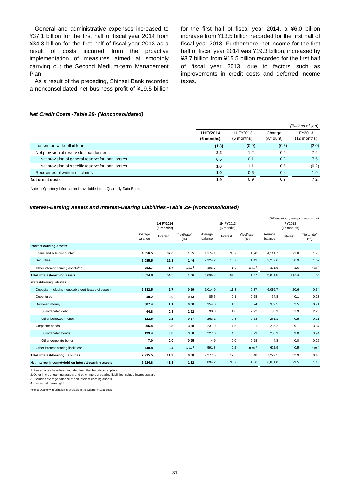General and administrative expenses increased to ¥37.1 billion for the first half of fiscal year 2014 from ¥34.3 billion for the first half of fiscal year 2013 as a result of costs incurred from the proactive implementation of measures aimed at smoothly carrying out the Second Medium-term Management Plan.

As a result of the preceding, Shinsei Bank recorded a nonconsolidated net business profit of ¥19.5 billion for the first half of fiscal year 2014, a ¥6.0 billion increase from ¥13.5 billion recorded for the first half of fiscal year 2013. Furthermore, net income for the first half of fiscal year 2014 was ¥19.3 billion, increased by ¥3.7 billion from ¥15.5 billion recorded for the first half of fiscal year 2013, due to factors such as improvements in credit costs and deferred income taxes.

#### *Net Credit Costs -Table 28- (Nonconsolidated)*

|                                                   |                         |                           |                    | (Billions of yen)       |
|---------------------------------------------------|-------------------------|---------------------------|--------------------|-------------------------|
|                                                   | 1H FY2014<br>(6 months) | 1H FY2013<br>$(6$ months) | Change<br>(Amount) | FY2013<br>$(12$ months) |
| Losses on write-off of loans                      | (1.3)                   | (0.9)                     | (0.3)              | (2.0)                   |
| Net provision of reserve for loan losses          | $2.2^{\circ}$           | 1.2                       | 0.9                | 7.2                     |
| Net provision of general reserve for loan losses  | 0.5                     | 0.1                       | 0.3                | 7.5                     |
| Net provision of specific reserve for loan losses | 1.6                     | 1.1                       | 0.5                | (0.2)                   |
| Recoveries of written-off claims                  | 1.0                     | 0.6                       | 0.4                | 1.9                     |
| Net credit costs                                  | 1.9                     | 0.9                       | 0.9                | 7.2                     |

Note 1: Quarterly information is available in the Quarterly Data Book.

#### *Interest-Earning Assets and Interest-Bearing Liabilities -Table 29- (Nonconsolidated)*

|                                                        |                    |                         |                                |                         |          |                                 |                       | (Billions of yen, except percentages) |                                 |
|--------------------------------------------------------|--------------------|-------------------------|--------------------------------|-------------------------|----------|---------------------------------|-----------------------|---------------------------------------|---------------------------------|
|                                                        |                    | 1H FY2014<br>(6 months) |                                | 1H FY2013<br>(6 months) |          |                                 | FY2013<br>(12 months) |                                       |                                 |
|                                                        | Average<br>balance | Interest                | Yield/rate <sup>1</sup><br>(%) | Average<br>balance      | Interest | Yield/rate <sup>1</sup><br>(% ) | Average<br>balance    | Interest                              | Yield/rate <sup>1</sup><br>(% ) |
| Interest-earning assets:                               |                    |                         |                                |                         |          |                                 |                       |                                       |                                 |
| Loans and bills discounted                             | 4.056.5            | 37.6                    | 1.85                           | 4.174.1                 | 35.7     | 1.70                            | 4.141.7               | 71.8                                  | 1.73                            |
| Securities                                             | 2,085.5            | 15.1                    | 1.44                           | 2,324.2                 | 16.7     | 1.43                            | 2,267.6               | 36.9                                  | 1.62                            |
| Other interest-earning assets <sup>2, 3</sup>          | 382.7              | 1.7                     | n.m. <sup>4</sup>              | 395.7                   | 1.8      | n.m. <sup>4</sup>               | 391.6                 | 3.6                                   | n.m. <sup>4</sup>               |
| <b>Total interest-earning assets</b>                   | 6,524.8            | 54.5                    | 1.66                           | 6,894.2                 | 54.2     | 1.57                            | 6,801.0               | 112.4                                 | 1.65                            |
| Interest-bearing liabilities:                          |                    |                         |                                |                         |          |                                 |                       |                                       |                                 |
| Deposits, including negotiable certificates of deposit | 5,832.5            | 5.7                     | 0.19                           | 6,014.0                 | 11.3     | 0.37                            | 6,016.7               | 20.6                                  | 0.34                            |
| Debentures                                             | 40.2               | 0.0                     | 0.13                           | 85.5                    | 0.1      | 0.28                            | 64.8                  | 0.1                                   | 0.23                            |
| Borrowed money                                         | 387.4              | 1.1                     | 0.60                           | 354.0                   | 1.3      | 0.74                            | 359.5                 | 2.5                                   | 0.71                            |
| Subordinated debt                                      | 64.8               | 0.8                     | 2.72                           | 90.8                    | 1.0      | 2.22                            | 88.3                  | 1.9                                   | 2.25                            |
| Other borrowed money                                   | 322.6              | 0.2                     | 0.17                           | 263.1                   | 0.3      | 0.23                            | 271.1                 | 0.5                                   | 0.21                            |
| Corporate bonds                                        | 206.4              | 3.8                     | 3.68                           | 231.9                   | 4.5      | 3.91                            | 235.2                 | 9.1                                   | 3.87                            |
| Subordinated bonds                                     | 199.4              | 3.8                     | 3.80                           | 227.0                   | 4.5      | 3.99                            | 230.3                 | 9.0                                   | 3.94                            |
| Other corporate bonds                                  | 7.0                | 0.0                     | 0.25                           | 4.9                     | 0.0      | 0.28                            | 4.8                   | 0.0                                   | 0.26                            |
| Other interest-bearing liabilities <sup>2</sup>        | 748.8              | 0.4                     | n.m. <sup>4</sup>              | 591.8                   | 0.2      | n.m. <sup>4</sup>               | 602.9                 | 0.5                                   | n.m. <sup>4</sup>               |
| <b>Total interest-bearing liabilities</b>              | 7,215.5            | 11.2                    | 0.30                           | 7,277.5                 | 17.5     | 0.48                            | 7,279.5               | 32.9                                  | 0.45                            |
| Net interest income/yield on interest-earning assets   | 6,524.8            | 43.3                    | 1.32                           | 6,894.2                 | 36.7     | 1.06                            | 6,801.0               | 79.5                                  | 1.16                            |

1. Percentages have been rounded from the thrid decimal place.

2. Other interest-earning assets and other interest-bearing liabilities include interest swaps.

3. Excludes average balance of non interest-earning assets.

4. n.m. is not meaningful.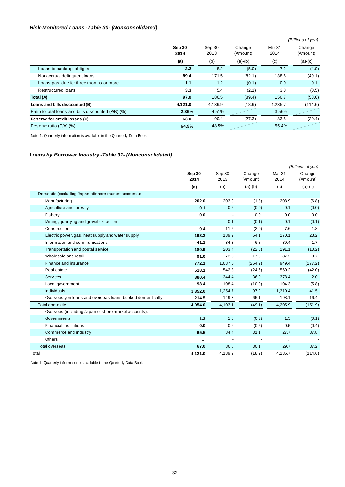#### *Risk-Monitored Loans -Table 30- (Nonconsolidated)*

|                                                     |                |                |                    |                           | (Billions of yen)  |
|-----------------------------------------------------|----------------|----------------|--------------------|---------------------------|--------------------|
|                                                     | Sep 30<br>2014 | Sep 30<br>2013 | Change<br>(Amount) | Mar <sub>31</sub><br>2014 | Change<br>(Amount) |
|                                                     | (a)            | (b)            | $(a)-(b)$          | (c)                       | $(a)-(c)$          |
| Loans to bankrupt obligors                          | 3.2            | 8.2            | (5.0)              | 7.2                       | (4.0)              |
| Nonaccrual delinquent loans                         | 89.4           | 171.5          | (82.1)             | 138.6                     | (49.1)             |
| Loans past due for three months or more             | 1.1            | 1.2            | (0.1)              | 0.9                       | 0.1                |
| Restructured loans                                  | 3.3            | 5.4            | (2.1)              | 3.8                       | (0.5)              |
| Total (A)                                           | 97.0           | 186.5          | (89.4)             | 150.7                     | (53.6)             |
| Loans and bills discounted (B)                      | 4.121.0        | 4.139.9        | (18.9)             | 4.235.7                   | (114.6)            |
| Ratio to total loans and bills discounted (A/B) (%) | 2.36%          | 4.51%          |                    | 3.56%                     |                    |
| Reserve for credit losses (C)                       | 63.0           | 90.4           | (27.3)             | 83.5                      | (20.4)             |
| Reserve ratio (C/A) (%)                             | 64.9%          | 48.5%          |                    | 55.4%                     |                    |

Note 1: Quarterly information is available in the Quarterly Data Book.

#### *Loans by Borrower Industry -Table 31- (Nonconsolidated)*

|                                                           |                |                |                    |                | (Billions of yen)  |
|-----------------------------------------------------------|----------------|----------------|--------------------|----------------|--------------------|
|                                                           | Sep 30<br>2014 | Sep 30<br>2013 | Change<br>(Amount) | Mar 31<br>2014 | Change<br>(Amount) |
|                                                           | (a)            | (b)            | $(a)-(b)$          | (c)            | $(a)-(c)$          |
| Domestic (excluding Japan offshore market accounts):      |                |                |                    |                |                    |
| Manufacturing                                             | 202.0          | 203.9          | (1.8)              | 208.9          | (6.8)              |
| Agriculture and forestry                                  | 0.1            | 0.2            | (0.0)              | 0.1            | (0.0)              |
| Fishery                                                   | 0.0            |                | 0.0                | 0.0            | 0.0                |
| Mining, quarrying and gravel extraction                   |                | 0.1            | (0.1)              | 0.1            | (0.1)              |
| Construction                                              | 9.4            | 11.5           | (2.0)              | 7.6            | 1.8                |
| Electric power, gas, heat supply and water supply         | 193.3          | 139.2          | 54.1               | 170.1          | 23.2               |
| Information and communications                            | 41.1           | 34.3           | 6.8                | 39.4           | 1.7                |
| Transportation and postal service                         | 180.9          | 203.4          | (22.5)             | 191.1          | (10.2)             |
| Wholesale and retail                                      | 91.0           | 73.3           | 17.6               | 87.2           | 3.7                |
| Finance and insurance                                     | 772.1          | 1,037.0        | (264.9)            | 949.4          | (177.2)            |
| Real estate                                               | 518.1          | 542.8          | (24.6)             | 560.2          | (42.0)             |
| <b>Services</b>                                           | 380.4          | 344.4          | 36.0               | 378.4          | 2.0                |
| Local government                                          | 98.4           | 108.4          | (10.0)             | 104.3          | (5.8)              |
| <b>Individuals</b>                                        | 1,352.0        | 1,254.7        | 97.2               | 1,310.4        | 41.5               |
| Overseas yen loans and overseas loans booked domestically | 214.5          | 149.3          | 65.1               | 198.1          | 16.4               |
| <b>Total domestic</b>                                     | 4,054.0        | 4,103.1        | (49.1)             | 4,205.9        | (151.9)            |
| Overseas (including Japan offshore market accounts):      |                |                |                    |                |                    |
| Governments                                               | 1.3            | 1.6            | (0.3)              | 1.5            | (0.1)              |
| <b>Financial institutions</b>                             | 0.0            | 0.6            | (0.5)              | 0.5            | (0.4)              |
| Commerce and industry                                     | 65.5           | 34.4           | 31.1               | 27.7           | 37.8               |
| Others                                                    |                |                |                    | $\sim$         |                    |
| <b>Total overseas</b>                                     | 67.0           | 36.8           | 30.1               | 29.7           | 37.2               |
| Total                                                     | 4,121.0        | 4,139.9        | (18.9)             | 4,235.7        | (114.6)            |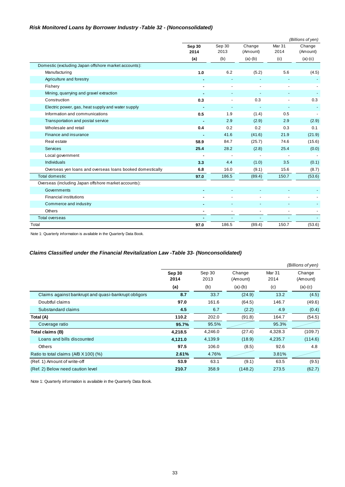## *Risk Monitored Loans by Borrower Industry -Table 32 - (Nonconsolidated)*

|                                                           |                |                          |                          |                           | (Billions of yen)  |
|-----------------------------------------------------------|----------------|--------------------------|--------------------------|---------------------------|--------------------|
|                                                           | Sep 30<br>2014 | Sep 30<br>2013           | Change<br>(Amount)       | Mar <sub>31</sub><br>2014 | Change<br>(Amount) |
|                                                           | (a)            | (b)                      | $(a)-(b)$                | (c)                       | $(a)-(c)$          |
| Domestic (excluding Japan offshore market accounts):      |                |                          |                          |                           |                    |
| Manufacturing                                             | 1.0            | 6.2                      | (5.2)                    | 5.6                       | (4.5)              |
| Agriculture and forestry                                  |                |                          |                          |                           |                    |
| Fishery                                                   |                |                          |                          |                           |                    |
| Mining, quarrying and gravel extraction                   |                |                          |                          |                           |                    |
| Construction                                              | 0.3            |                          | 0.3                      |                           | 0.3                |
| Electric power, gas, heat supply and water supply         |                |                          |                          |                           |                    |
| Information and communications                            | 0.5            | 1.9                      | (1.4)                    | 0.5                       |                    |
| Transportation and postal service                         |                | 2.9                      | (2.9)                    | 2.9                       | (2.9)              |
| Wholesale and retail                                      | 0.4            | 0.2                      | 0.2                      | 0.3                       | 0.1                |
| Finance and insurance                                     |                | 41.6                     | (41.6)                   | 21.9                      | (21.9)             |
| Real estate                                               | 58.9           | 84.7                     | (25.7)                   | 74.6                      | (15.6)             |
| Services                                                  | 25.4           | 28.2                     | (2.8)                    | 25.4                      | (0.0)              |
| Local government                                          |                | $\overline{\phantom{a}}$ |                          |                           |                    |
| <b>Individuals</b>                                        | 3.3            | 4.4                      | (1.0)                    | 3.5                       | (0.1)              |
| Overseas yen loans and overseas loans booked domestically | 6.8            | 16.0                     | (9.1)                    | 15.6                      | (8.7)              |
| <b>Total domestic</b>                                     | 97.0           | 186.5                    | (89.4)                   | 150.7                     | (53.6)             |
| Overseas (including Japan offshore market accounts):      |                |                          |                          |                           |                    |
| Governments                                               |                |                          |                          |                           |                    |
| <b>Financial institutions</b>                             |                |                          |                          |                           |                    |
| Commerce and industry                                     |                |                          |                          |                           |                    |
| Others                                                    |                | $\overline{\phantom{a}}$ | $\overline{\phantom{a}}$ |                           |                    |
| <b>Total overseas</b>                                     |                |                          |                          |                           |                    |
| Total                                                     | 97.0           | 186.5                    | (89.4)                   | 150.7                     | (53.6)             |

Note 1: Quarterly information is available in the Quarterly Data Book.

# *Claims Classified under the Financial Revitalization Law -Table 33- (Nonconsolidated)*

|                                                     |                |                |                    |                | (Billions of yen)  |
|-----------------------------------------------------|----------------|----------------|--------------------|----------------|--------------------|
|                                                     | Sep 30<br>2014 | Sep 30<br>2013 | Change<br>(Amount) | Mar 31<br>2014 | Change<br>(Amount) |
|                                                     | (a)            | (b)            | $(a)-(b)$          | (c)            | $(a)-(c)$          |
| Claims against bankrupt and quasi-bankrupt obligors | 8.7            | 33.7           | (24.9)             | 13.2           | (4.5)              |
| Doubtful claims                                     | 97.0           | 161.6          | (64.5)             | 146.7          | (49.6)             |
| Substandard claims                                  | 4.5            | 6.7            | (2.2)              | 4.9            | (0.4)              |
| Total (A)                                           | 110.2          | 202.0          | (91.8)             | 164.7          | (54.5)             |
| Coverage ratio                                      | 95.7%          | 95.5%          |                    | 95.3%          |                    |
| Total claims (B)                                    | 4,218.5        | 4,246.0        | (27.4)             | 4,328.3        | (109.7)            |
| Loans and bills discounted                          | 4,121.0        | 4,139.9        | (18.9)             | 4,235.7        | (114.6)            |
| <b>Others</b>                                       | 97.5           | 106.0          | (8.5)              | 92.6           | 4.8                |
| Ratio to total claims (A/B X 100) (%)               | 2.61%          | 4.76%          |                    | 3.81%          |                    |
| (Ref. 1) Amount of write-off                        | 53.9           | 63.1           | (9.1)              | 63.5           | (9.5)              |
| (Ref. 2) Below need caution level                   | 210.7          | 358.9          | (148.2)            | 273.5          | (62.7)             |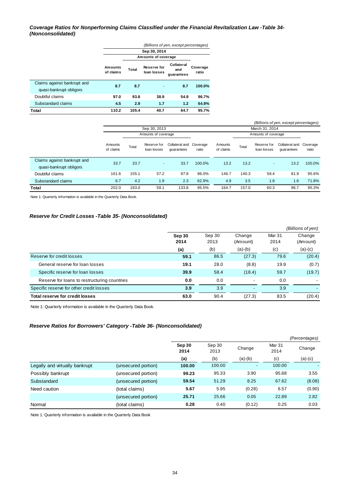#### *Coverage Ratios for Nonperforming Claims Classified under the Financial Revitalization Law -Table 34- (Nonconsolidated)*

|                                                        | (Billions of yen, except percentages) |       |                                   |                                 |                   |  |
|--------------------------------------------------------|---------------------------------------|-------|-----------------------------------|---------------------------------|-------------------|--|
|                                                        |                                       |       | Sep 30, 2014                      |                                 |                   |  |
|                                                        |                                       |       | Amounts of coverage               |                                 |                   |  |
|                                                        | Amounts<br>of claims                  | Total | <b>Reserve for</b><br>loan losses | Collateral<br>and<br>quarantees | Coverage<br>ratio |  |
| Claims against bankrupt and<br>quasi-bankrupt obligors | 8.7                                   | 8.7   | ٠                                 | 8.7                             | $100.0\%$         |  |
| Doubtful claims                                        | 97.0                                  | 93.8  | 38.9                              | 54.9                            | 96.7%             |  |
| Substandard claims                                     | 4.5                                   | 2.9   | 1.7                               | 1.2                             | 64.9%             |  |
| Total                                                  | 110.2                                 | 105.4 | 40.7                              | 64.7                            | 95.7%             |  |

|                                                        |                      |       |                            |                              |                   |                      |       |                            | (Billions of yen, except percentages) |                   |
|--------------------------------------------------------|----------------------|-------|----------------------------|------------------------------|-------------------|----------------------|-------|----------------------------|---------------------------------------|-------------------|
|                                                        |                      |       | Sep 30, 2013               |                              |                   |                      |       | March 31, 2014             |                                       |                   |
|                                                        |                      |       | Amounts of coverage        |                              |                   |                      |       | Amounts of coverage        |                                       |                   |
|                                                        | Amounts<br>of claims | Total | Reserve for<br>loan losses | Collateral and<br>quarantees | Coverage<br>ratio | Amounts<br>of claims | Total | Reserve for<br>loan losses | Collateral and<br>quarantees          | Coverage<br>ratio |
| Claims against bankrupt and<br>quasi-bankrupt obligors | 33.7                 | 33.7  | ٠                          | 33.7                         | 100.0%            | 13.2                 | 13.2  | ۰                          | 13.2                                  | 100.0%            |
| Doubtful claims                                        | 161.6                | 155.1 | 57.2                       | 97.8                         | 96.0%             | 146.7                | 140.3 | 58.4                       | 81.9                                  | 95.6%             |
| Substandard claims                                     | 6.7                  | 4.2   | 1.9                        | 2.3                          | 62.9%             | 4.9                  | 3.5   | 1.9                        | 1.6                                   | 71.8%             |
| Total                                                  | 202.0                | 193.0 | 59.1                       | 133.8                        | 95.5%             | 164.7                | 157.0 | 60.3                       | 96.7                                  | 95.3%             |

Note 1: Quarterly information is available in the Quarterly Data Book.

#### *Reserve for Credit Losses -Table 35- (Nonconsolidated)*

|                                              |                |                |                    |                | (Billions of yen)  |
|----------------------------------------------|----------------|----------------|--------------------|----------------|--------------------|
|                                              | Sep 30<br>2014 | Sep 30<br>2013 | Change<br>(Amount) | Mar 31<br>2014 | Change<br>(Amount) |
|                                              | (a)            | (b)            | $(a)-(b)$          | (c)            | $(a)-(c)$          |
| Reserve for credit losses                    | 59.1           | 86.5           | (27.3)             | 79.6           | (20.4)             |
| General reserve for loan losses              | 19.1           | 28.0           | (8.8)              | 19.9           | (0.7)              |
| Specific reserve for loan losses             | 39.9           | 58.4           | (18.4)             | 59.7           | (19.7)             |
| Reserve for loans to restructuring countries | 0.0            | 0.0            |                    | 0.0            |                    |
| Specific reserve for other credit losses     | 3.9            | 3.9            |                    | 3.9            |                    |
| Total reserve for credit losses              | 63.0           | 90.4           | (27.3)             | 83.5           | (20.4)             |

Note 1: Quarterly information is available in the Quarterly Data Book.

#### *Reserve Ratios for Borrowers' Category -Table 36- (Nonconsolidated)*

|                                |                     |                |                |           |                | (Percentages) |
|--------------------------------|---------------------|----------------|----------------|-----------|----------------|---------------|
|                                |                     | Sep 30<br>2014 | Sep 30<br>2013 | Change    | Mar 31<br>2014 | Change        |
|                                |                     | (a)            | (b)            | $(a)-(b)$ | (c)            | $(a)-(c)$     |
| Legally and virtually bankrupt | (unsecured portion) | 100.00         | 100.00         | ٠         | 100.00         |               |
| Possibly bankrupt              | (unsecured portion) | 99.23          | 95.33          | 3.90      | 95.68          | 3.55          |
| Substandard                    | (unsecured portion) | 59.54          | 51.29          | 8.25      | 67.62          | (8.08)        |
| Need caution                   | (total claims)      | 5.67           | 5.95           | (0.28)    | 6.57           | (0.90)        |
|                                | (unsecured portion) | 25.71          | 25.66          | 0.05      | 22.89          | 2.82          |
| Normal                         | (total claims)      | 0.28           | 0.40           | (0.12)    | 0.25           | 0.03          |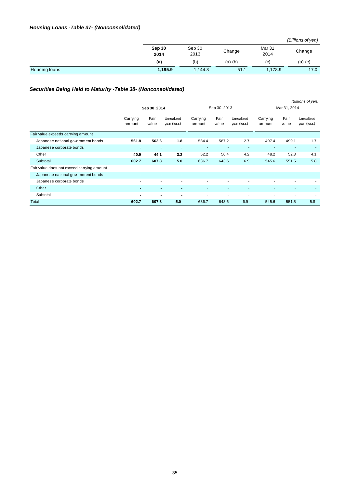#### *Housing Loans -Table 37- (Nonconsolidated)*

*(Billions of yen)*

|               |                |                |           |                           | $\sim$ $\sim$ $\sim$ $\sim$ $\sim$ $\sim$ |
|---------------|----------------|----------------|-----------|---------------------------|-------------------------------------------|
|               | Sep 30<br>2014 | Sep 30<br>2013 | Change    | Mar <sub>31</sub><br>2014 | Change                                    |
|               | (a)            | (b)            | $(a)-(b)$ | (c)                       | $(a)-(c)$                                 |
| Housing loans | 1,195.9        | 1.144.8        | 51.1      | 1,178.9                   | 17.0                                      |

# *Securities Being Held to Maturity -Table 38- (Nonconsolidated)*

|                                            |                    |                |                           |                    |                          |                           |                    |                          | (Billions of yen)         |
|--------------------------------------------|--------------------|----------------|---------------------------|--------------------|--------------------------|---------------------------|--------------------|--------------------------|---------------------------|
|                                            |                    | Sep 30, 2014   |                           |                    | Sep 30, 2013             |                           |                    | Mar 31, 2014             |                           |
|                                            | Carrying<br>amount | Fair<br>value  | Unrealized<br>gain (loss) | Carrying<br>amount | Fair<br>value            | Unrealized<br>gain (loss) | Carrying<br>amount | Fair<br>value            | Unrealized<br>gain (loss) |
| Fair value exceeds carrying amount         |                    |                |                           |                    |                          |                           |                    |                          |                           |
| Japanese national government bonds         | 561.8              | 563.6          | 1.8                       | 584.4              | 587.2                    | 2.7                       | 497.4              | 499.1                    | 1.7                       |
| Japanese corporate bonds                   | $\blacksquare$     |                | ٠                         |                    |                          | ٠                         |                    |                          |                           |
| Other                                      | 40.9               | 44.1           | 3.2                       | 52.2               | 56.4                     | 4.2                       | 48.2               | 52.3                     | 4.1                       |
| Subtotal                                   | 602.7              | 607.8          | 5.0                       | 636.7              | 643.6                    | 6.9                       | 545.6              | 551.5                    | 5.8                       |
| Fair value does not exceed carrying amount |                    |                |                           |                    |                          |                           |                    |                          |                           |
| Japanese national government bonds         | $\blacksquare$     | -              | ÷                         |                    |                          |                           |                    |                          |                           |
| Japanese corporate bonds                   |                    |                | -                         |                    |                          | ٠                         |                    | $\overline{\phantom{a}}$ | ٠                         |
| Other                                      | $\blacksquare$     | $\blacksquare$ | ٠                         |                    | $\overline{\phantom{a}}$ | ٠                         |                    | $\sim$                   | $\overline{\phantom{a}}$  |
| Subtotal                                   | $\blacksquare$     | -              |                           |                    |                          | ٠                         |                    |                          |                           |
| Total                                      | 602.7              | 607.8          | 5.0                       | 636.7              | 643.6                    | 6.9                       | 545.6              | 551.5                    | 5.8                       |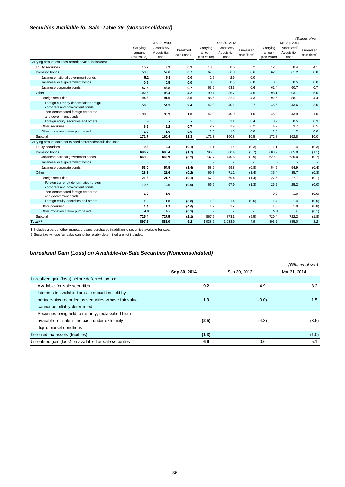#### *Securities Available for Sale -Table 39- (Nonconsolidated)*

|                                                                        |                                    |                                   |                           |                                    |                                   |                           |                                    |                                   | (Billions of yen)         |
|------------------------------------------------------------------------|------------------------------------|-----------------------------------|---------------------------|------------------------------------|-----------------------------------|---------------------------|------------------------------------|-----------------------------------|---------------------------|
|                                                                        |                                    | Sep 30, 2014                      |                           | Sep 30, 2013                       |                                   |                           | Mar 31, 2014                       |                                   |                           |
|                                                                        | Carrying<br>amount<br>(fair value) | Amortized/<br>Acquisition<br>cost | Unrealized<br>gain (loss) | Carrying<br>amount<br>(fair value) | Amortized/<br>Acquisition<br>cost | Unrealized<br>gain (loss) | Carrying<br>amount<br>(fair value) | Amortized/<br>Acquisition<br>cost | Unrealized<br>gain (loss) |
| Carrying amount exceeds amortized/acquisition cost                     |                                    |                                   |                           |                                    |                                   |                           |                                    |                                   |                           |
| Equity securities                                                      | 15.7                               | 9.3                               | 6.3                       | 13.8                               | 8.6                               | 5.2                       | 12.6                               | 8.4                               | 4.1                       |
| Domestic bonds                                                         | 53.3                               | 52.6                              | 0.7                       | 67.0                               | 66.3                              | 0.6                       | 62.0                               | 61.2                              | 0.8                       |
| Japanese national government bonds                                     | 5.2                                | 5.2                               | 0.0                       | 2.5                                | 2.5                               | 0.0                       | $\sim$                             | $\sim$                            |                           |
| Japanese local government bonds                                        | 0.5                                | 0.5                               | 0.0                       | 0.5                                | 0.5                               | 0.0                       | 0.5                                | 0.5                               | 0.0                       |
| Japanese corporate bonds                                               | 47.5                               | 46.8                              | 0.7                       | 63.9                               | 63.3                              | 0.6                       | 61.4                               | 60.7                              | 0.7                       |
| Other                                                                  | 102.6                              | 98.4                              | 4.2                       | 90.4                               | 85.7                              | 4.6                       | 98.1                               | 93.1                              | 5.0                       |
| Foreign securities                                                     | 94.6                               | 91.0                              | 3.5                       | 86.5                               | 82.2                              | 4.3                       | 92.6                               | 88.1                              | 4.4                       |
| Foreign currency denominated foreign<br>corporate and government bonds | 56.6                               | 54.1                              | 2.4                       | 42.8                               | 40.1                              | 2.7                       | 46.6                               | 43.6                              | 3.0                       |
| Yen-denominated foreign corporate<br>and government bonds              | 38.0                               | 36.9                              | 1.0                       | 42.0                               | 40.9                              | 1.0                       | 45.0                               | 43.9                              | 1.0                       |
| Foreign equity securities and others                                   | ٠                                  | $\blacksquare$                    | $\blacksquare$            | 1.6                                | 1.1                               | 0.4                       | 0.9                                | 0.5                               | 0.3                       |
| Other securities                                                       | 6.9                                | 6.2                               | 0.7                       | 2.2                                | 1.9                               | 0.2                       | 4.2                                | 3.7                               | 0.5                       |
| Other monetary claims purchased                                        | 1.0                                | 1.0                               | 0.0                       | 1.6                                | 1.5                               | 0.0                       | 1.3                                | 1.2                               | 0.0                       |
| Subtotal                                                               | 171.7                              | 160.4                             | 11.3                      | 171.3                              | 160.8                             | 10.5                      | 172.8                              | 162.8                             | 10.0                      |
| Carrying amount does not exceed amortized/acquisition cost             |                                    |                                   |                           |                                    |                                   |                           |                                    |                                   |                           |
| Equity securities                                                      | 0.3                                | 0.4                               | (0.1)                     | 1.1                                | 1.5                               | (0.3)                     | 1.1                                | 1.4                               | (0.3)                     |
| Domestic bonds                                                         | 696.7                              | 698.4                             | (1.7)                     | 796.6                              | 800.4                             | (3.7)                     | 683.9                              | 685.0                             | (1.1)                     |
| Japanese national government bonds                                     | 643.6                              | 643.9                             | (0.2)                     | 737.7                              | 740.6                             | (2.9)                     | 629.3                              | 630.0                             | (0.7)                     |
| Japanese local government bonds                                        |                                    |                                   |                           | $\sim$                             | $\sim$                            | $\sim$                    |                                    | ٠                                 | $\overline{\phantom{a}}$  |
| Japanese corporate bonds                                               | 53.0                               | 54.5                              | (1.4)                     | 58.9                               | 59.8                              | (0.8)                     | 54.5                               | 54.9                              | (0.4)                     |
| Other                                                                  | 28.3                               | 28.6                              | (0.2)                     | 69.7                               | 71.1                              | (1.4)                     | 35.4                               | 35.7                              | (0.3)                     |
| Foreign securities                                                     | 21.6                               | 21.7                              | (0.1)                     | 67.9                               | 69.4                              | (1.4)                     | 27.6                               | 27.7                              | (0.1)                     |
| Foreign currency denominated foreign<br>corporate and government bonds | 19.5                               | 19.6                              | (0.0)                     | 66.6                               | 67.9                              | (1.3)                     | 25.2                               | 25.2                              | (0.0)                     |
| Yen-denominated foreign corporate<br>and government bonds              | $1.0$                              | 1.0                               |                           |                                    |                                   |                           | 0.9                                | 1.0                               | (0.0)                     |
| Foreign equity securities and others                                   | 1.0                                | 1.0                               | (0.0)                     | 1.3                                | 1.4                               | (0.0)                     | 1.4                                | 1.4                               | (0.0)                     |
| Other securities                                                       | 1.9                                | 1.9                               | (0.0)                     | 1.7                                | 1.7                               | $\ddot{\phantom{1}}$      | 1.9                                | 1.9                               | (0.0)                     |
| Other monetary claims purchased                                        | 4.8                                | 4.9                               | (0.1)                     | $\sim$                             | ÷,                                | ٠                         | 5.8                                | 6.0                               | (0.1)                     |
| Subtotal                                                               | 725.4                              | 727.5                             | (2.1)                     | 867.5                              | 873.1                             | (5.5)                     | 720.4                              | 722.2                             | (1.8)                     |
| Total $1, 2$                                                           | 897.2                              | 888.0                             | 9.2                       | 1,038.9                            | 1,033.9                           | 4.9                       | 893.2                              | 885.0                             | 8.2                       |

1. Includes a part of other monetary claims purchased in addition to securities available for sale.

2. Securities w hose fair value cannot be reliably determined are not included.

#### *Unrealized Gain (Loss) on Available-for-Sale Securities (Nonconsolidated)*

|                                                         |              |              | (Billions of yen) |
|---------------------------------------------------------|--------------|--------------|-------------------|
|                                                         | Sep 30, 2014 | Sep 30, 2013 | Mar 31, 2014      |
| Unrealized gain (loss) before deferred tax on:          |              |              |                   |
| Available-for-sale securities                           | 9.2          | 4.9          | 8.2               |
| Interests in available-for-sale securities held by      |              |              |                   |
| partnerships recorded as securities whose fair value    | 1.3          | (0.0)        | 1.5               |
| cannot be reliably determined                           |              |              |                   |
| Securities being held to maturity, reclassified from    |              |              |                   |
| available-for-sale in the past, under extremely         | (2.5)        | (4.3)        | (3.5)             |
| illiquid market conditions                              |              |              |                   |
| Deferred tax assets (liabilities)                       | (1.3)        |              | (1.0)             |
| Unrealized gain (loss) on available-for-sale securities | 6.6          | 0.6          | 5.1               |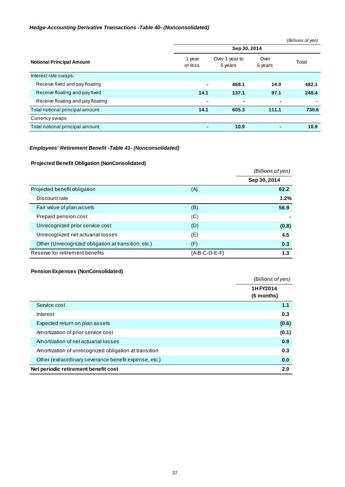#### *Hedge-Accounting Derivative Transactions -Table 40- (Nonconsolidated)*

|                                   |                   |                           |                          | (Billions of yen) |
|-----------------------------------|-------------------|---------------------------|--------------------------|-------------------|
|                                   |                   | Sep 30, 2014              |                          |                   |
| <b>Notional Principal Amount</b>  | 1 year<br>or less | Over 1 year to<br>5 years | Over<br>5 years          | Total             |
| Interest rate swaps:              |                   |                           |                          |                   |
| Receive fixed and pay floating    | ٠                 | 468.1                     | 14.0                     | 482.1             |
| Receive floating and pay fixed    | 14.1              | 137.1                     | 97.1                     | 248.4             |
| Receive floating and pay floating |                   |                           | ٠                        |                   |
| Total notional principal amount   | 14.1              | 605.3                     | 111.1                    | 730.6             |
| <b>Currency swaps</b>             |                   |                           |                          |                   |
| Total notional principal amount   |                   | 10.9                      | $\overline{\phantom{a}}$ | 10.9              |

# *Employees' Retirement Benefit -Table 41- (Nonconsolidated)*

# **Projected Benefit Obligation (NonConsolidated)**

|                                                     |               | (Billions of yen) |
|-----------------------------------------------------|---------------|-------------------|
|                                                     |               | Sep 30, 2014      |
| Projected benefit obligation                        | (A)           | 62.2              |
| Discount rate                                       |               | 1.2%              |
| Fair value of plan assets                           | (B)           | 56.9              |
| Prepaid pension cost                                | (C)           |                   |
| Unrecognized prior service cost                     | (D)           | (0.8)             |
| Unrecognized net actuarial losses                   | (E)           | 4.5               |
| Other (Unrecognized obligation at transition, etc.) | (F)           | 0.3               |
| Reserve for retirement benefits                     | (A-B-C-D-E-F) | 1.3               |

# **Pension Expenses (NonConsolidated)**

|                                                       | (Billions of yen)         |
|-------------------------------------------------------|---------------------------|
|                                                       | 1H FY2014<br>$(6$ months) |
| Service cost                                          | 1.1                       |
| Interest                                              | 0.3                       |
| Expected return on plan assets                        | (0.6)                     |
| Amortization of prior service cost                    | (0.1)                     |
| Amortization of net actuarial losses                  | 0.9                       |
| Amortization of unrecognized obligation at transition | 0.3                       |
| Other (extraordinary severance benefit expense, etc.) | 0.0                       |
| Net periodic retirement benefit cost                  | 2.0                       |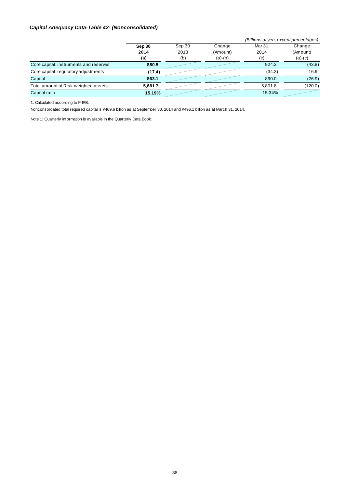#### *Capital Adequacy Data-Table 42- (Nonconsolidated)*

|                                        |         |        |           | (Billions of yen, except percentages) |           |
|----------------------------------------|---------|--------|-----------|---------------------------------------|-----------|
|                                        | Sep 30  | Sep 30 | Change    | Mar <sub>31</sub>                     | Change    |
|                                        | 2014    | 2013   | (Amount)  | 2014                                  | (Amount)  |
|                                        | (a)     | (b)    | $(a)-(b)$ | (c)                                   | $(a)-(c)$ |
| Core capital: instruments and reserves | 880.5   |        |           | 924.3                                 | (43.8)    |
| Core capital: regulatory adjustments   | (17.4)  |        |           | (34.3)                                | 16.9      |
| Capital                                | 863.1   |        |           | 890.0                                 | (26.9)    |
| Total amount of Risk-weighted assets   | 5,681.7 |        |           | 5.801.8                               | (120.0)   |
| Capital ratio                          | 15.19%  |        |           | 15.34%                                |           |

1. Calculated according to F-IRB.

Nonconsolidated total required capital is ¥469.6 billion as at September 30, 2014 and ¥496.1 billion as at March 31, 2014.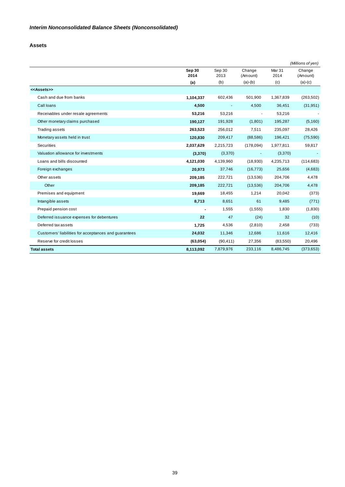#### **Assets**

|                                                       |                |                |                          |                | (Millions of yen)  |
|-------------------------------------------------------|----------------|----------------|--------------------------|----------------|--------------------|
|                                                       | Sep 30<br>2014 | Sep 30<br>2013 | Change<br>(Amount)       | Mar 31<br>2014 | Change<br>(Amount) |
|                                                       | (a)            | (b)            | $(a)-(b)$                | (c)            | $(a)-(c)$          |
| < <assets>&gt;</assets>                               |                |                |                          |                |                    |
| Cash and due from banks                               | 1,104,337      | 602,436        | 501,900                  | 1,367,839      | (263, 502)         |
| Call loans                                            | 4,500          |                | 4,500                    | 36,451         | (31, 951)          |
| Receivables under resale agreements                   | 53,216         | 53,216         | $\overline{\phantom{a}}$ | 53,216         |                    |
| Other monetary claims purchased                       | 190,127        | 191,928        | (1,801)                  | 195,287        | (5,160)            |
| <b>Trading assets</b>                                 | 263,523        | 256,012        | 7,511                    | 235,097        | 28,426             |
| Monetary assets held in trust                         | 120,830        | 209,417        | (88, 586)                | 196,421        | (75, 590)          |
| <b>Securities</b>                                     | 2,037,629      | 2,215,723      | (178,094)                | 1,977,811      | 59,817             |
| Valuation allowance for investments                   | (3,370)        | (3,370)        | $\blacksquare$           | (3,370)        |                    |
| Loans and bills discounted                            | 4,121,030      | 4,139,960      | (18,930)                 | 4,235,713      | (114, 683)         |
| Foreign exchanges                                     | 20,973         | 37,746         | (16, 773)                | 25,656         | (4,683)            |
| Other assets                                          | 209,185        | 222,721        | (13,536)                 | 204,706        | 4,478              |
| Other                                                 | 209,185        | 222,721        | (13,536)                 | 204,706        | 4,478              |
| Premises and equipment                                | 19,669         | 18,455         | 1,214                    | 20,042         | (373)              |
| Intangible assets                                     | 8,713          | 8,651          | 61                       | 9,485          | (771)              |
| Prepaid pension cost                                  | Ĭ.             | 1,555          | (1,555)                  | 1,830          | (1,830)            |
| Deferred issuance expenses for debentures             | 22             | 47             | (24)                     | 32             | (10)               |
| Deferred tax assets                                   | 1,725          | 4,536          | (2,810)                  | 2,458          | (733)              |
| Customers' liabilities for acceptances and guarantees | 24,032         | 11,346         | 12,686                   | 11,616         | 12,416             |
| Reserve for credit losses                             | (63, 054)      | (90, 411)      | 27,356                   | (83, 550)      | 20,496             |
| <b>Total assets</b>                                   | 8,113,092      | 7,879,976      | 233,116                  | 8.486.745      | (373, 653)         |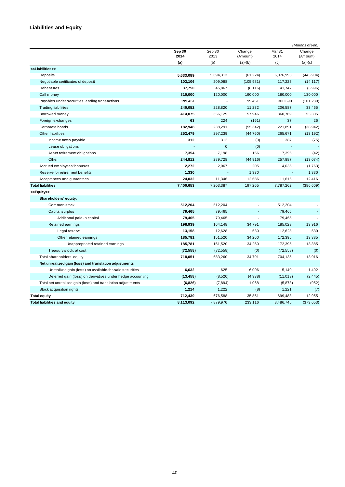# **Liabilities and Equity**

|                                                              |                |                |                    |                           | (Millions of yen)  |
|--------------------------------------------------------------|----------------|----------------|--------------------|---------------------------|--------------------|
|                                                              | Sep 30<br>2014 | Sep 30<br>2013 | Change<br>(Amount) | Mar <sub>31</sub><br>2014 | Change<br>(Amount) |
|                                                              | (a)            | (b)            | $(a)-(b)$          | (c)                       | $(a)-(c)$          |
| < <liabilities>&gt;</liabilities>                            |                |                |                    |                           |                    |
| Deposits                                                     | 5,633,089      | 5,694,313      | (61, 224)          | 6,076,993                 | (443, 904)         |
| Negotiable certificates of deposit                           | 103,106        | 209,088        | (105, 981)         | 117,223                   | (14, 117)          |
| <b>Debentures</b>                                            | 37,750         | 45,867         | (8, 116)           | 41,747                    | (3,996)            |
| Call money                                                   | 310,000        | 120,000        | 190,000            | 180,000                   | 130,000            |
| Payables under securities lending transactions               | 199,451        |                | 199,451            | 300,690                   | (101, 239)         |
| <b>Trading liabilities</b>                                   | 240,052        | 228,820        | 11,232             | 206,587                   | 33,465             |
| Borrowed money                                               | 414,075        | 356,129        | 57,946             | 360,769                   | 53,305             |
| Foreign exchanges                                            | 63             | 224            | (161)              | 37                        | 26                 |
| Corporate bonds                                              | 182,948        | 238,291        | (55, 342)          | 221,891                   | (38, 942)          |
| <b>Other liabilities</b>                                     | 252,479        | 297,239        | (44, 760)          | 265,671                   | (13, 192)          |
| Income taxes payable                                         | 312            | 312            | (0)                | 387                       | (75)               |
| Lease obligations                                            | $\blacksquare$ | $\mathbf 0$    | (0)                | L,                        |                    |
| Asset retirement obligations                                 | 7,354          | 7,198          | 156                | 7,396                     | (42)               |
| Other                                                        | 244,812        | 289,728        | (44, 916)          | 257,887                   | (13,074)           |
| Accrued employees' bonuses                                   | 2,272          | 2,067          | 205                | 4,035                     | (1,763)            |
| Reserve for retirement benefits                              | 1,330          |                | 1,330              | ÷,                        | 1,330              |
| Acceptances and guarantees                                   | 24,032         | 11,346         | 12,686             | 11,616                    | 12,416             |
| <b>Total liabilities</b>                                     | 7,400,653      | 7,203,387      | 197,265            | 7,787,262                 | (386, 609)         |
| < <equity>&gt;</equity>                                      |                |                |                    |                           |                    |
| Shareholders' equity:                                        |                |                |                    |                           |                    |
| Common stock                                                 | 512,204        | 512,204        |                    | 512,204                   |                    |
| Capital surplus                                              | 79,465         | 79,465         |                    | 79,465                    |                    |
| Additional paid-in capital                                   | 79,465         | 79,465         | L.                 | 79,465                    |                    |
| Retained earnings                                            | 198,939        | 164,148        | 34,791             | 185,023                   | 13,916             |
| Legal reserve                                                | 13,158         | 12,628         | 530                | 12,628                    | 530                |
| Other retained earnings                                      | 185,781        | 151,520        | 34,260             | 172,395                   | 13,385             |
| Unappropriated retained earnings                             | 185,781        | 151,520        | 34,260             | 172,395                   | 13,385             |
| Treasury stock, at cost                                      | (72, 558)      | (72, 558)      | (0)                | (72, 558)                 | (0)                |
| Total shareholders' equity                                   | 718,051        | 683,260        | 34,791             | 704,135                   | 13,916             |
| Net unrealized gain (loss) and translation adjustments       |                |                |                    |                           |                    |
| Unrealized gain (loss) on available-for-sale securities      | 6,632          | 625            | 6,006              | 5,140                     | 1,492              |
| Deferred gain (loss) on derivatives under hedge accounting   | (13, 458)      | (8,520)        | (4,938)            | (11, 013)                 | (2, 445)           |
| Total net unrealized gain (loss) and translation adjustments | (6,826)        | (7,894)        | 1,068              | (5,873)                   | (952)              |
| Stock acquisition rights                                     | 1,214          | 1,222          | (8)                | 1,221                     | (7)                |
| <b>Total equity</b>                                          | 712,439        | 676,588        | 35,851             | 699,483                   | 12,955             |
| <b>Total liabilities and equity</b>                          | 8,113,092      | 7.879.976      | 233.116            | 8.486.745                 | (373, 653)         |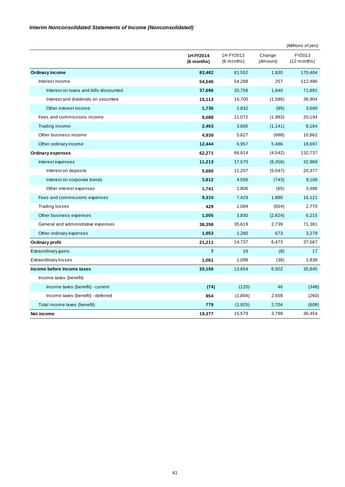|                                        |                         |                           |                    | (Millions of yen)       |
|----------------------------------------|-------------------------|---------------------------|--------------------|-------------------------|
|                                        | 1H FY2014<br>(6 months) | 1H FY2013<br>$(6$ months) | Change<br>(Amount) | FY2013<br>$(12$ months) |
| <b>Ordinary income</b>                 | 83,482                  | 81,552                    | 1,930              | 170,404                 |
| Interest income                        | 54,546                  | 54,288                    | 257                | 112,486                 |
| Interest on loans and bills discounted | 37,696                  | 35,756                    | 1,940              | 71,891                  |
| Interest and dividends on securities   | 15,113                  | 16,700                    | (1,586)            | 36,904                  |
| Other interest income                  | 1,736                   | 1,832                     | (95)               | 3,690                   |
| Fees and commissions income            | 9,088                   | 11,072                    | (1,983)            | 20,194                  |
| Trading income                         | 2,463                   | 3,605                     | (1, 141)           | 8,164                   |
| Other business income                  | 4,939                   | 5,627                     | (688)              | 10,862                  |
| Other ordinary income                  | 12,444                  | 6,957                     | 5,486              | 18,697                  |
| <b>Ordinary expenses</b>               | 62,271                  | 66,814                    | (4,542)            | 132,737                 |
| Interest expenses                      | 11,213                  | 17,570                    | (6,356)            | 32,969                  |
| Interest on deposits                   | 5,660                   | 11,207                    | (5,547)            | 20,377                  |
| Interest on corporate bonds            | 3,812                   | 4,556                     | (743)              | 9,106                   |
| Other interest expenses                | 1,741                   | 1,806                     | (65)               | 3,486                   |
| Fees and commissions expenses          | 9,310                   | 7,429                     | 1,880              | 16,121                  |
| <b>Trading losses</b>                  | 429                     | 1,084                     | (654)              | 2,770                   |
| Other business expenses                | 1,005                   | 3,830                     | (2,824)            | 6,215                   |
| General and administrative expenses    | 38,358                  | 35,619                    | 2,739              | 71,381                  |
| Other ordinary expenses                | 1,953                   | 1,280                     | 673                | 3,279                   |
| Ordinary profit                        | 21,211                  | 14,737                    | 6,473              | 37,667                  |
| Extraordinary gains                    | $\overline{7}$          | 16                        | (8)                | 17                      |
| <b>Extraordinary losses</b>            | 1,061                   | 1,099                     | (38)               | 1,838                   |
| Income before income taxes             | 20,156                  | 13,654                    | 6,502              | 35,845                  |
| Income taxes (benefit)                 |                         |                           |                    |                         |
| Income taxes (benefit) - current       | (74)                    | (120)                     | 46                 | (348)                   |
| Income taxes (benefit) - deferred      | 854                     | (1,804)                   | 2,658              | (260)                   |
| Total income taxes (benefit)           | 779                     | (1,925)                   | 2,704              | (608)                   |
| Net income                             | 19,377                  | 15,579                    | 3,798              | 36,454                  |

## *Interim Nonconsolidated Statements of Income (Nonconsolidated)*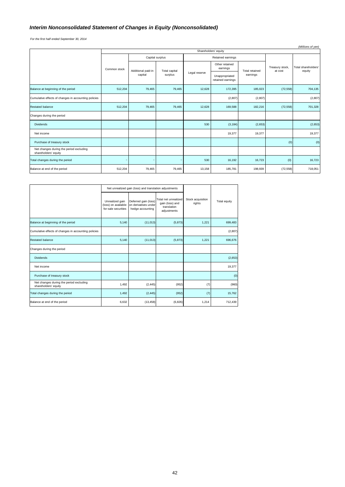#### *Interim Nonconsolidated Statement of Changes in Equity (Nonconsolidated)*

*For the first half ended September 30, 2014*

| (Millions of yen)                                               |              |                    |               |                   |                            |                                     |                            |                               |  |
|-----------------------------------------------------------------|--------------|--------------------|---------------|-------------------|----------------------------|-------------------------------------|----------------------------|-------------------------------|--|
| Shareholders' equity                                            |              |                    |               |                   |                            |                                     |                            |                               |  |
|                                                                 |              | Capital surplus    |               | Retained earnings |                            |                                     |                            |                               |  |
|                                                                 | Common stock | Additional paid-in | Total capital | Legal reserve     | Other retained<br>earnings | Total retained                      | Treasury stock,<br>at cost | Total shareholders'<br>equity |  |
|                                                                 |              | capital            | surplus       |                   |                            | Unappropriated<br>retained earnings | earnings                   |                               |  |
| Balance at beginning of the period                              | 512,204      | 79,465             | 79,465        | 12,628            | 172,395                    | 185,023                             | (72, 558)                  | 704,135                       |  |
| Cumulative effects of changes in accounting policies            |              |                    |               |                   | (2,807)                    | (2, 807)                            |                            | (2,807)                       |  |
| <b>Restated balance</b>                                         | 512,204      | 79,465             | 79,465        | 12,628            | 169,588                    | 182,216                             | (72, 558)                  | 701,328                       |  |
| Changes during the period                                       |              |                    |               |                   |                            |                                     |                            |                               |  |
| <b>Dividends</b>                                                |              |                    |               | 530               | (3, 184)                   | (2,653)                             |                            | (2,653)                       |  |
| Net income                                                      |              |                    |               |                   | 19,377                     | 19,377                              |                            | 19,377                        |  |
| Purchase of treasury stock                                      |              |                    |               |                   |                            |                                     | (0)                        | (0)                           |  |
| Net changes during the period excluding<br>shareholders' equity |              |                    |               |                   |                            |                                     |                            |                               |  |
| Total changes during the period                                 |              |                    |               | 530               | 16,192                     | 16,723                              | (0)                        | 16,723                        |  |
| Balance at end of the period                                    | 512,204      | 79,465             | 79,465        | 13,158            | 185,781                    | 198,939                             | (72, 558)                  | 718,051                       |  |

|                                                                 | Net unrealized gain (loss) and translation adjustments         |                                                                  |                                                                       |                             |              |
|-----------------------------------------------------------------|----------------------------------------------------------------|------------------------------------------------------------------|-----------------------------------------------------------------------|-----------------------------|--------------|
|                                                                 | Unrealized gain<br>(loss) on available-<br>for-sale securities | Deferred gain (loss)<br>on derivatives under<br>hedge accounting | Total net unrealized<br>gain (loss) and<br>translation<br>adjustments | Stock acquisition<br>rights | Total equity |
| Balance at beginning of the period                              | 5,140                                                          | (11, 013)                                                        | (5, 873)                                                              | 1,221                       | 699,483      |
| Cumulative effects of changes in accounting policies            |                                                                |                                                                  |                                                                       |                             | (2,807)      |
| <b>Restated balance</b>                                         | 5,140                                                          | (11, 013)                                                        | (5, 873)                                                              | 1,221                       | 696,676      |
| Changes during the period                                       |                                                                |                                                                  |                                                                       |                             |              |
| <b>Dividends</b>                                                |                                                                |                                                                  |                                                                       |                             | (2,653)      |
| Net income                                                      |                                                                |                                                                  |                                                                       |                             | 19,377       |
| Purchase of treasury stock                                      |                                                                |                                                                  |                                                                       |                             | (0)          |
| Net changes during the period excluding<br>shareholders' equity | 1,492                                                          | (2, 445)                                                         | (952)                                                                 | (7)                         | (960)        |
| Total changes during the period                                 | 1,492                                                          | (2, 445)                                                         | (952)                                                                 | (7)                         | 15,762       |
| Balance at end of the period                                    | 6,632                                                          | (13, 458)                                                        | (6, 826)                                                              | 1,214                       | 712,439      |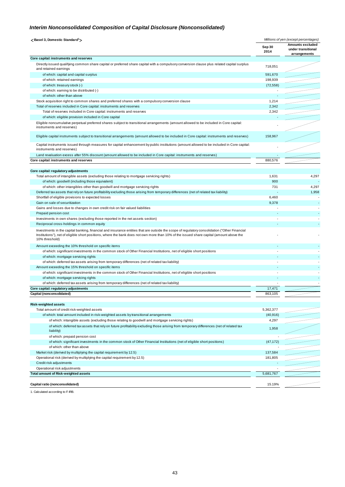#### *Interim Nonconsolidated Composition of Capital Disclosure (Nonconsolidated)*

| <basel 3,="" domestic="" standard<sup="">1&gt;</basel>                                                                                                                                                                                                                                                      | Millions of yen (except percentages) |                                                               |
|-------------------------------------------------------------------------------------------------------------------------------------------------------------------------------------------------------------------------------------------------------------------------------------------------------------|--------------------------------------|---------------------------------------------------------------|
|                                                                                                                                                                                                                                                                                                             | Sep 30<br>2014                       | <b>Amounts excluded</b><br>under transitional<br>arrangements |
| Core capital: instruments and reserves                                                                                                                                                                                                                                                                      |                                      |                                                               |
| Directly issued qualifying common share capital or preferred share capital with a compulsory conversion clause plus related capital surplus<br>and retained earnings                                                                                                                                        | 718,051                              |                                                               |
| of which: capital and capital surplus                                                                                                                                                                                                                                                                       | 591,670                              |                                                               |
| of which: retained earnings                                                                                                                                                                                                                                                                                 | 198,939                              |                                                               |
| of which: treasury stock (-)                                                                                                                                                                                                                                                                                | (72, 558)                            |                                                               |
| of which: earning to be distributed (-)                                                                                                                                                                                                                                                                     |                                      |                                                               |
| of which: other than above                                                                                                                                                                                                                                                                                  |                                      |                                                               |
| Stock acquisition right to common shares and preferred shares with a compulsory conversion clause                                                                                                                                                                                                           | 1,214                                |                                                               |
| Total of reserves included in Core capital: instruments and reserves                                                                                                                                                                                                                                        | 2,342                                |                                                               |
| Total of reserves included in Core capital: instruments and reserves                                                                                                                                                                                                                                        | 2,342                                |                                                               |
| of which: eligible provision included in Core capital                                                                                                                                                                                                                                                       |                                      |                                                               |
| Eligible noncumulative perpetual preferred shares subject to transitional arrangements (amount allowed to be included in Core capital:<br>instruments and reserves)                                                                                                                                         |                                      |                                                               |
| Eligible capital instruments subject to transitional arrangements (amount allowed to be included in Core capital: instruments and reserves)                                                                                                                                                                 | 158,967                              |                                                               |
| Capital instruments issued through measures for capital enhancement by public institutions (amount allowed to be included in Core capital:<br>instruments and reserves)                                                                                                                                     |                                      |                                                               |
| Land revaluation excess after 55% discount (amount allowed to be included in Core capital: instruments and reserves)                                                                                                                                                                                        |                                      |                                                               |
| Core capital: instruments and reserves                                                                                                                                                                                                                                                                      | 880,576                              |                                                               |
|                                                                                                                                                                                                                                                                                                             |                                      |                                                               |
| Core capital: regulatory adjustments                                                                                                                                                                                                                                                                        |                                      |                                                               |
| Total amount of intangible assets (excluding those relating to mortgage servicing rights)                                                                                                                                                                                                                   | 1,631                                | 4,297                                                         |
| of which: goodwill (including those equivalent)                                                                                                                                                                                                                                                             | 900                                  |                                                               |
| of which: other intangibles other than goodwill and mortgage servicing rights                                                                                                                                                                                                                               | 731                                  | 4,297                                                         |
| Deferred tax assets that rely on future profitability excluding those arising from temporary differences (net of related tax liability)                                                                                                                                                                     |                                      | 1,958                                                         |
| Shortfall of eligible provisions to expected losses                                                                                                                                                                                                                                                         | 6,460                                |                                                               |
| Gain on sale of securitization                                                                                                                                                                                                                                                                              | 9,378                                |                                                               |
| Gains and losses due to changes in own credit risk on fair valued liabilities                                                                                                                                                                                                                               |                                      |                                                               |
| Prepaid pension cost                                                                                                                                                                                                                                                                                        |                                      |                                                               |
| Investments in own shares (excluding those reported in the net assets section)                                                                                                                                                                                                                              |                                      |                                                               |
| Reciprocal cross-holdings in common equity                                                                                                                                                                                                                                                                  |                                      |                                                               |
| Investments in the capital banking, financial and insurance entities that are outside the scope of regulatory consolidation ("Other Financial<br>Institutions"), net of eligible short positions, where the bank does not own more than 10% of the issued share capital (amount above the<br>10% threshold) |                                      |                                                               |
| Amount exceeding the 10% threshold on specific items                                                                                                                                                                                                                                                        |                                      |                                                               |
| of which: significant investments in the common stock of Other Financial Institutions, net of eligible short positions                                                                                                                                                                                      |                                      |                                                               |
| of which: mortgage servicing rights                                                                                                                                                                                                                                                                         |                                      |                                                               |
| of which: deferred tax assets arising from temporary differences (net of related tax liability)                                                                                                                                                                                                             |                                      |                                                               |
| Amount exceeding the 15% threshold on specific items                                                                                                                                                                                                                                                        |                                      |                                                               |
| of which: significant investments in the common stock of Other Financial Institutions, net of eligible short positions                                                                                                                                                                                      |                                      |                                                               |
| of which: mortgage servicing rights                                                                                                                                                                                                                                                                         |                                      |                                                               |
| of which: deferred tax assets arising from temporary differences (net of related tax liability)                                                                                                                                                                                                             |                                      |                                                               |
| Core capital: regulatory adjustments                                                                                                                                                                                                                                                                        | 17,471                               |                                                               |
| Capital (nonconsolidated)                                                                                                                                                                                                                                                                                   | 863,105                              |                                                               |
|                                                                                                                                                                                                                                                                                                             |                                      |                                                               |
| <b>Risk-weighted assets</b>                                                                                                                                                                                                                                                                                 |                                      |                                                               |
| Total amount of credit risk-weighted assets                                                                                                                                                                                                                                                                 | 5,362,377                            |                                                               |
| of which: total amount included in risk-weighted assets by transitional arrangements                                                                                                                                                                                                                        | (40, 916)                            |                                                               |
| of which: intangible assets (excluding those relating to goodwill and mortgage servicing rights)                                                                                                                                                                                                            | 4,297                                |                                                               |
| of which: deferred tax assets that rely on future profitability excluding those arising from temporary differences (net of related tax<br>liability)                                                                                                                                                        | 1,958                                |                                                               |
| of which: prepaid pension cost                                                                                                                                                                                                                                                                              |                                      |                                                               |
| of which: significant investments in the common stock of Other Financial Institutions (net of eligible short positions)                                                                                                                                                                                     | (47, 172)                            |                                                               |
| of which: other than above                                                                                                                                                                                                                                                                                  |                                      |                                                               |
| Market risk (derived by multiplying the capital requirement by 12.5)                                                                                                                                                                                                                                        | 137,584                              |                                                               |
| Operational risk (derived by multiplying the capital requirement by 12.5)                                                                                                                                                                                                                                   | 181,805                              |                                                               |
| Credit risk adjustments                                                                                                                                                                                                                                                                                     |                                      |                                                               |
| Operational risk adjustments                                                                                                                                                                                                                                                                                |                                      |                                                               |
| <b>Total amount of Risk-weighted assets</b>                                                                                                                                                                                                                                                                 | 5,681,767                            |                                                               |
| Capital ratio (nonconsolidated)                                                                                                                                                                                                                                                                             | 15.19%                               |                                                               |

1. Calculated according to F-IRB.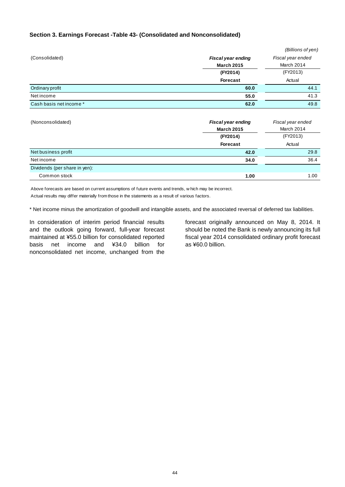# **Section 3. Earnings Forecast -Table 43- (Consolidated and Nonconsolidated)**

|                         |                           | (Billions of yen) |
|-------------------------|---------------------------|-------------------|
| (Consolidated)          | <b>Fiscal year ending</b> | Fiscal year ended |
|                         | <b>March 2015</b>         | March 2014        |
|                         | (FY2014)                  | (FY2013)          |
|                         | Forecast                  | Actual            |
| Ordinary profit         | 60.0                      | 44.1              |
| Net income              | 55.0                      | 41.3              |
| Cash basis net income * | 62.0                      | 49.8              |

| (Nonconsolidated)             | <b>Fiscal year ending</b><br><b>March 2015</b> | Fiscal year ended<br>March 2014 |  |
|-------------------------------|------------------------------------------------|---------------------------------|--|
|                               | (FY2014)                                       | (FY2013)                        |  |
|                               | Forecast                                       | Actual                          |  |
| Net business profit           | 42.0                                           | 29.8                            |  |
| Net income                    | 34.0                                           | 36.4                            |  |
| Dividends (per share in yen): |                                                |                                 |  |
| Common stock                  | 1.00                                           | 1.00                            |  |

Above forecasts are based on current assumptions of future events and trends, w hich may be incorrect.

Actual results may differ materially from those in the statements as a result of various factors.

\* Net income minus the amortization of goodwill and intangible assets, and the associated reversal of deferred tax liabilities.

In consideration of interim period financial results and the outlook going forward, full-year forecast maintained at ¥55.0 billion for consolidated reported basis net income and ¥34.0 billion for nonconsolidated net income, unchanged from the

forecast originally announced on May 8, 2014. It should be noted the Bank is newly announcing its full fiscal year 2014 consolidated ordinary profit forecast as ¥60.0 billion.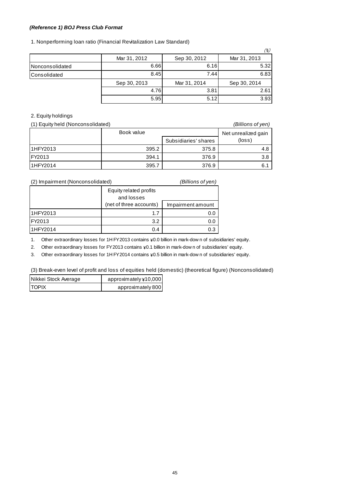#### *(Reference 1) BOJ Press Club Format*

1. Nonperforming loan ratio (Financial Revitalization Law Standard)

|                 |              |              | (70)         |
|-----------------|--------------|--------------|--------------|
|                 | Mar 31, 2012 | Sep 30, 2012 | Mar 31, 2013 |
| Nonconsolidated | 6.66         | 6.16         | 5.32         |
| Consolidated    | 8.45         | 7.44         | 6.83         |
|                 | Sep 30, 2013 | Mar 31, 2014 | Sep 30, 2014 |
|                 | 4.76         | 3.81         | 2.61         |
|                 | 5.95         | 5.12         | 3.93         |

 $\langle n \rangle$ 

#### 2. Equity holdings

| (1) Equity held (Nonconsolidated) |            |                      | (Billions of yen)   |
|-----------------------------------|------------|----------------------|---------------------|
|                                   | Book value |                      | Net unrealized gain |
|                                   |            | Subsidiaries' shares | (loss)              |
| <b>I</b> 1HFY2013                 | 395.2      | 375.8                | 4.8                 |
| <b>IFY2013</b>                    | 394.1      | 376.9                | 3.8                 |
| <b>I1HFY2014</b>                  | 395.7      | 376.9                | 6.1                 |

| (2) Impairment (Nonconsolidated) | (Billions of yen)                    |                   |
|----------------------------------|--------------------------------------|-------------------|
|                                  | Equity related profits<br>and losses |                   |
|                                  | (net of three accounts)              | Impairment amount |
| 11HFY2013                        | 1.7                                  | 0.0               |
| <b>IFY2013</b>                   | 3.2                                  | 0.0               |
| 11HFY2014                        | 0.4                                  | 0.3               |

1. Other extraordinary losses for 1H FY2013 contains ¥0.0 billion in mark-dow n of subsidiaries' equity.

2. Other extraordinary losses for FY2013 contains  $\angle 0.1$  billion in mark-dow n of subsidiaries' equity.

3. Other extraordinary losses for 1H FY2014 contains  $\angle 0.5$  billion in mark-dow n of subsidiaries' equity.

(3) Break-even level of profit and loss of equities held (domestic) (theoretical figure) (Nonconsolidated)

| Nikkei Stock Average | approximately ¥10,000 |
|----------------------|-----------------------|
| <b>ITOPIX</b>        | approximately 800     |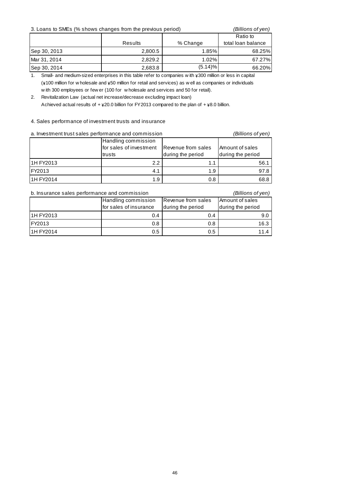| 3. Loans to SMEs (% shows changes from the previous period) |         |            | (Billions of yen)  |
|-------------------------------------------------------------|---------|------------|--------------------|
|                                                             |         | Ratio to   |                    |
|                                                             | Results | % Change   | total loan balance |
| Sep 30, 2013                                                | 2,800.5 | 1.85%      | 68.25%             |
| Mar 31, 2014                                                | 2.829.2 | 1.02%      | 67.27%             |
| Sep 30, 2014                                                | 2,683.8 | $(5.14)\%$ | 66.20%             |

1. Small- and medium-sized enterprises in this table refer to companies w ith ¥300 million or less in capital (\100 million for w holesale and \50 million for retail and services) as w ell as companies or individuals w ith 300 employees or few er (100 for w holesale and services and 50 for retail).

2. Revitalization Law (actual net increase/decrease excluding impact loan) Achieved actual results of  $+ \frac{1}{20.0}$  billion for FY2013 compared to the plan of  $+ \frac{1}{20.0}$  billion.

#### 4. Sales performance of investment trusts and insurance

#### a. Investment trust sales performance and commission *(Billions of yen)*

|                | Handling commission<br>for sales of investment | Revenue from sales | Amount of sales   |
|----------------|------------------------------------------------|--------------------|-------------------|
|                | trusts                                         | during the period  | during the period |
| 11H FY2013     | $2.2^{\circ}$                                  | 1.1                | 56.1              |
| <b>IFY2013</b> | 4.1                                            | 1.9                | 97.8              |
| 11H FY2014     | 1.9                                            | 0.8                | 68.8              |

#### b. Insurance sales performance and commission *(Billions of yen)*

Handling commission for sales of insurance Revenue from sales during the period Amount of sales during the period 1H FY2013 0.4 0.4 9.0  $\mathsf{FY}2013$  and the contract of the contract of the contract of the contract of the contract of the contract of the contract of the contract of the contract of the contract of the contract of the contract of the contrac 1H FY2014 11.4